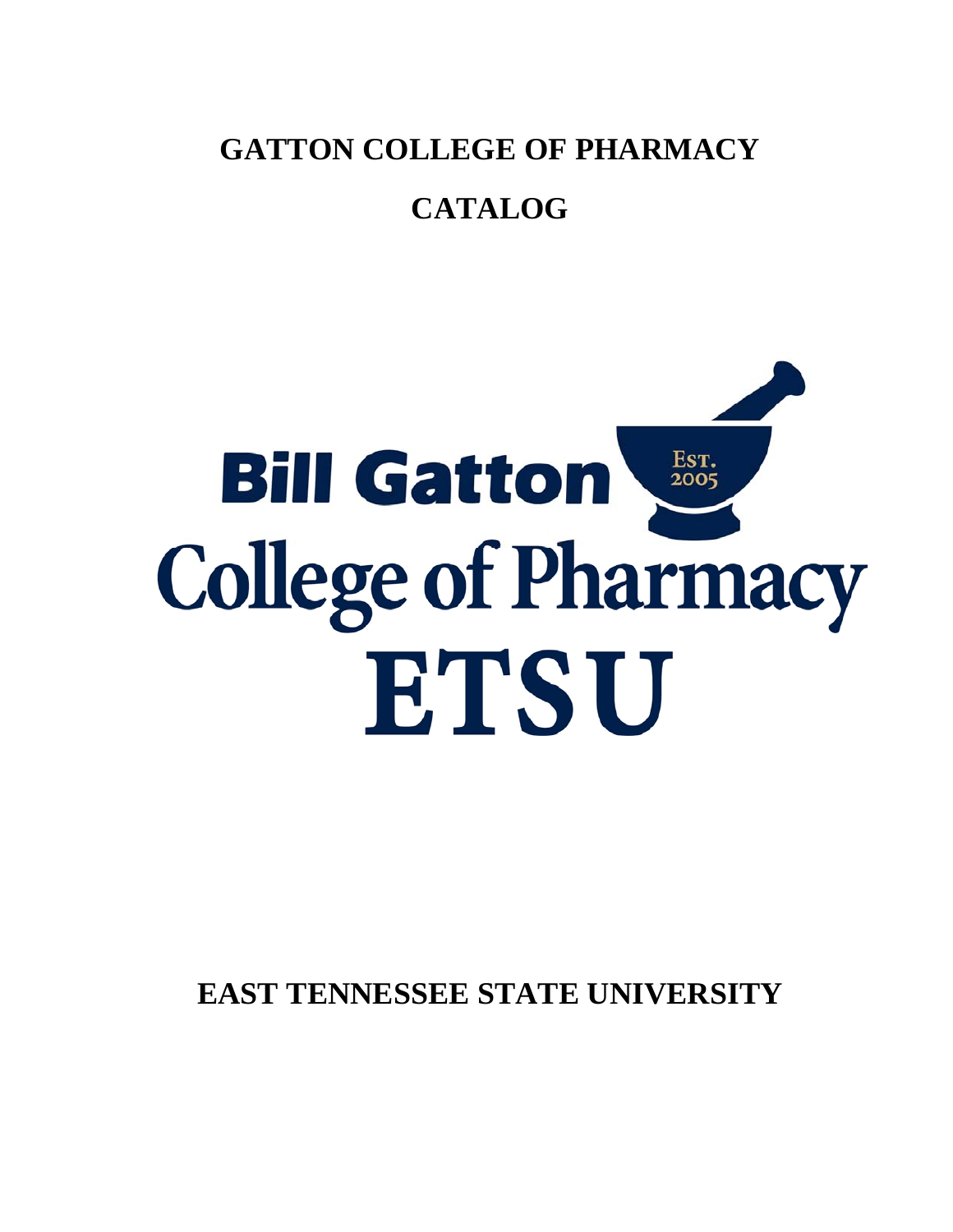**GATTON COLLEGE OF PHARMACY** 

# **CATALOG**



**EAST TENNESSEE STATE UNIVERSITY**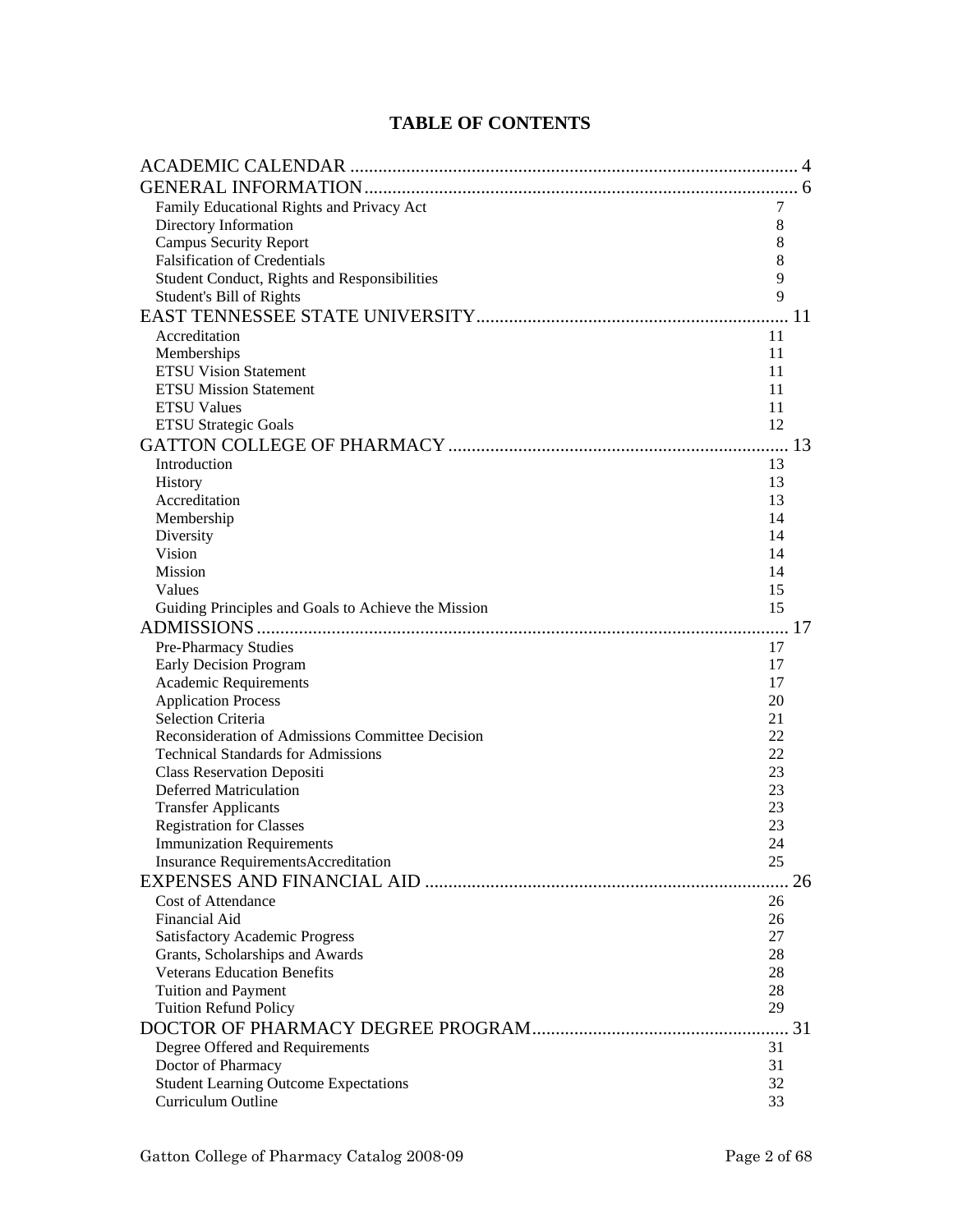# **TABLE OF CONTENTS**

| Family Educational Rights and Privacy Act<br>7<br>Directory Information<br>8<br><b>Campus Security Report</b><br>8<br><b>Falsification of Credentials</b><br>8<br>9<br>Student Conduct, Rights and Responsibilities<br>9<br>Student's Bill of Rights<br><sup>11</sup><br>Accreditation<br>11<br>Memberships<br>11<br><b>ETSU Vision Statement</b><br>11<br><b>ETSU Mission Statement</b><br>11<br><b>ETSU Values</b><br>11<br>12<br><b>ETSU Strategic Goals</b><br>Introduction<br>13<br>13<br><b>History</b><br>Accreditation<br>13<br>Membership<br>14<br>Diversity<br>14<br>Vision<br>14<br><b>Mission</b><br>14<br>Values<br>15<br>Guiding Principles and Goals to Achieve the Mission<br>15<br>Pre-Pharmacy Studies<br>17<br>Early Decision Program<br>17<br><b>Academic Requirements</b><br>17<br><b>Application Process</b><br>20<br><b>Selection Criteria</b><br>21<br>Reconsideration of Admissions Committee Decision<br>22<br><b>Technical Standards for Admissions</b><br>22<br><b>Class Reservation Depositi</b><br>23<br><b>Deferred Matriculation</b><br>23<br><b>Transfer Applicants</b><br>23<br><b>Registration for Classes</b><br>23<br><b>Immunization Requirements</b><br>24<br><b>Insurance RequirementsAccreditation</b><br>25<br>26<br><b>Cost of Attendance</b><br>26<br><b>Financial Aid</b><br>26<br><b>Satisfactory Academic Progress</b><br>27<br>28<br>Grants, Scholarships and Awards<br><b>Veterans Education Benefits</b><br>28<br>Tuition and Payment<br>28<br>29<br><b>Tuition Refund Policy</b><br>31<br>Degree Offered and Requirements<br>Doctor of Pharmacy<br>31<br><b>Student Learning Outcome Expectations</b><br>32<br>Curriculum Outline<br>33 |  |  |
|--------------------------------------------------------------------------------------------------------------------------------------------------------------------------------------------------------------------------------------------------------------------------------------------------------------------------------------------------------------------------------------------------------------------------------------------------------------------------------------------------------------------------------------------------------------------------------------------------------------------------------------------------------------------------------------------------------------------------------------------------------------------------------------------------------------------------------------------------------------------------------------------------------------------------------------------------------------------------------------------------------------------------------------------------------------------------------------------------------------------------------------------------------------------------------------------------------------------------------------------------------------------------------------------------------------------------------------------------------------------------------------------------------------------------------------------------------------------------------------------------------------------------------------------------------------------------------------------------------------------------------------------------------------------------------------------|--|--|
|                                                                                                                                                                                                                                                                                                                                                                                                                                                                                                                                                                                                                                                                                                                                                                                                                                                                                                                                                                                                                                                                                                                                                                                                                                                                                                                                                                                                                                                                                                                                                                                                                                                                                            |  |  |
|                                                                                                                                                                                                                                                                                                                                                                                                                                                                                                                                                                                                                                                                                                                                                                                                                                                                                                                                                                                                                                                                                                                                                                                                                                                                                                                                                                                                                                                                                                                                                                                                                                                                                            |  |  |
|                                                                                                                                                                                                                                                                                                                                                                                                                                                                                                                                                                                                                                                                                                                                                                                                                                                                                                                                                                                                                                                                                                                                                                                                                                                                                                                                                                                                                                                                                                                                                                                                                                                                                            |  |  |
|                                                                                                                                                                                                                                                                                                                                                                                                                                                                                                                                                                                                                                                                                                                                                                                                                                                                                                                                                                                                                                                                                                                                                                                                                                                                                                                                                                                                                                                                                                                                                                                                                                                                                            |  |  |
|                                                                                                                                                                                                                                                                                                                                                                                                                                                                                                                                                                                                                                                                                                                                                                                                                                                                                                                                                                                                                                                                                                                                                                                                                                                                                                                                                                                                                                                                                                                                                                                                                                                                                            |  |  |
|                                                                                                                                                                                                                                                                                                                                                                                                                                                                                                                                                                                                                                                                                                                                                                                                                                                                                                                                                                                                                                                                                                                                                                                                                                                                                                                                                                                                                                                                                                                                                                                                                                                                                            |  |  |
|                                                                                                                                                                                                                                                                                                                                                                                                                                                                                                                                                                                                                                                                                                                                                                                                                                                                                                                                                                                                                                                                                                                                                                                                                                                                                                                                                                                                                                                                                                                                                                                                                                                                                            |  |  |
|                                                                                                                                                                                                                                                                                                                                                                                                                                                                                                                                                                                                                                                                                                                                                                                                                                                                                                                                                                                                                                                                                                                                                                                                                                                                                                                                                                                                                                                                                                                                                                                                                                                                                            |  |  |
|                                                                                                                                                                                                                                                                                                                                                                                                                                                                                                                                                                                                                                                                                                                                                                                                                                                                                                                                                                                                                                                                                                                                                                                                                                                                                                                                                                                                                                                                                                                                                                                                                                                                                            |  |  |
|                                                                                                                                                                                                                                                                                                                                                                                                                                                                                                                                                                                                                                                                                                                                                                                                                                                                                                                                                                                                                                                                                                                                                                                                                                                                                                                                                                                                                                                                                                                                                                                                                                                                                            |  |  |
|                                                                                                                                                                                                                                                                                                                                                                                                                                                                                                                                                                                                                                                                                                                                                                                                                                                                                                                                                                                                                                                                                                                                                                                                                                                                                                                                                                                                                                                                                                                                                                                                                                                                                            |  |  |
|                                                                                                                                                                                                                                                                                                                                                                                                                                                                                                                                                                                                                                                                                                                                                                                                                                                                                                                                                                                                                                                                                                                                                                                                                                                                                                                                                                                                                                                                                                                                                                                                                                                                                            |  |  |
|                                                                                                                                                                                                                                                                                                                                                                                                                                                                                                                                                                                                                                                                                                                                                                                                                                                                                                                                                                                                                                                                                                                                                                                                                                                                                                                                                                                                                                                                                                                                                                                                                                                                                            |  |  |
|                                                                                                                                                                                                                                                                                                                                                                                                                                                                                                                                                                                                                                                                                                                                                                                                                                                                                                                                                                                                                                                                                                                                                                                                                                                                                                                                                                                                                                                                                                                                                                                                                                                                                            |  |  |
|                                                                                                                                                                                                                                                                                                                                                                                                                                                                                                                                                                                                                                                                                                                                                                                                                                                                                                                                                                                                                                                                                                                                                                                                                                                                                                                                                                                                                                                                                                                                                                                                                                                                                            |  |  |
|                                                                                                                                                                                                                                                                                                                                                                                                                                                                                                                                                                                                                                                                                                                                                                                                                                                                                                                                                                                                                                                                                                                                                                                                                                                                                                                                                                                                                                                                                                                                                                                                                                                                                            |  |  |
|                                                                                                                                                                                                                                                                                                                                                                                                                                                                                                                                                                                                                                                                                                                                                                                                                                                                                                                                                                                                                                                                                                                                                                                                                                                                                                                                                                                                                                                                                                                                                                                                                                                                                            |  |  |
|                                                                                                                                                                                                                                                                                                                                                                                                                                                                                                                                                                                                                                                                                                                                                                                                                                                                                                                                                                                                                                                                                                                                                                                                                                                                                                                                                                                                                                                                                                                                                                                                                                                                                            |  |  |
|                                                                                                                                                                                                                                                                                                                                                                                                                                                                                                                                                                                                                                                                                                                                                                                                                                                                                                                                                                                                                                                                                                                                                                                                                                                                                                                                                                                                                                                                                                                                                                                                                                                                                            |  |  |
|                                                                                                                                                                                                                                                                                                                                                                                                                                                                                                                                                                                                                                                                                                                                                                                                                                                                                                                                                                                                                                                                                                                                                                                                                                                                                                                                                                                                                                                                                                                                                                                                                                                                                            |  |  |
|                                                                                                                                                                                                                                                                                                                                                                                                                                                                                                                                                                                                                                                                                                                                                                                                                                                                                                                                                                                                                                                                                                                                                                                                                                                                                                                                                                                                                                                                                                                                                                                                                                                                                            |  |  |
|                                                                                                                                                                                                                                                                                                                                                                                                                                                                                                                                                                                                                                                                                                                                                                                                                                                                                                                                                                                                                                                                                                                                                                                                                                                                                                                                                                                                                                                                                                                                                                                                                                                                                            |  |  |
|                                                                                                                                                                                                                                                                                                                                                                                                                                                                                                                                                                                                                                                                                                                                                                                                                                                                                                                                                                                                                                                                                                                                                                                                                                                                                                                                                                                                                                                                                                                                                                                                                                                                                            |  |  |
|                                                                                                                                                                                                                                                                                                                                                                                                                                                                                                                                                                                                                                                                                                                                                                                                                                                                                                                                                                                                                                                                                                                                                                                                                                                                                                                                                                                                                                                                                                                                                                                                                                                                                            |  |  |
|                                                                                                                                                                                                                                                                                                                                                                                                                                                                                                                                                                                                                                                                                                                                                                                                                                                                                                                                                                                                                                                                                                                                                                                                                                                                                                                                                                                                                                                                                                                                                                                                                                                                                            |  |  |
|                                                                                                                                                                                                                                                                                                                                                                                                                                                                                                                                                                                                                                                                                                                                                                                                                                                                                                                                                                                                                                                                                                                                                                                                                                                                                                                                                                                                                                                                                                                                                                                                                                                                                            |  |  |
|                                                                                                                                                                                                                                                                                                                                                                                                                                                                                                                                                                                                                                                                                                                                                                                                                                                                                                                                                                                                                                                                                                                                                                                                                                                                                                                                                                                                                                                                                                                                                                                                                                                                                            |  |  |
|                                                                                                                                                                                                                                                                                                                                                                                                                                                                                                                                                                                                                                                                                                                                                                                                                                                                                                                                                                                                                                                                                                                                                                                                                                                                                                                                                                                                                                                                                                                                                                                                                                                                                            |  |  |
|                                                                                                                                                                                                                                                                                                                                                                                                                                                                                                                                                                                                                                                                                                                                                                                                                                                                                                                                                                                                                                                                                                                                                                                                                                                                                                                                                                                                                                                                                                                                                                                                                                                                                            |  |  |
|                                                                                                                                                                                                                                                                                                                                                                                                                                                                                                                                                                                                                                                                                                                                                                                                                                                                                                                                                                                                                                                                                                                                                                                                                                                                                                                                                                                                                                                                                                                                                                                                                                                                                            |  |  |
|                                                                                                                                                                                                                                                                                                                                                                                                                                                                                                                                                                                                                                                                                                                                                                                                                                                                                                                                                                                                                                                                                                                                                                                                                                                                                                                                                                                                                                                                                                                                                                                                                                                                                            |  |  |
|                                                                                                                                                                                                                                                                                                                                                                                                                                                                                                                                                                                                                                                                                                                                                                                                                                                                                                                                                                                                                                                                                                                                                                                                                                                                                                                                                                                                                                                                                                                                                                                                                                                                                            |  |  |
|                                                                                                                                                                                                                                                                                                                                                                                                                                                                                                                                                                                                                                                                                                                                                                                                                                                                                                                                                                                                                                                                                                                                                                                                                                                                                                                                                                                                                                                                                                                                                                                                                                                                                            |  |  |
|                                                                                                                                                                                                                                                                                                                                                                                                                                                                                                                                                                                                                                                                                                                                                                                                                                                                                                                                                                                                                                                                                                                                                                                                                                                                                                                                                                                                                                                                                                                                                                                                                                                                                            |  |  |
|                                                                                                                                                                                                                                                                                                                                                                                                                                                                                                                                                                                                                                                                                                                                                                                                                                                                                                                                                                                                                                                                                                                                                                                                                                                                                                                                                                                                                                                                                                                                                                                                                                                                                            |  |  |
|                                                                                                                                                                                                                                                                                                                                                                                                                                                                                                                                                                                                                                                                                                                                                                                                                                                                                                                                                                                                                                                                                                                                                                                                                                                                                                                                                                                                                                                                                                                                                                                                                                                                                            |  |  |
|                                                                                                                                                                                                                                                                                                                                                                                                                                                                                                                                                                                                                                                                                                                                                                                                                                                                                                                                                                                                                                                                                                                                                                                                                                                                                                                                                                                                                                                                                                                                                                                                                                                                                            |  |  |
|                                                                                                                                                                                                                                                                                                                                                                                                                                                                                                                                                                                                                                                                                                                                                                                                                                                                                                                                                                                                                                                                                                                                                                                                                                                                                                                                                                                                                                                                                                                                                                                                                                                                                            |  |  |
|                                                                                                                                                                                                                                                                                                                                                                                                                                                                                                                                                                                                                                                                                                                                                                                                                                                                                                                                                                                                                                                                                                                                                                                                                                                                                                                                                                                                                                                                                                                                                                                                                                                                                            |  |  |
|                                                                                                                                                                                                                                                                                                                                                                                                                                                                                                                                                                                                                                                                                                                                                                                                                                                                                                                                                                                                                                                                                                                                                                                                                                                                                                                                                                                                                                                                                                                                                                                                                                                                                            |  |  |
|                                                                                                                                                                                                                                                                                                                                                                                                                                                                                                                                                                                                                                                                                                                                                                                                                                                                                                                                                                                                                                                                                                                                                                                                                                                                                                                                                                                                                                                                                                                                                                                                                                                                                            |  |  |
|                                                                                                                                                                                                                                                                                                                                                                                                                                                                                                                                                                                                                                                                                                                                                                                                                                                                                                                                                                                                                                                                                                                                                                                                                                                                                                                                                                                                                                                                                                                                                                                                                                                                                            |  |  |
|                                                                                                                                                                                                                                                                                                                                                                                                                                                                                                                                                                                                                                                                                                                                                                                                                                                                                                                                                                                                                                                                                                                                                                                                                                                                                                                                                                                                                                                                                                                                                                                                                                                                                            |  |  |
|                                                                                                                                                                                                                                                                                                                                                                                                                                                                                                                                                                                                                                                                                                                                                                                                                                                                                                                                                                                                                                                                                                                                                                                                                                                                                                                                                                                                                                                                                                                                                                                                                                                                                            |  |  |
|                                                                                                                                                                                                                                                                                                                                                                                                                                                                                                                                                                                                                                                                                                                                                                                                                                                                                                                                                                                                                                                                                                                                                                                                                                                                                                                                                                                                                                                                                                                                                                                                                                                                                            |  |  |
|                                                                                                                                                                                                                                                                                                                                                                                                                                                                                                                                                                                                                                                                                                                                                                                                                                                                                                                                                                                                                                                                                                                                                                                                                                                                                                                                                                                                                                                                                                                                                                                                                                                                                            |  |  |
|                                                                                                                                                                                                                                                                                                                                                                                                                                                                                                                                                                                                                                                                                                                                                                                                                                                                                                                                                                                                                                                                                                                                                                                                                                                                                                                                                                                                                                                                                                                                                                                                                                                                                            |  |  |
|                                                                                                                                                                                                                                                                                                                                                                                                                                                                                                                                                                                                                                                                                                                                                                                                                                                                                                                                                                                                                                                                                                                                                                                                                                                                                                                                                                                                                                                                                                                                                                                                                                                                                            |  |  |
|                                                                                                                                                                                                                                                                                                                                                                                                                                                                                                                                                                                                                                                                                                                                                                                                                                                                                                                                                                                                                                                                                                                                                                                                                                                                                                                                                                                                                                                                                                                                                                                                                                                                                            |  |  |
|                                                                                                                                                                                                                                                                                                                                                                                                                                                                                                                                                                                                                                                                                                                                                                                                                                                                                                                                                                                                                                                                                                                                                                                                                                                                                                                                                                                                                                                                                                                                                                                                                                                                                            |  |  |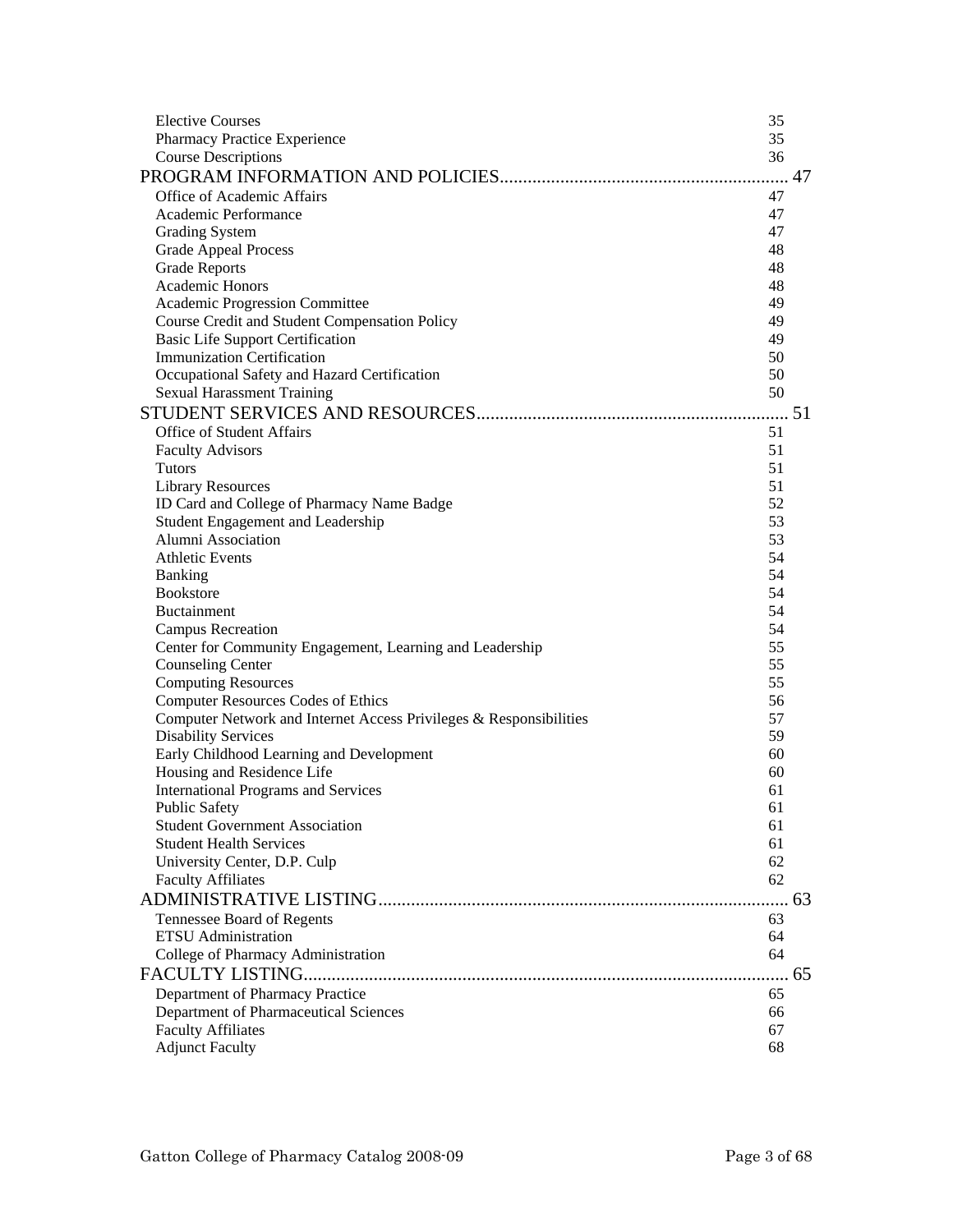| <b>Elective Courses</b>                                            | 35 |    |
|--------------------------------------------------------------------|----|----|
| Pharmacy Practice Experience                                       | 35 |    |
| <b>Course Descriptions</b>                                         | 36 |    |
|                                                                    |    |    |
| Office of Academic Affairs                                         | 47 |    |
| Academic Performance                                               | 47 |    |
| <b>Grading System</b>                                              | 47 |    |
| <b>Grade Appeal Process</b>                                        | 48 |    |
| <b>Grade Reports</b>                                               | 48 |    |
| Academic Honors                                                    | 48 |    |
| Academic Progression Committee                                     | 49 |    |
| Course Credit and Student Compensation Policy                      | 49 |    |
| <b>Basic Life Support Certification</b>                            | 49 |    |
| <b>Immunization Certification</b>                                  | 50 |    |
| Occupational Safety and Hazard Certification                       | 50 |    |
| <b>Sexual Harassment Training</b>                                  | 50 |    |
|                                                                    |    |    |
| <b>Office of Student Affairs</b>                                   | 51 |    |
| <b>Faculty Advisors</b>                                            | 51 |    |
| Tutors                                                             | 51 |    |
| <b>Library Resources</b>                                           | 51 |    |
| ID Card and College of Pharmacy Name Badge                         | 52 |    |
| Student Engagement and Leadership                                  | 53 |    |
| Alumni Association                                                 | 53 |    |
| <b>Athletic Events</b>                                             | 54 |    |
| <b>Banking</b>                                                     | 54 |    |
| <b>Bookstore</b>                                                   | 54 |    |
| <b>Buctainment</b>                                                 | 54 |    |
| <b>Campus Recreation</b>                                           | 54 |    |
| Center for Community Engagement, Learning and Leadership           | 55 |    |
| <b>Counseling Center</b>                                           | 55 |    |
| <b>Computing Resources</b>                                         | 55 |    |
| <b>Computer Resources Codes of Ethics</b>                          | 56 |    |
| Computer Network and Internet Access Privileges & Responsibilities | 57 |    |
| <b>Disability Services</b>                                         | 59 |    |
| Early Childhood Learning and Development                           | 60 |    |
| Housing and Residence Life                                         | 60 |    |
| <b>International Programs and Services</b>                         | 61 |    |
| <b>Public Safety</b>                                               | 61 |    |
| <b>Student Government Association</b>                              | 61 |    |
| <b>Student Health Services</b>                                     | 61 |    |
| University Center, D.P. Culp                                       | 62 |    |
| <b>Faculty Affiliates</b>                                          | 62 |    |
|                                                                    | 63 |    |
| Tennessee Board of Regents                                         | 63 |    |
| <b>ETSU</b> Administration                                         | 64 |    |
| College of Pharmacy Administration                                 | 64 |    |
|                                                                    |    | 65 |
| Department of Pharmacy Practice                                    | 65 |    |
| Department of Pharmaceutical Sciences                              | 66 |    |
| <b>Faculty Affiliates</b>                                          | 67 |    |
| <b>Adjunct Faculty</b>                                             | 68 |    |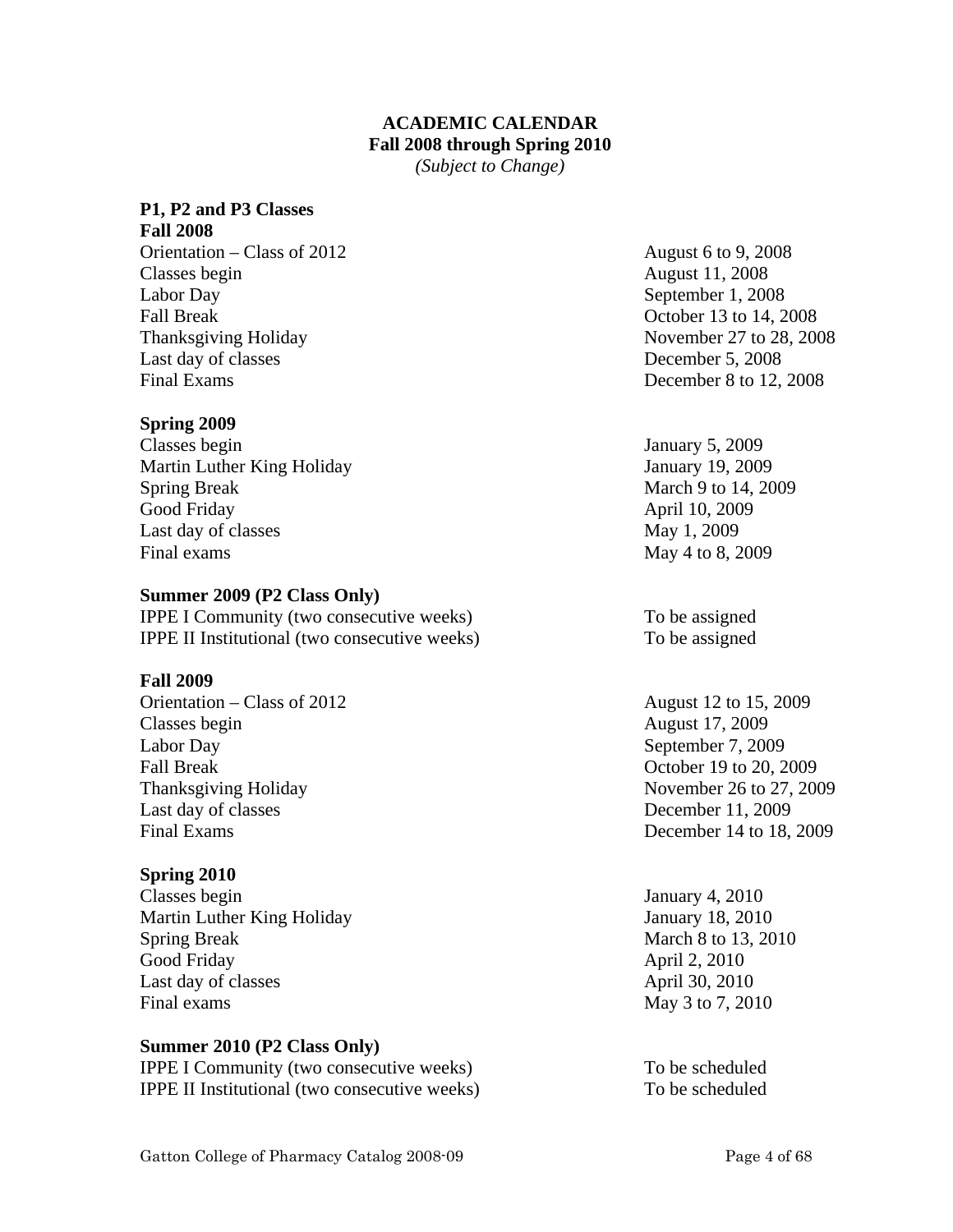# **ACADEMIC CALENDAR Fall 2008 through Spring 2010**

*(Subject to Change)* 

# **P1, P2 and P3 Classes**

**Fall 2008**  Orientation – Class of 2012 August 6 to 9, 2008 Classes begin August 11, 2008 Labor Day September 1, 2008 Fall Break October 13 to 14, 2008 Thanksgiving Holiday November 27 to 28, 2008 Last day of classes December 5, 2008 Final Exams December 8 to 12, 2008

# **Spring 2009**

Classes begin January 5, 2009 Martin Luther King Holiday January 19, 2009 Spring Break March 9 to 14, 2009 Good Friday **April 10, 2009** Last day of classes May 1, 2009 Final exams May 4 to 8, 2009

## **Summer 2009 (P2 Class Only)**

IPPE I Community (two consecutive weeks) To be assigned IPPE II Institutional (two consecutive weeks) To be assigned

## **Fall 2009**

Orientation – Class of 2012 August 12 to 15, 2009 Classes begin August 17, 2009 Labor Day September 7, 2009 Fall Break October 19 to 20, 2009 Thanksgiving Holiday November 26 to 27, 2009 Last day of classes December 11, 2009 Final Exams December 14 to 18, 2009

# **Spring 2010**

Classes begin January 4, 2010 Martin Luther King Holiday January 18, 2010 Spring Break March 8 to 13, 2010 Good Friday April 2, 2010 Last day of classes April 30, 2010 Final exams May 3 to 7, 2010

# **Summer 2010 (P2 Class Only)**

IPPE I Community (two consecutive weeks) To be scheduled IPPE II Institutional (two consecutive weeks) To be scheduled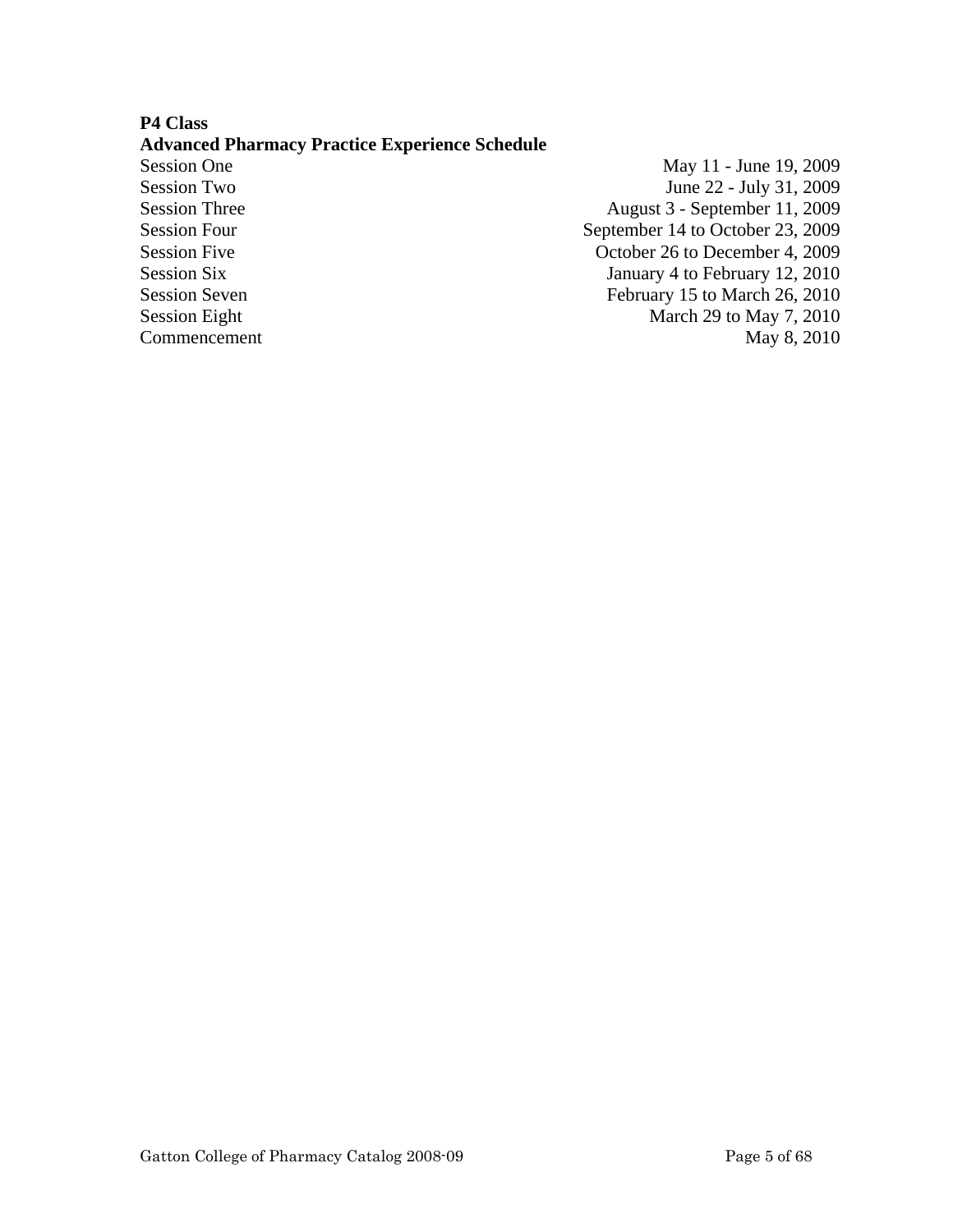# **P4 Class**

## **Advanced Pharmacy Practice Experience Schedule**

Session One May 11 - June 19, 2009 Session Two June 22 - July 31, 2009 Session Three August 3 - September 11, 2009 Session Four<br>
September 14 to October 23, 2009 Session Five Contract Contract Contract Contract October 26 to December 4, 2009 Session Six January 4 to February 12, 2010 Session Seven February 15 to March 26, 2010 Session Eight March 29 to May 7, 2010 Commencement May 8, 2010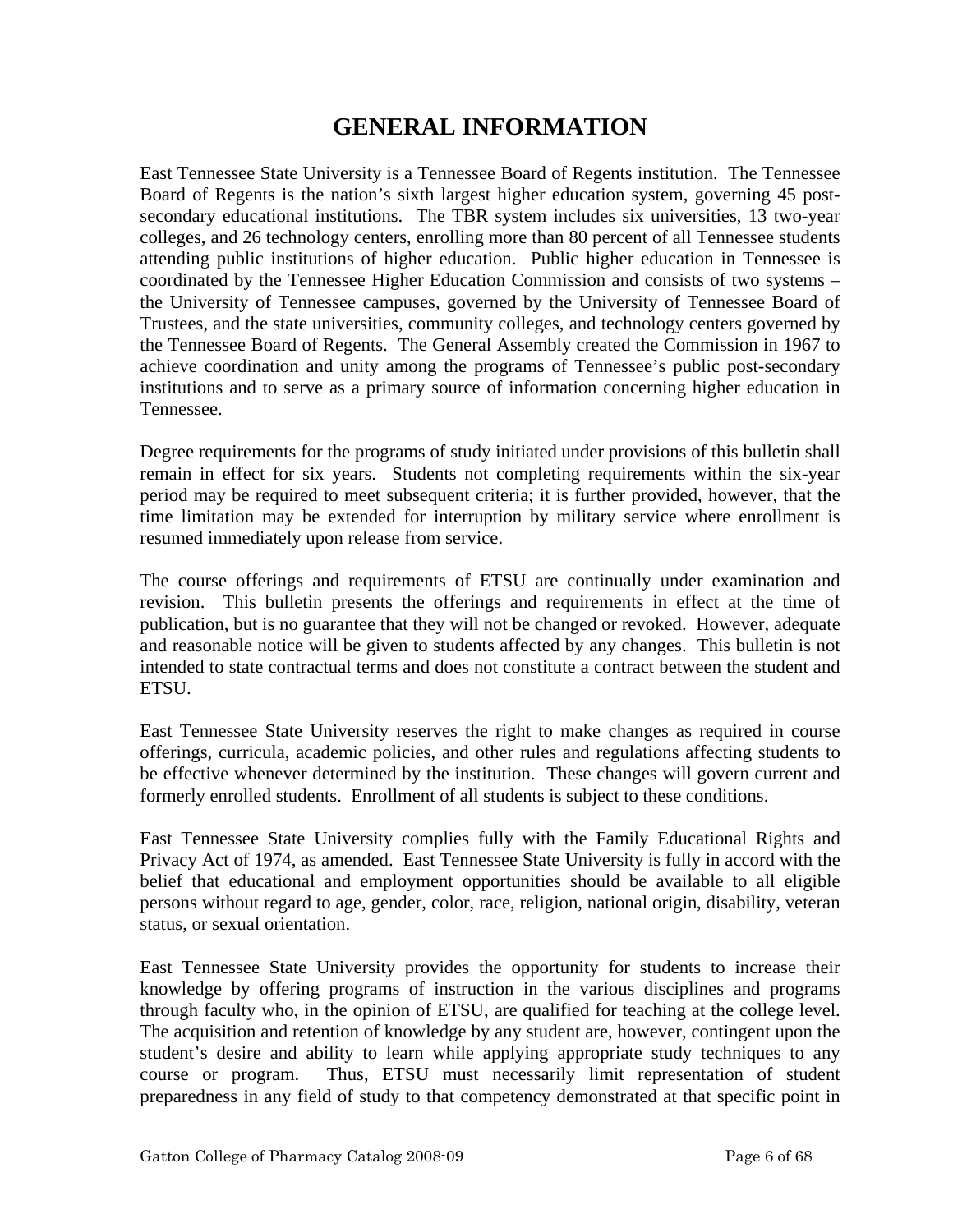# **GENERAL INFORMATION**

East Tennessee State University is a Tennessee Board of Regents institution. The Tennessee Board of Regents is the nation's sixth largest higher education system, governing 45 postsecondary educational institutions. The TBR system includes six universities, 13 two-year colleges, and 26 technology centers, enrolling more than 80 percent of all Tennessee students attending public institutions of higher education. Public higher education in Tennessee is coordinated by the Tennessee Higher Education Commission and consists of two systems – the University of Tennessee campuses, governed by the University of Tennessee Board of Trustees, and the state universities, community colleges, and technology centers governed by the Tennessee Board of Regents. The General Assembly created the Commission in 1967 to achieve coordination and unity among the programs of Tennessee's public post-secondary institutions and to serve as a primary source of information concerning higher education in Tennessee.

Degree requirements for the programs of study initiated under provisions of this bulletin shall remain in effect for six years. Students not completing requirements within the six-year period may be required to meet subsequent criteria; it is further provided, however, that the time limitation may be extended for interruption by military service where enrollment is resumed immediately upon release from service.

The course offerings and requirements of ETSU are continually under examination and revision. This bulletin presents the offerings and requirements in effect at the time of publication, but is no guarantee that they will not be changed or revoked. However, adequate and reasonable notice will be given to students affected by any changes. This bulletin is not intended to state contractual terms and does not constitute a contract between the student and ETSU.

East Tennessee State University reserves the right to make changes as required in course offerings, curricula, academic policies, and other rules and regulations affecting students to be effective whenever determined by the institution. These changes will govern current and formerly enrolled students. Enrollment of all students is subject to these conditions.

East Tennessee State University complies fully with the Family Educational Rights and Privacy Act of 1974, as amended. East Tennessee State University is fully in accord with the belief that educational and employment opportunities should be available to all eligible persons without regard to age, gender, color, race, religion, national origin, disability, veteran status, or sexual orientation.

East Tennessee State University provides the opportunity for students to increase their knowledge by offering programs of instruction in the various disciplines and programs through faculty who, in the opinion of ETSU, are qualified for teaching at the college level. The acquisition and retention of knowledge by any student are, however, contingent upon the student's desire and ability to learn while applying appropriate study techniques to any course or program. Thus, ETSU must necessarily limit representation of student preparedness in any field of study to that competency demonstrated at that specific point in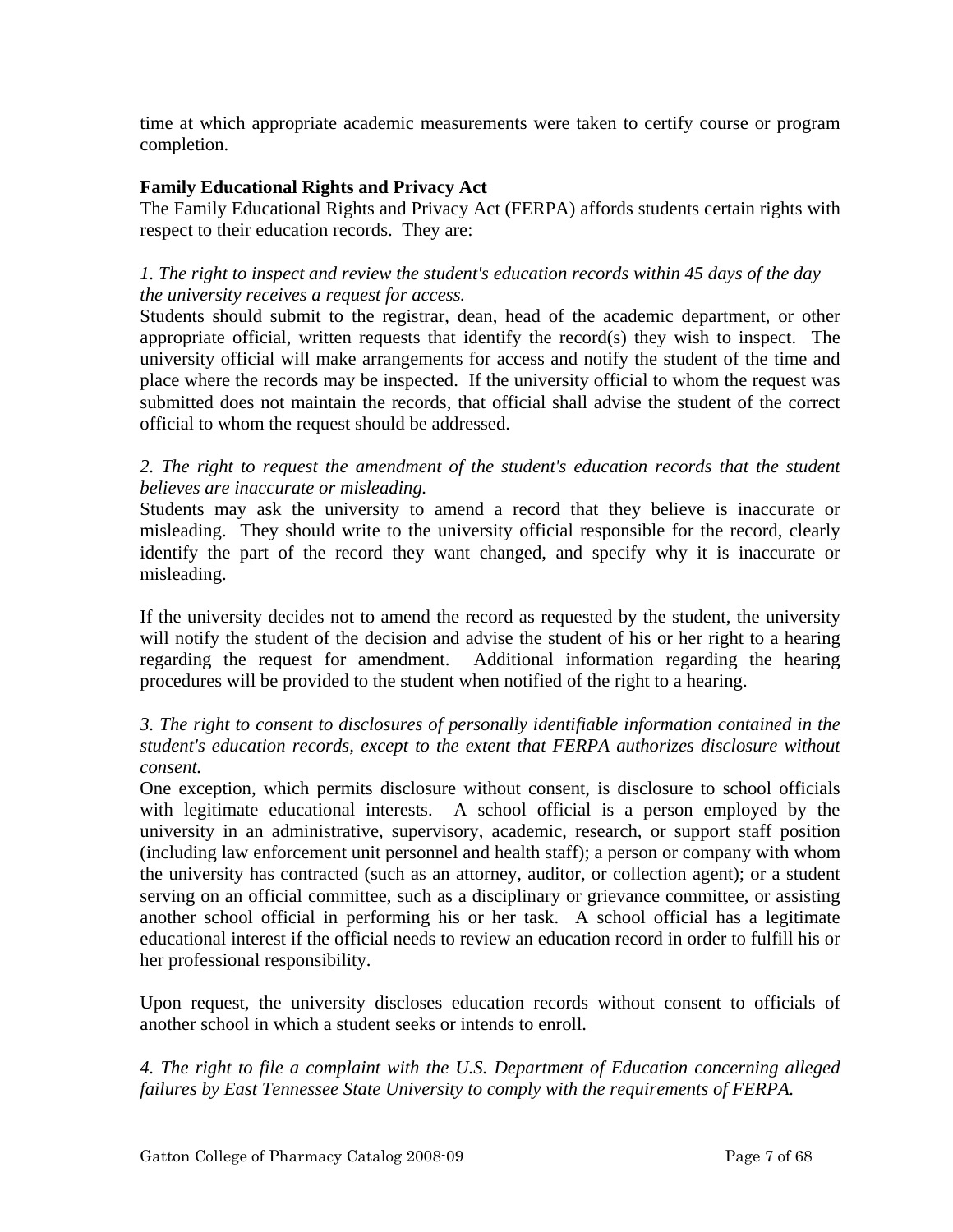time at which appropriate academic measurements were taken to certify course or program completion.

# **Family Educational Rights and Privacy Act**

The Family Educational Rights and Privacy Act (FERPA) affords students certain rights with respect to their education records. They are:

# *1. The right to inspect and review the student's education records within 45 days of the day the university receives a request for access.*

Students should submit to the registrar, dean, head of the academic department, or other appropriate official, written requests that identify the record(s) they wish to inspect. The university official will make arrangements for access and notify the student of the time and place where the records may be inspected. If the university official to whom the request was submitted does not maintain the records, that official shall advise the student of the correct official to whom the request should be addressed.

2. The right to request the amendment of the student's education records that the student *believes are inaccurate or misleading.* 

Students may ask the university to amend a record that they believe is inaccurate or misleading. They should write to the university official responsible for the record, clearly identify the part of the record they want changed, and specify why it is inaccurate or misleading.

If the university decides not to amend the record as requested by the student, the university will notify the student of the decision and advise the student of his or her right to a hearing regarding the request for amendment. Additional information regarding the hearing procedures will be provided to the student when notified of the right to a hearing.

# *3. The right to consent to disclosures of personally identifiable information contained in the student's education records, except to the extent that FERPA authorizes disclosure without consent.*

One exception, which permits disclosure without consent, is disclosure to school officials with legitimate educational interests. A school official is a person employed by the university in an administrative, supervisory, academic, research, or support staff position (including law enforcement unit personnel and health staff); a person or company with whom the university has contracted (such as an attorney, auditor, or collection agent); or a student serving on an official committee, such as a disciplinary or grievance committee, or assisting another school official in performing his or her task. A school official has a legitimate educational interest if the official needs to review an education record in order to fulfill his or her professional responsibility.

Upon request, the university discloses education records without consent to officials of another school in which a student seeks or intends to enroll.

*4. The right to file a complaint with the U.S. Department of Education concerning alleged failures by East Tennessee State University to comply with the requirements of FERPA.*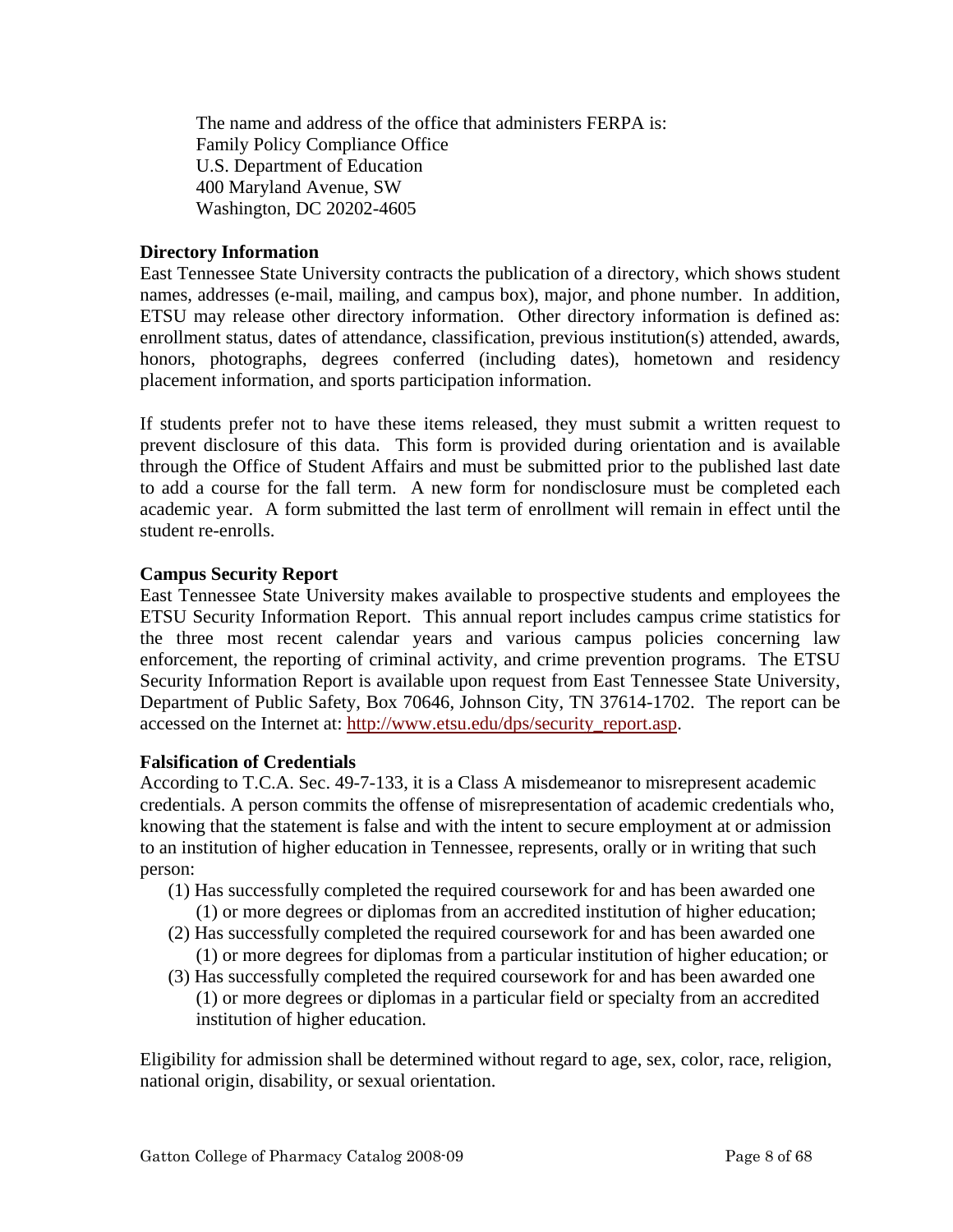The name and address of the office that administers FERPA is: Family Policy Compliance Office U.S. Department of Education 400 Maryland Avenue, SW Washington, DC 20202-4605

# **Directory Information**

East Tennessee State University contracts the publication of a directory, which shows student names, addresses (e-mail, mailing, and campus box), major, and phone number. In addition, ETSU may release other directory information. Other directory information is defined as: enrollment status, dates of attendance, classification, previous institution(s) attended, awards, honors, photographs, degrees conferred (including dates), hometown and residency placement information, and sports participation information.

If students prefer not to have these items released, they must submit a written request to prevent disclosure of this data. This form is provided during orientation and is available through the Office of Student Affairs and must be submitted prior to the published last date to add a course for the fall term. A new form for nondisclosure must be completed each academic year. A form submitted the last term of enrollment will remain in effect until the student re-enrolls.

## **Campus Security Report**

East Tennessee State University makes available to prospective students and employees the ETSU Security Information Report. This annual report includes campus crime statistics for the three most recent calendar years and various campus policies concerning law enforcement, the reporting of criminal activity, and crime prevention programs. The ETSU Security Information Report is available upon request from East Tennessee State University, Department of Public Safety, Box 70646, Johnson City, TN 37614-1702. The report can be accessed on the Internet at: http://www.etsu.edu/dps/security\_report.asp.

## **Falsification of Credentials**

According to T.C.A. Sec. 49-7-133, it is a Class A misdemeanor to misrepresent academic credentials. A person commits the offense of misrepresentation of academic credentials who, knowing that the statement is false and with the intent to secure employment at or admission to an institution of higher education in Tennessee, represents, orally or in writing that such person:

- (1) Has successfully completed the required coursework for and has been awarded one
	- (1) or more degrees or diplomas from an accredited institution of higher education;
- (2) Has successfully completed the required coursework for and has been awarded one (1) or more degrees for diplomas from a particular institution of higher education; or
- (3) Has successfully completed the required coursework for and has been awarded one (1) or more degrees or diplomas in a particular field or specialty from an accredited institution of higher education.

Eligibility for admission shall be determined without regard to age, sex, color, race, religion, national origin, disability, or sexual orientation.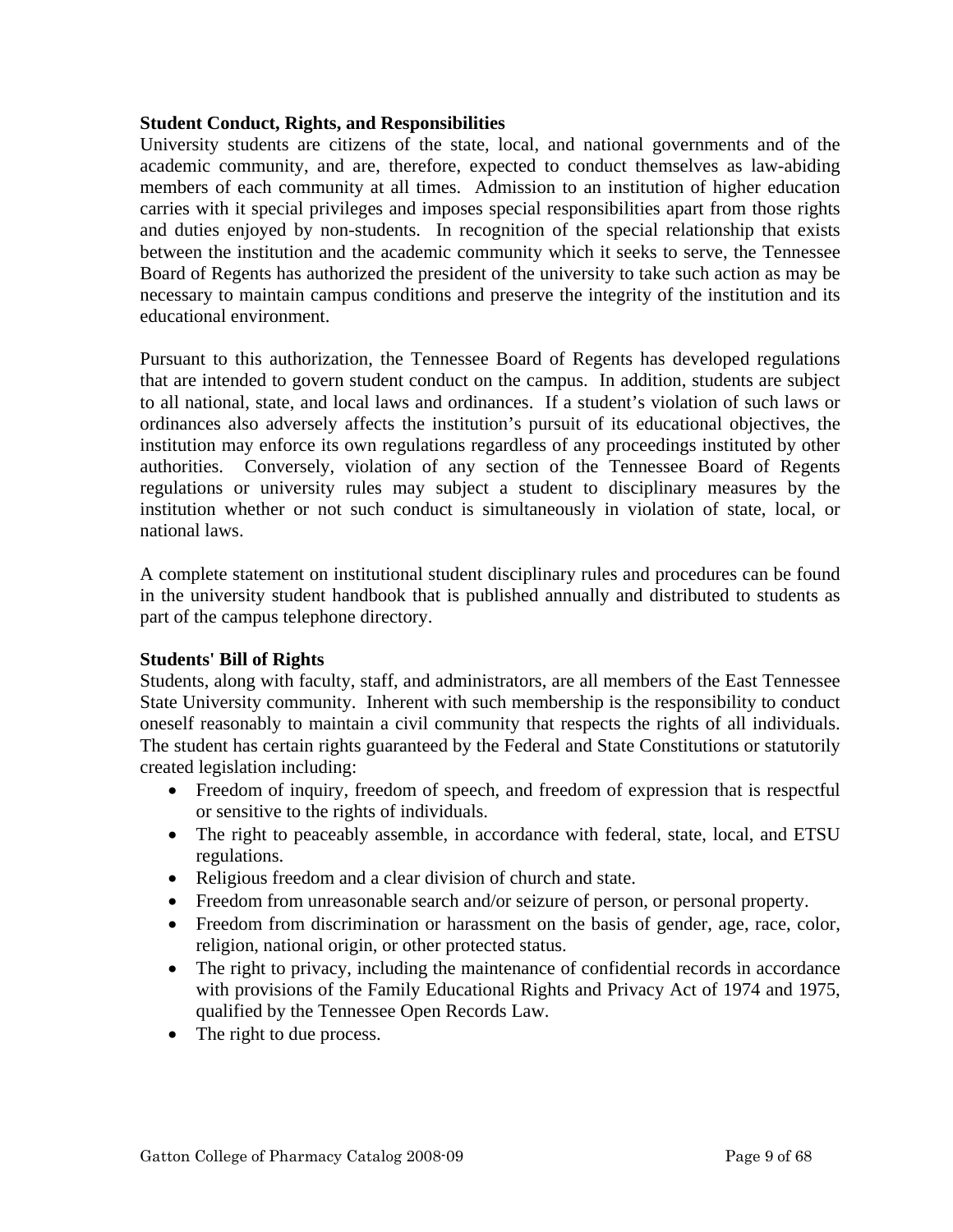#### **Student Conduct, Rights, and Responsibilities**

University students are citizens of the state, local, and national governments and of the academic community, and are, therefore, expected to conduct themselves as law-abiding members of each community at all times. Admission to an institution of higher education carries with it special privileges and imposes special responsibilities apart from those rights and duties enjoyed by non-students. In recognition of the special relationship that exists between the institution and the academic community which it seeks to serve, the Tennessee Board of Regents has authorized the president of the university to take such action as may be necessary to maintain campus conditions and preserve the integrity of the institution and its educational environment.

Pursuant to this authorization, the Tennessee Board of Regents has developed regulations that are intended to govern student conduct on the campus. In addition, students are subject to all national, state, and local laws and ordinances. If a student's violation of such laws or ordinances also adversely affects the institution's pursuit of its educational objectives, the institution may enforce its own regulations regardless of any proceedings instituted by other authorities. Conversely, violation of any section of the Tennessee Board of Regents regulations or university rules may subject a student to disciplinary measures by the institution whether or not such conduct is simultaneously in violation of state, local, or national laws.

A complete statement on institutional student disciplinary rules and procedures can be found in the university student handbook that is published annually and distributed to students as part of the campus telephone directory.

## **Students' Bill of Rights**

Students, along with faculty, staff, and administrators, are all members of the East Tennessee State University community. Inherent with such membership is the responsibility to conduct oneself reasonably to maintain a civil community that respects the rights of all individuals. The student has certain rights guaranteed by the Federal and State Constitutions or statutorily created legislation including:

- Freedom of inquiry, freedom of speech, and freedom of expression that is respectful or sensitive to the rights of individuals.
- The right to peaceably assemble, in accordance with federal, state, local, and ETSU regulations.
- Religious freedom and a clear division of church and state.
- Freedom from unreasonable search and/or seizure of person, or personal property.
- Freedom from discrimination or harassment on the basis of gender, age, race, color, religion, national origin, or other protected status.
- The right to privacy, including the maintenance of confidential records in accordance with provisions of the Family Educational Rights and Privacy Act of 1974 and 1975, qualified by the Tennessee Open Records Law.
- The right to due process.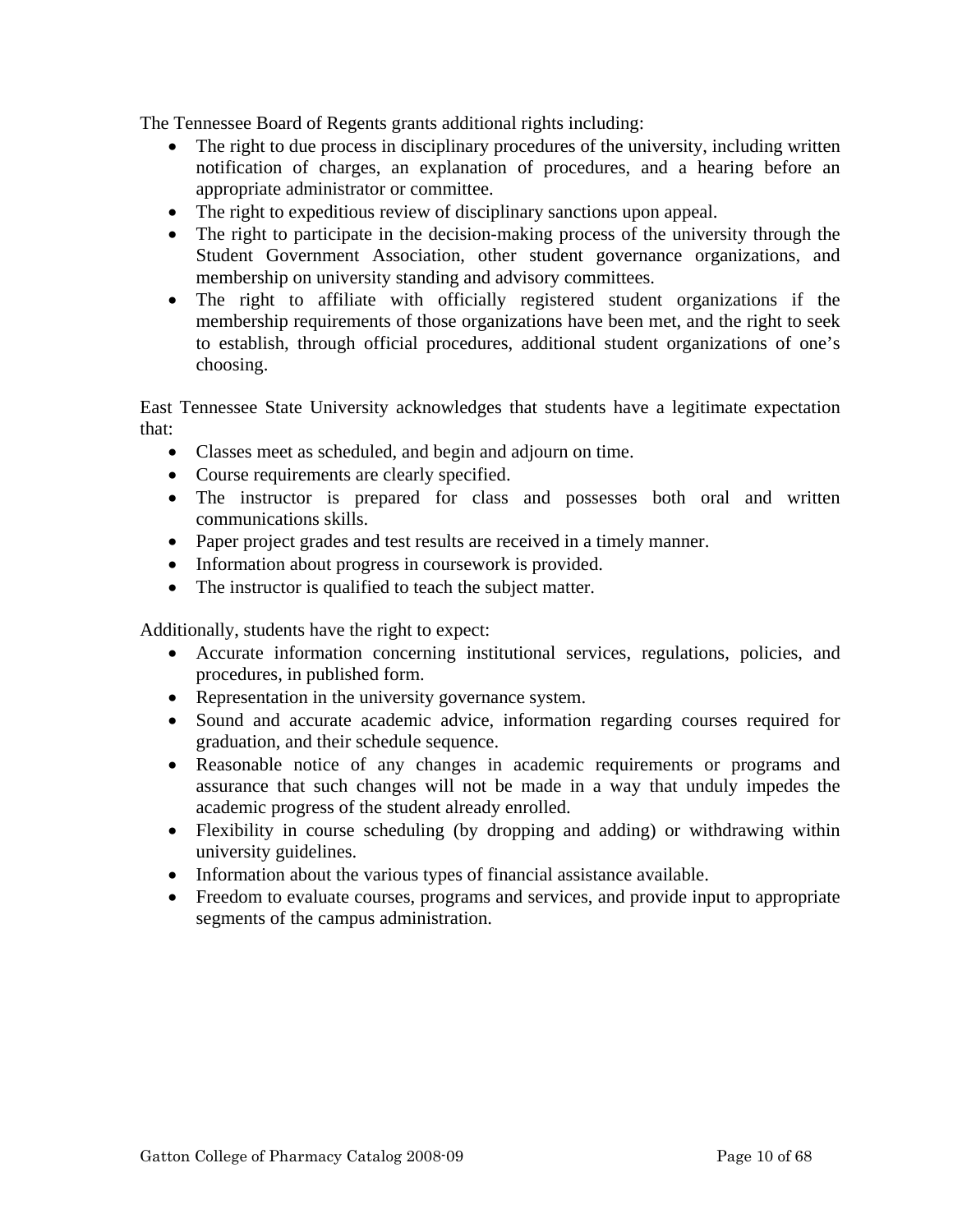The Tennessee Board of Regents grants additional rights including:

- The right to due process in disciplinary procedures of the university, including written notification of charges, an explanation of procedures, and a hearing before an appropriate administrator or committee.
- The right to expeditious review of disciplinary sanctions upon appeal.
- The right to participate in the decision-making process of the university through the Student Government Association, other student governance organizations, and membership on university standing and advisory committees.
- The right to affiliate with officially registered student organizations if the membership requirements of those organizations have been met, and the right to seek to establish, through official procedures, additional student organizations of one's choosing.

East Tennessee State University acknowledges that students have a legitimate expectation that:

- Classes meet as scheduled, and begin and adjourn on time.
- Course requirements are clearly specified.
- The instructor is prepared for class and possesses both oral and written communications skills.
- Paper project grades and test results are received in a timely manner.
- Information about progress in coursework is provided.
- The instructor is qualified to teach the subject matter.

Additionally, students have the right to expect:

- Accurate information concerning institutional services, regulations, policies, and procedures, in published form.
- Representation in the university governance system.
- Sound and accurate academic advice, information regarding courses required for graduation, and their schedule sequence.
- Reasonable notice of any changes in academic requirements or programs and assurance that such changes will not be made in a way that unduly impedes the academic progress of the student already enrolled.
- Flexibility in course scheduling (by dropping and adding) or withdrawing within university guidelines.
- Information about the various types of financial assistance available.
- Freedom to evaluate courses, programs and services, and provide input to appropriate segments of the campus administration.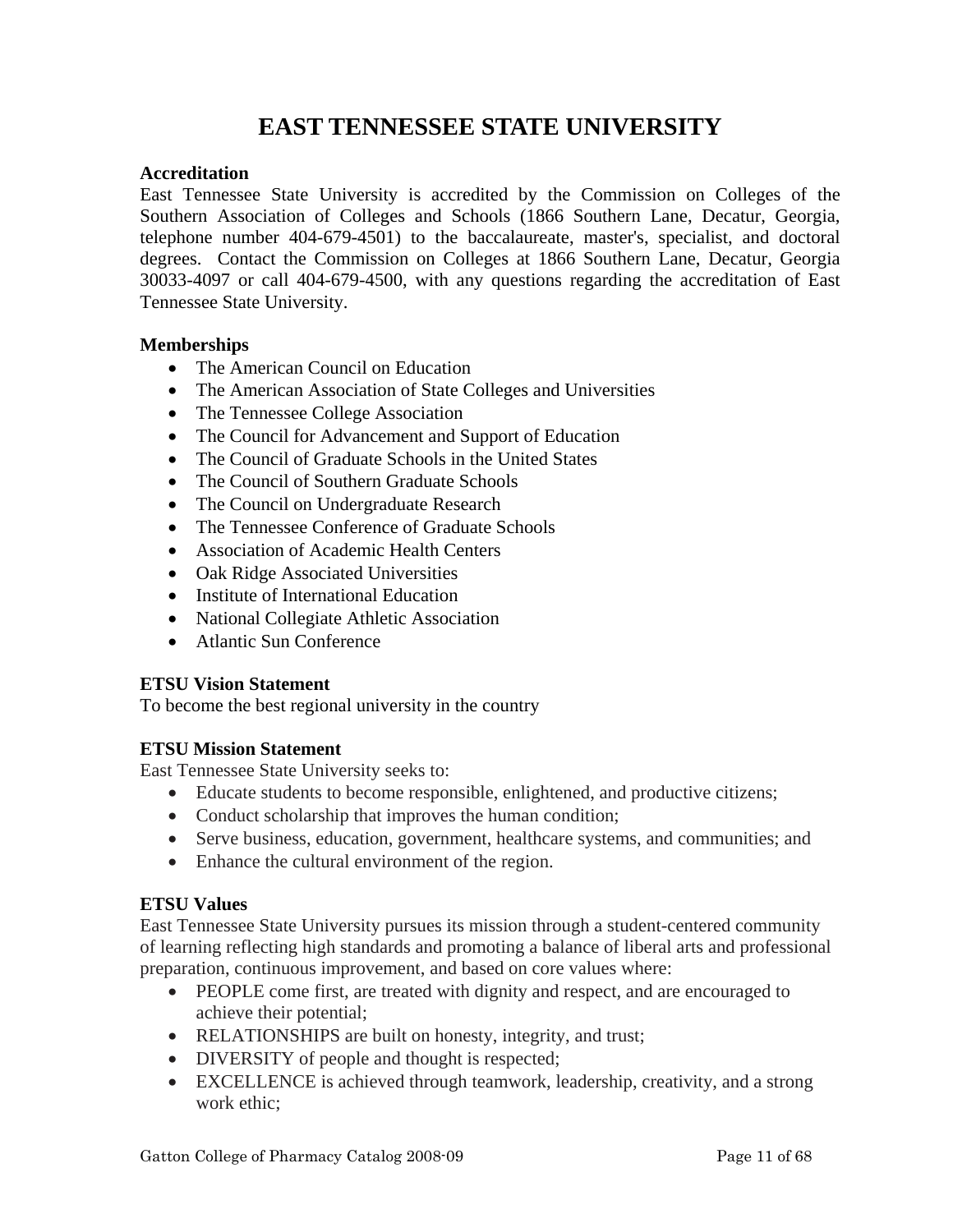# **EAST TENNESSEE STATE UNIVERSITY**

#### **Accreditation**

East Tennessee State University is accredited by the Commission on Colleges of the Southern Association of Colleges and Schools (1866 Southern Lane, Decatur, Georgia, telephone number 404-679-4501) to the baccalaureate, master's, specialist, and doctoral degrees. Contact the Commission on Colleges at 1866 Southern Lane, Decatur, Georgia 30033-4097 or call 404-679-4500, with any questions regarding the accreditation of East Tennessee State University.

#### **Memberships**

- The American Council on Education
- The American Association of State Colleges and Universities
- The Tennessee College Association
- The Council for Advancement and Support of Education
- The Council of Graduate Schools in the United States
- The Council of Southern Graduate Schools
- The Council on Undergraduate Research
- The Tennessee Conference of Graduate Schools
- Association of Academic Health Centers
- Oak Ridge Associated Universities
- Institute of International Education
- National Collegiate Athletic Association
- Atlantic Sun Conference

## **ETSU Vision Statement**

To become the best regional university in the country

## **ETSU Mission Statement**

East Tennessee State University seeks to:

- Educate students to become responsible, enlightened, and productive citizens;
- Conduct scholarship that improves the human condition;
- Serve business, education, government, healthcare systems, and communities; and
- Enhance the cultural environment of the region.

## **ETSU Values**

East Tennessee State University pursues its mission through a student-centered community of learning reflecting high standards and promoting a balance of liberal arts and professional preparation, continuous improvement, and based on core values where:

- PEOPLE come first, are treated with dignity and respect, and are encouraged to achieve their potential;
- RELATIONSHIPS are built on honesty, integrity, and trust;
- DIVERSITY of people and thought is respected;
- EXCELLENCE is achieved through teamwork, leadership, creativity, and a strong work ethic;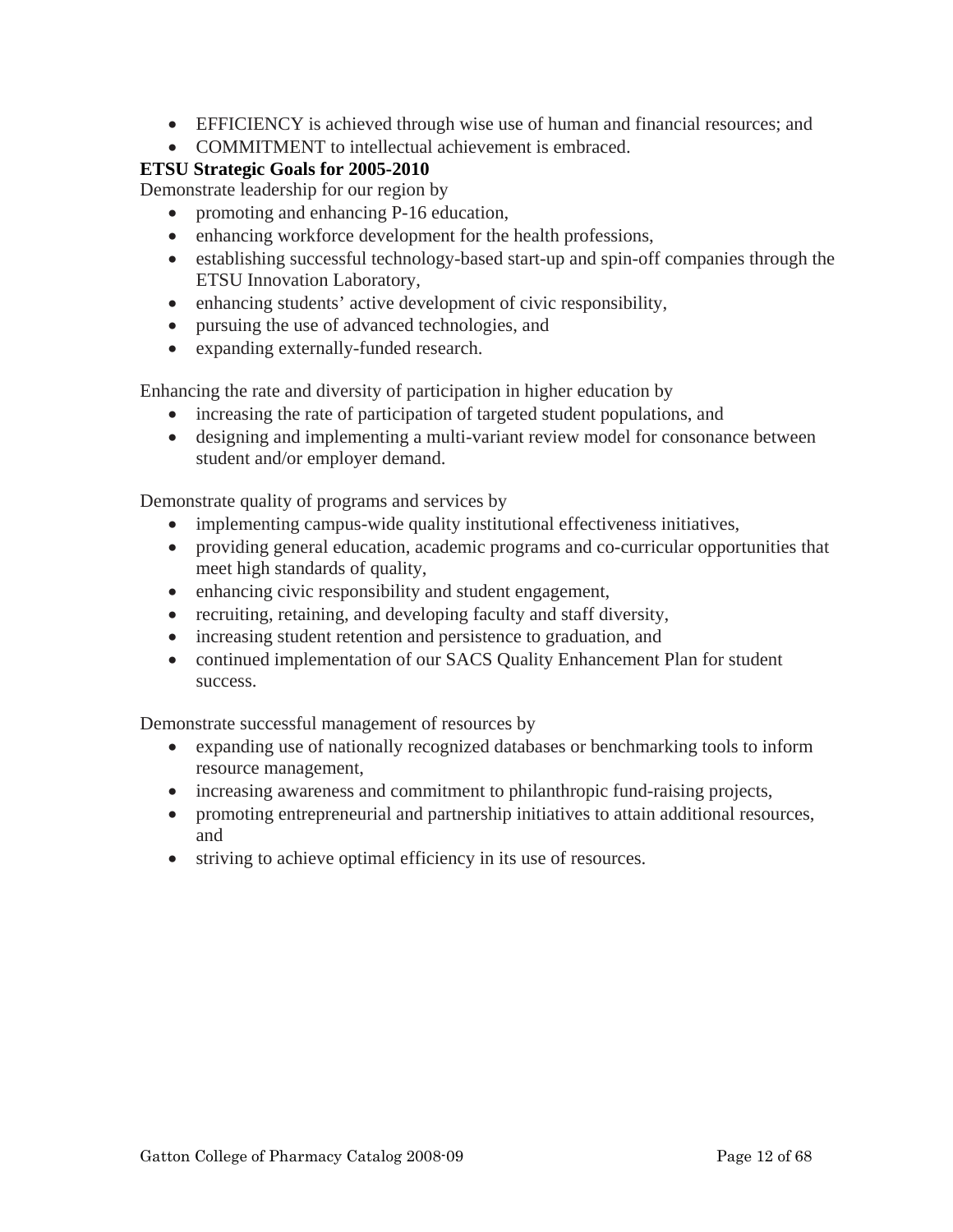- EFFICIENCY is achieved through wise use of human and financial resources; and
- COMMITMENT to intellectual achievement is embraced.

# **ETSU Strategic Goals for 2005-2010**

Demonstrate leadership for our region by

- promoting and enhancing P-16 education,
- enhancing workforce development for the health professions,
- establishing successful technology-based start-up and spin-off companies through the ETSU Innovation Laboratory,
- enhancing students' active development of civic responsibility,
- pursuing the use of advanced technologies, and
- expanding externally-funded research.

Enhancing the rate and diversity of participation in higher education by

- increasing the rate of participation of targeted student populations, and
- designing and implementing a multi-variant review model for consonance between student and/or employer demand.

Demonstrate quality of programs and services by

- implementing campus-wide quality institutional effectiveness initiatives,
- providing general education, academic programs and co-curricular opportunities that meet high standards of quality,
- enhancing civic responsibility and student engagement,
- recruiting, retaining, and developing faculty and staff diversity,
- increasing student retention and persistence to graduation, and
- continued implementation of our SACS Quality Enhancement Plan for student success.

Demonstrate successful management of resources by

- expanding use of nationally recognized databases or benchmarking tools to inform resource management,
- increasing awareness and commitment to philanthropic fund-raising projects,
- promoting entrepreneurial and partnership initiatives to attain additional resources, and
- striving to achieve optimal efficiency in its use of resources.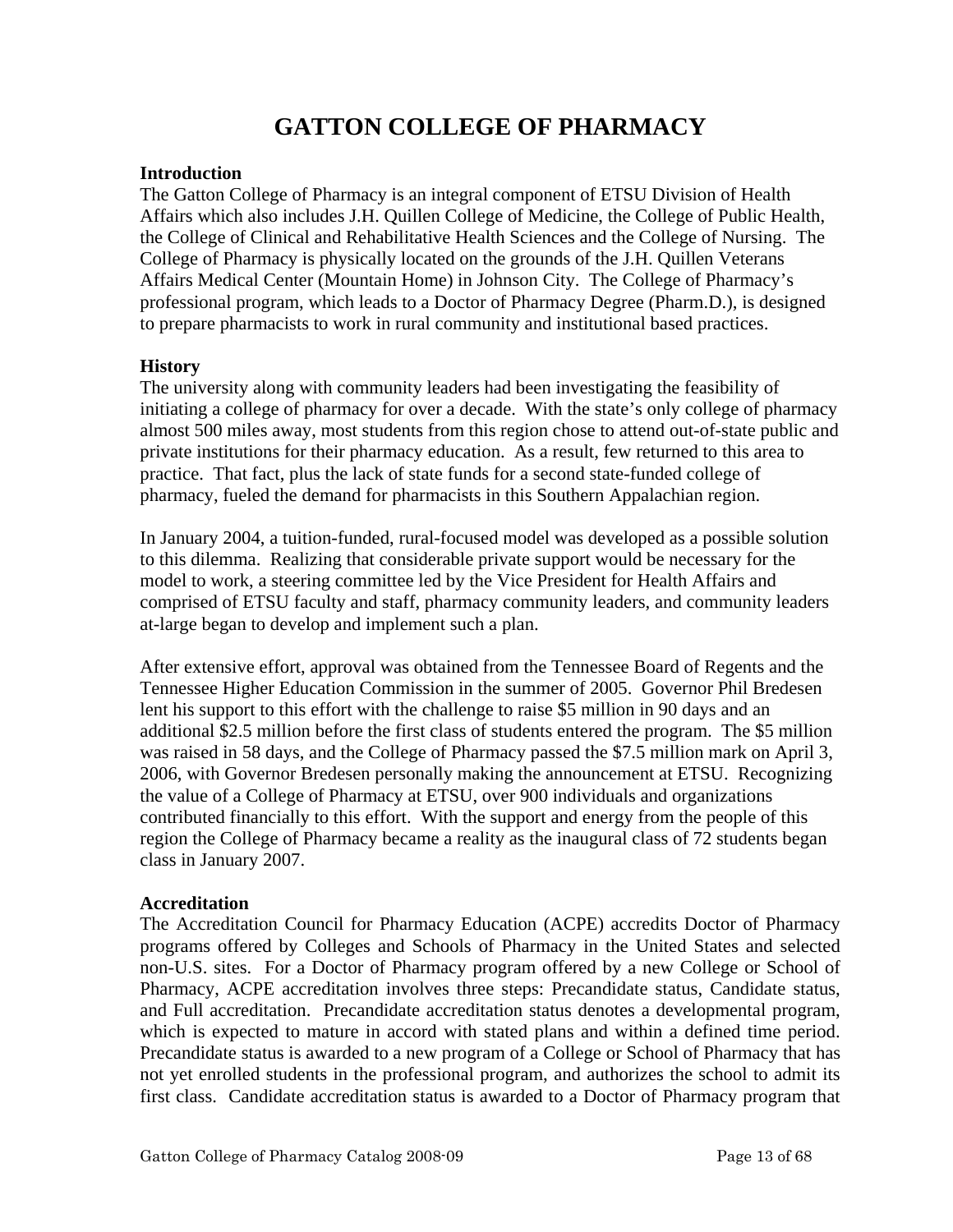# **GATTON COLLEGE OF PHARMACY**

## **Introduction**

The Gatton College of Pharmacy is an integral component of ETSU Division of Health Affairs which also includes J.H. Quillen College of Medicine, the College of Public Health, the College of Clinical and Rehabilitative Health Sciences and the College of Nursing. The College of Pharmacy is physically located on the grounds of the J.H. Quillen Veterans Affairs Medical Center (Mountain Home) in Johnson City. The College of Pharmacy's professional program, which leads to a Doctor of Pharmacy Degree (Pharm.D.), is designed to prepare pharmacists to work in rural community and institutional based practices.

# **History**

The university along with community leaders had been investigating the feasibility of initiating a college of pharmacy for over a decade. With the state's only college of pharmacy almost 500 miles away, most students from this region chose to attend out-of-state public and private institutions for their pharmacy education. As a result, few returned to this area to practice. That fact, plus the lack of state funds for a second state-funded college of pharmacy, fueled the demand for pharmacists in this Southern Appalachian region.

In January 2004, a tuition-funded, rural-focused model was developed as a possible solution to this dilemma. Realizing that considerable private support would be necessary for the model to work, a steering committee led by the Vice President for Health Affairs and comprised of ETSU faculty and staff, pharmacy community leaders, and community leaders at-large began to develop and implement such a plan.

After extensive effort, approval was obtained from the Tennessee Board of Regents and the Tennessee Higher Education Commission in the summer of 2005. Governor Phil Bredesen lent his support to this effort with the challenge to raise \$5 million in 90 days and an additional \$2.5 million before the first class of students entered the program. The \$5 million was raised in 58 days, and the College of Pharmacy passed the \$7.5 million mark on April 3, 2006, with Governor Bredesen personally making the announcement at ETSU. Recognizing the value of a College of Pharmacy at ETSU, over 900 individuals and organizations contributed financially to this effort. With the support and energy from the people of this region the College of Pharmacy became a reality as the inaugural class of 72 students began class in January 2007.

## **Accreditation**

The Accreditation Council for Pharmacy Education (ACPE) accredits Doctor of Pharmacy programs offered by Colleges and Schools of Pharmacy in the United States and selected non-U.S. sites. For a Doctor of Pharmacy program offered by a new College or School of Pharmacy, ACPE accreditation involves three steps: Precandidate status, Candidate status, and Full accreditation. Precandidate accreditation status denotes a developmental program, which is expected to mature in accord with stated plans and within a defined time period. Precandidate status is awarded to a new program of a College or School of Pharmacy that has not yet enrolled students in the professional program, and authorizes the school to admit its first class. Candidate accreditation status is awarded to a Doctor of Pharmacy program that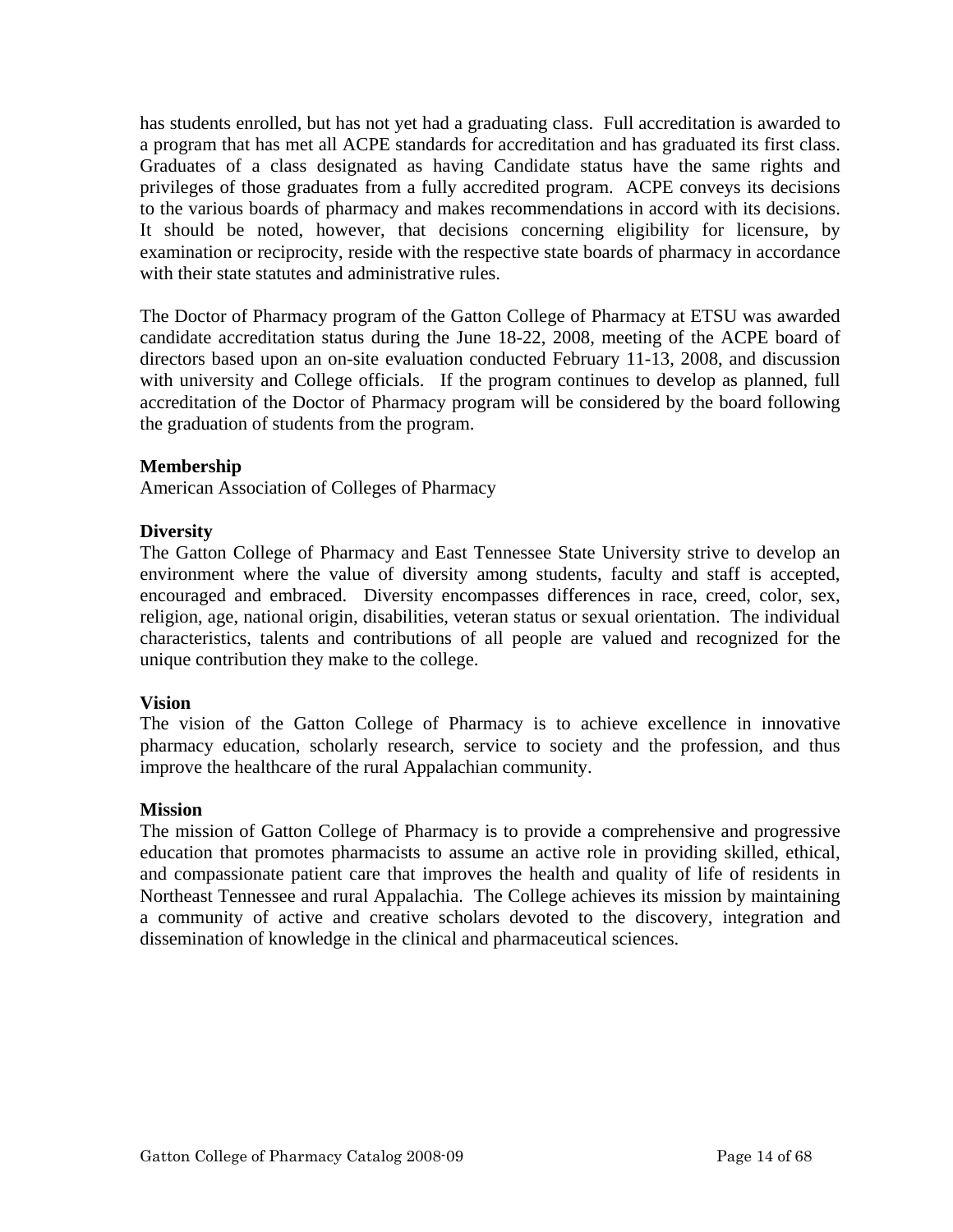has students enrolled, but has not yet had a graduating class. Full accreditation is awarded to a program that has met all ACPE standards for accreditation and has graduated its first class. Graduates of a class designated as having Candidate status have the same rights and privileges of those graduates from a fully accredited program. ACPE conveys its decisions to the various boards of pharmacy and makes recommendations in accord with its decisions. It should be noted, however, that decisions concerning eligibility for licensure, by examination or reciprocity, reside with the respective state boards of pharmacy in accordance with their state statutes and administrative rules.

The Doctor of Pharmacy program of the Gatton College of Pharmacy at ETSU was awarded candidate accreditation status during the June 18-22, 2008, meeting of the ACPE board of directors based upon an on-site evaluation conducted February 11-13, 2008, and discussion with university and College officials. If the program continues to develop as planned, full accreditation of the Doctor of Pharmacy program will be considered by the board following the graduation of students from the program.

# **Membership**

American Association of Colleges of Pharmacy

## **Diversity**

The Gatton College of Pharmacy and East Tennessee State University strive to develop an environment where the value of diversity among students, faculty and staff is accepted, encouraged and embraced. Diversity encompasses differences in race, creed, color, sex, religion, age, national origin, disabilities, veteran status or sexual orientation. The individual characteristics, talents and contributions of all people are valued and recognized for the unique contribution they make to the college.

## **Vision**

The vision of the Gatton College of Pharmacy is to achieve excellence in innovative pharmacy education, scholarly research, service to society and the profession, and thus improve the healthcare of the rural Appalachian community.

#### **Mission**

The mission of Gatton College of Pharmacy is to provide a comprehensive and progressive education that promotes pharmacists to assume an active role in providing skilled, ethical, and compassionate patient care that improves the health and quality of life of residents in Northeast Tennessee and rural Appalachia. The College achieves its mission by maintaining a community of active and creative scholars devoted to the discovery, integration and dissemination of knowledge in the clinical and pharmaceutical sciences.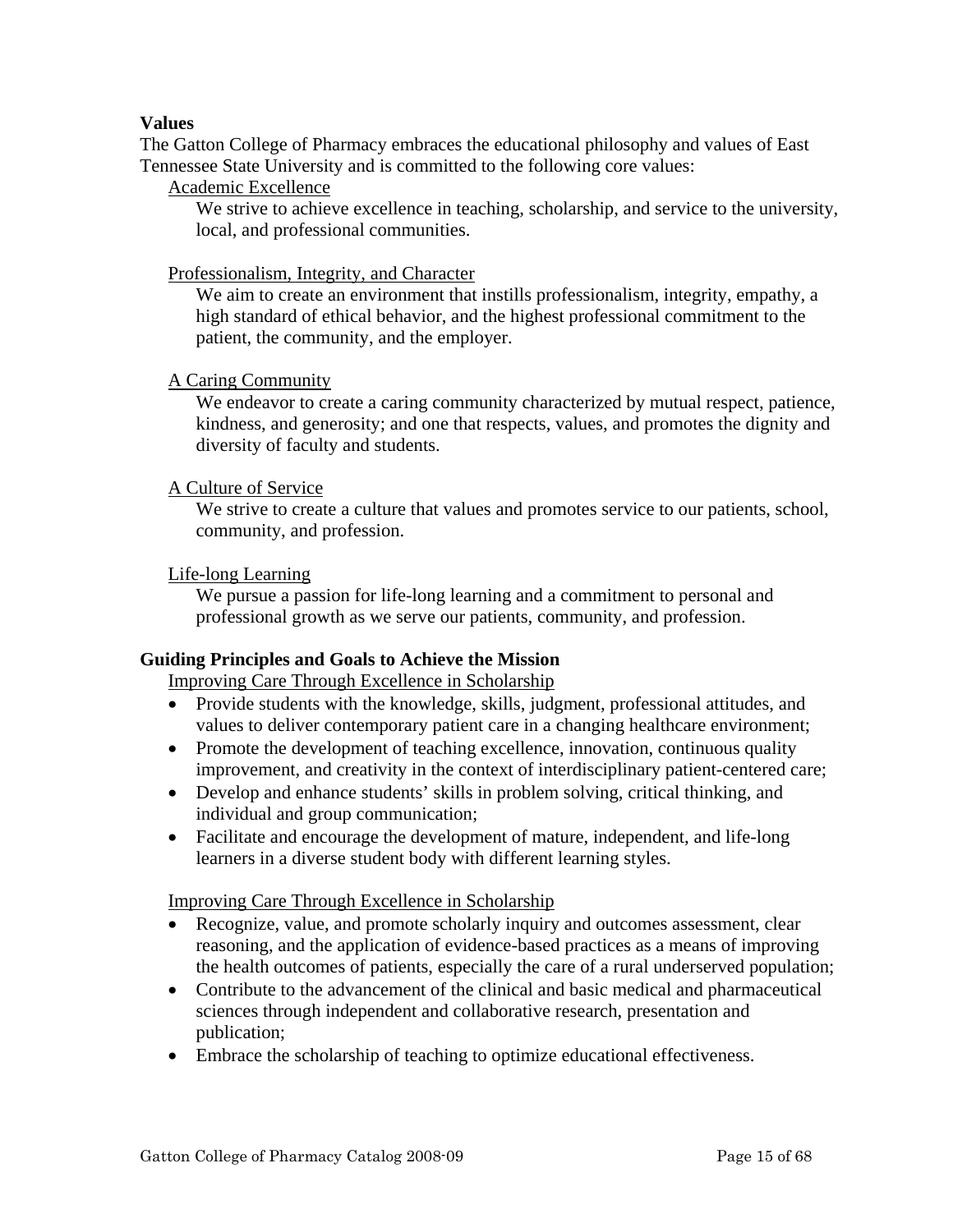# **Values**

The Gatton College of Pharmacy embraces the educational philosophy and values of East Tennessee State University and is committed to the following core values:

# Academic Excellence

We strive to achieve excellence in teaching, scholarship, and service to the university, local, and professional communities.

# Professionalism, Integrity, and Character

We aim to create an environment that instills professionalism, integrity, empathy, a high standard of ethical behavior, and the highest professional commitment to the patient, the community, and the employer.

# A Caring Community

We endeavor to create a caring community characterized by mutual respect, patience, kindness, and generosity; and one that respects, values, and promotes the dignity and diversity of faculty and students.

## A Culture of Service

We strive to create a culture that values and promotes service to our patients, school, community, and profession.

# Life-long Learning

We pursue a passion for life-long learning and a commitment to personal and professional growth as we serve our patients, community, and profession.

## **Guiding Principles and Goals to Achieve the Mission**

Improving Care Through Excellence in Scholarship

- Provide students with the knowledge, skills, judgment, professional attitudes, and values to deliver contemporary patient care in a changing healthcare environment;
- Promote the development of teaching excellence, innovation, continuous quality improvement, and creativity in the context of interdisciplinary patient-centered care;
- Develop and enhance students' skills in problem solving, critical thinking, and individual and group communication;
- Facilitate and encourage the development of mature, independent, and life-long learners in a diverse student body with different learning styles.

## Improving Care Through Excellence in Scholarship

- Recognize, value, and promote scholarly inquiry and outcomes assessment, clear reasoning, and the application of evidence-based practices as a means of improving the health outcomes of patients, especially the care of a rural underserved population;
- Contribute to the advancement of the clinical and basic medical and pharmaceutical sciences through independent and collaborative research, presentation and publication;
- Embrace the scholarship of teaching to optimize educational effectiveness.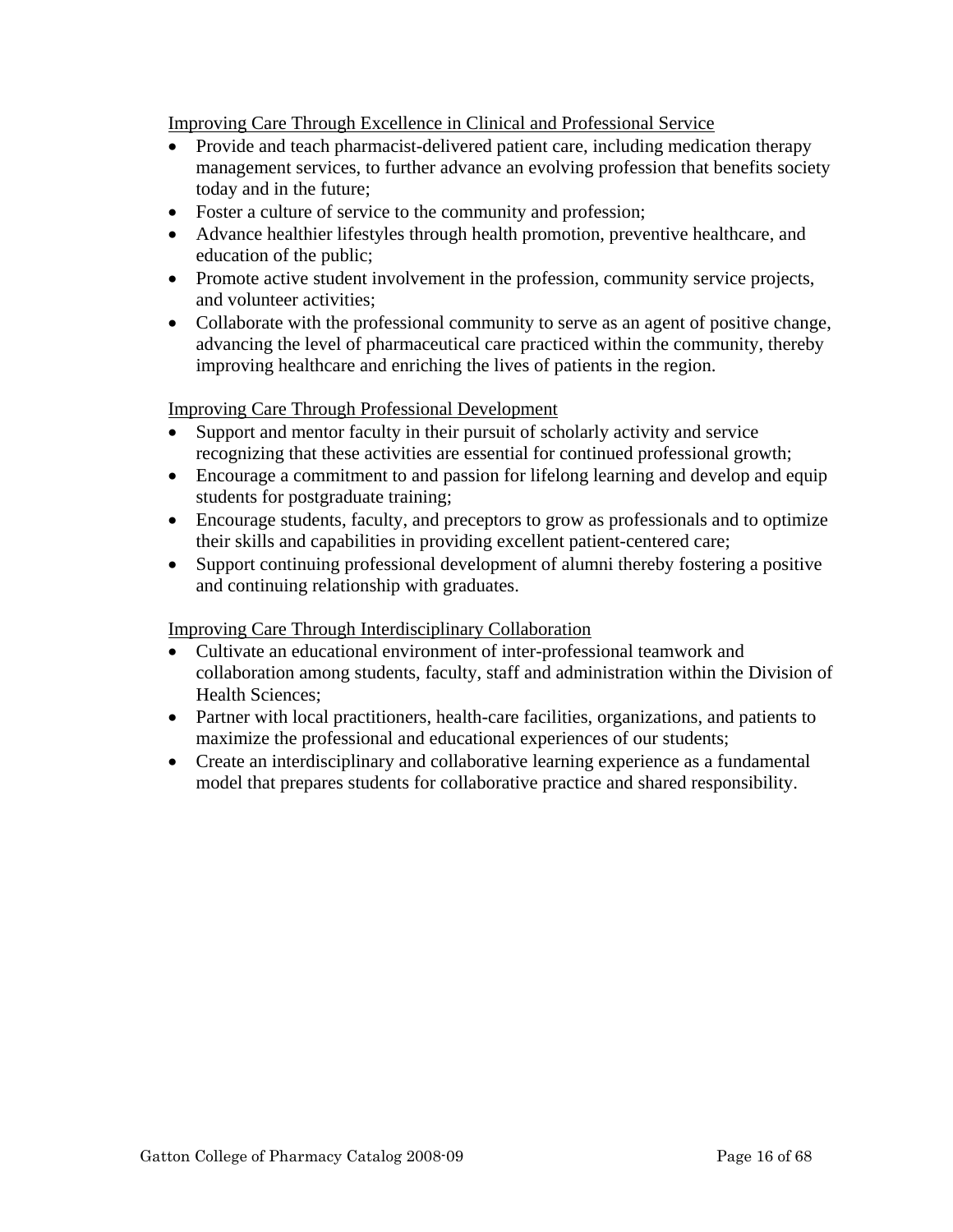Improving Care Through Excellence in Clinical and Professional Service

- Provide and teach pharmacist-delivered patient care, including medication therapy management services, to further advance an evolving profession that benefits society today and in the future;
- Foster a culture of service to the community and profession;
- Advance healthier lifestyles through health promotion, preventive healthcare, and education of the public;
- Promote active student involvement in the profession, community service projects, and volunteer activities;
- Collaborate with the professional community to serve as an agent of positive change, advancing the level of pharmaceutical care practiced within the community, thereby improving healthcare and enriching the lives of patients in the region.

Improving Care Through Professional Development

- Support and mentor faculty in their pursuit of scholarly activity and service recognizing that these activities are essential for continued professional growth;
- Encourage a commitment to and passion for lifelong learning and develop and equip students for postgraduate training;
- Encourage students, faculty, and preceptors to grow as professionals and to optimize their skills and capabilities in providing excellent patient-centered care;
- Support continuing professional development of alumni thereby fostering a positive and continuing relationship with graduates.

# Improving Care Through Interdisciplinary Collaboration

- Cultivate an educational environment of inter-professional teamwork and collaboration among students, faculty, staff and administration within the Division of Health Sciences;
- Partner with local practitioners, health-care facilities, organizations, and patients to maximize the professional and educational experiences of our students;
- Create an interdisciplinary and collaborative learning experience as a fundamental model that prepares students for collaborative practice and shared responsibility.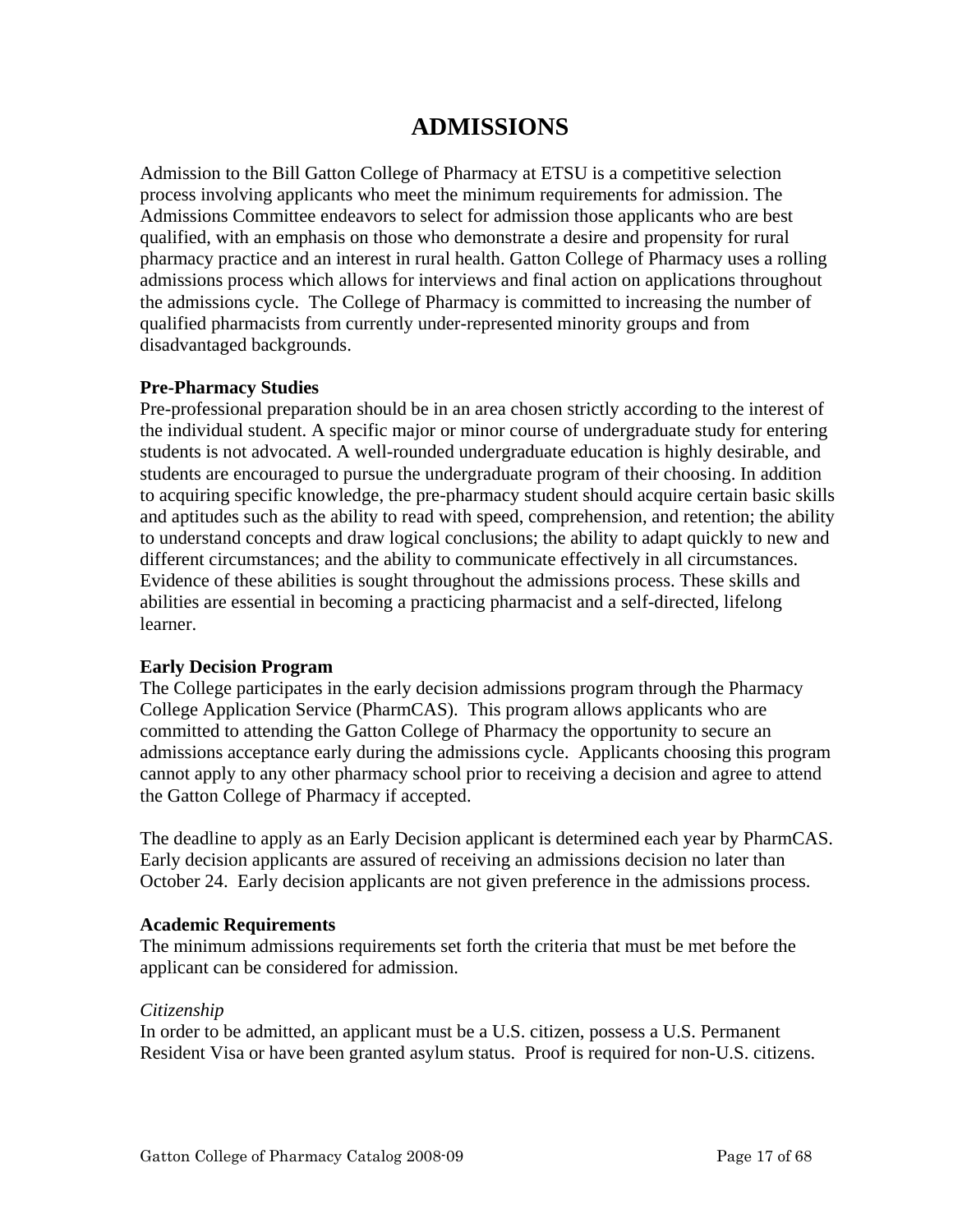# **ADMISSIONS**

Admission to the Bill Gatton College of Pharmacy at ETSU is a competitive selection process involving applicants who meet the minimum requirements for admission. The Admissions Committee endeavors to select for admission those applicants who are best qualified, with an emphasis on those who demonstrate a desire and propensity for rural pharmacy practice and an interest in rural health. Gatton College of Pharmacy uses a rolling admissions process which allows for interviews and final action on applications throughout the admissions cycle. The College of Pharmacy is committed to increasing the number of qualified pharmacists from currently under-represented minority groups and from disadvantaged backgrounds.

## **Pre-Pharmacy Studies**

Pre-professional preparation should be in an area chosen strictly according to the interest of the individual student. A specific major or minor course of undergraduate study for entering students is not advocated. A well-rounded undergraduate education is highly desirable, and students are encouraged to pursue the undergraduate program of their choosing. In addition to acquiring specific knowledge, the pre-pharmacy student should acquire certain basic skills and aptitudes such as the ability to read with speed, comprehension, and retention; the ability to understand concepts and draw logical conclusions; the ability to adapt quickly to new and different circumstances; and the ability to communicate effectively in all circumstances. Evidence of these abilities is sought throughout the admissions process. These skills and abilities are essential in becoming a practicing pharmacist and a self-directed, lifelong learner.

## **Early Decision Program**

The College participates in the early decision admissions program through the Pharmacy College Application Service (PharmCAS). This program allows applicants who are committed to attending the Gatton College of Pharmacy the opportunity to secure an admissions acceptance early during the admissions cycle. Applicants choosing this program cannot apply to any other pharmacy school prior to receiving a decision and agree to attend the Gatton College of Pharmacy if accepted.

The deadline to apply as an Early Decision applicant is determined each year by PharmCAS. Early decision applicants are assured of receiving an admissions decision no later than October 24. Early decision applicants are not given preference in the admissions process.

## **Academic Requirements**

The minimum admissions requirements set forth the criteria that must be met before the applicant can be considered for admission.

## *Citizenship*

In order to be admitted, an applicant must be a U.S. citizen, possess a U.S. Permanent Resident Visa or have been granted asylum status. Proof is required for non-U.S. citizens.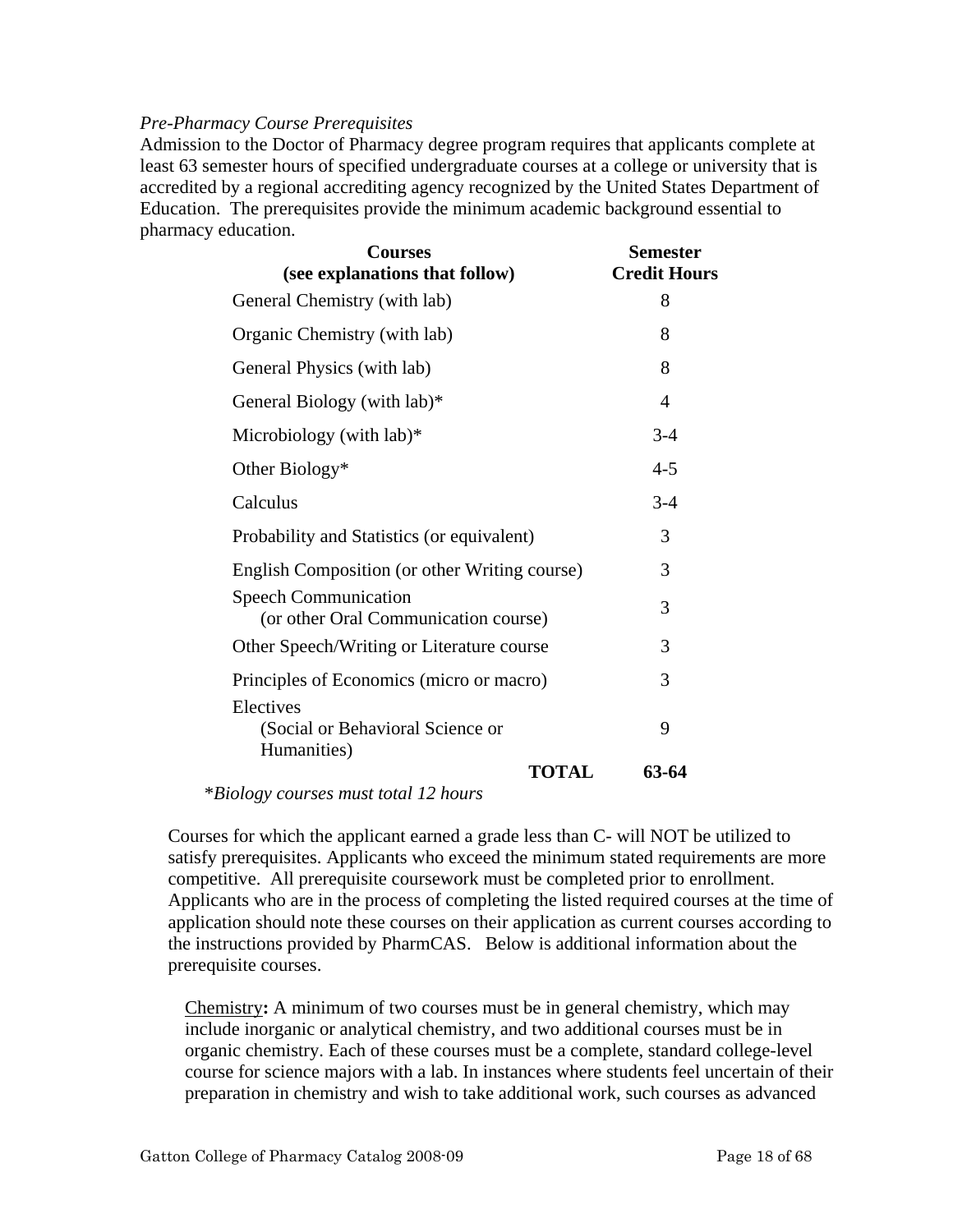## *Pre-Pharmacy Course Prerequisites*

Admission to the Doctor of Pharmacy degree program requires that applicants complete at least 63 semester hours of specified undergraduate courses at a college or university that is accredited by a regional accrediting agency recognized by the United States Department of Education. The prerequisites provide the minimum academic background essential to pharmacy education.

| <b>Courses</b><br>(see explanations that follow)                                                                                                                                                                                                                                                                                                | <b>Semester</b><br><b>Credit Hours</b> |
|-------------------------------------------------------------------------------------------------------------------------------------------------------------------------------------------------------------------------------------------------------------------------------------------------------------------------------------------------|----------------------------------------|
| General Chemistry (with lab)                                                                                                                                                                                                                                                                                                                    | 8                                      |
| Organic Chemistry (with lab)                                                                                                                                                                                                                                                                                                                    | 8                                      |
| General Physics (with lab)                                                                                                                                                                                                                                                                                                                      | 8                                      |
| General Biology (with lab)*                                                                                                                                                                                                                                                                                                                     | 4                                      |
| Microbiology (with $lab$ )*                                                                                                                                                                                                                                                                                                                     | $3 - 4$                                |
| Other Biology*                                                                                                                                                                                                                                                                                                                                  | $4 - 5$                                |
| Calculus                                                                                                                                                                                                                                                                                                                                        | $3 - 4$                                |
| Probability and Statistics (or equivalent)                                                                                                                                                                                                                                                                                                      | 3                                      |
| English Composition (or other Writing course)                                                                                                                                                                                                                                                                                                   | 3                                      |
| <b>Speech Communication</b><br>(or other Oral Communication course)                                                                                                                                                                                                                                                                             | 3                                      |
| Other Speech/Writing or Literature course                                                                                                                                                                                                                                                                                                       | 3                                      |
| Principles of Economics (micro or macro)                                                                                                                                                                                                                                                                                                        | 3                                      |
| Electives<br>(Social or Behavioral Science or<br>Humanities)                                                                                                                                                                                                                                                                                    | 9                                      |
| <b>TOTAL</b><br>$\frac{1}{2}$ . $\frac{1}{2}$ . $\frac{1}{2}$ . $\frac{1}{2}$ . $\frac{1}{2}$ . $\frac{1}{2}$ . $\frac{1}{2}$ . $\frac{1}{2}$ . $\frac{1}{2}$ . $\frac{1}{2}$ . $\frac{1}{2}$ . $\frac{1}{2}$ . $\frac{1}{2}$ . $\frac{1}{2}$ . $\frac{1}{2}$ . $\frac{1}{2}$ . $\frac{1}{2}$ . $\frac{1}{2}$ . $\frac{1}{2}$ . $\frac{1}{2}$ . | 63-64                                  |

\**Biology courses must total 12 hours*

Courses for which the applicant earned a grade less than C- will NOT be utilized to satisfy prerequisites. Applicants who exceed the minimum stated requirements are more competitive. All prerequisite coursework must be completed prior to enrollment. Applicants who are in the process of completing the listed required courses at the time of application should note these courses on their application as current courses according to the instructions provided by PharmCAS. Below is additional information about the prerequisite courses.

Chemistry**:** A minimum of two courses must be in general chemistry, which may include inorganic or analytical chemistry, and two additional courses must be in organic chemistry. Each of these courses must be a complete, standard college-level course for science majors with a lab. In instances where students feel uncertain of their preparation in chemistry and wish to take additional work, such courses as advanced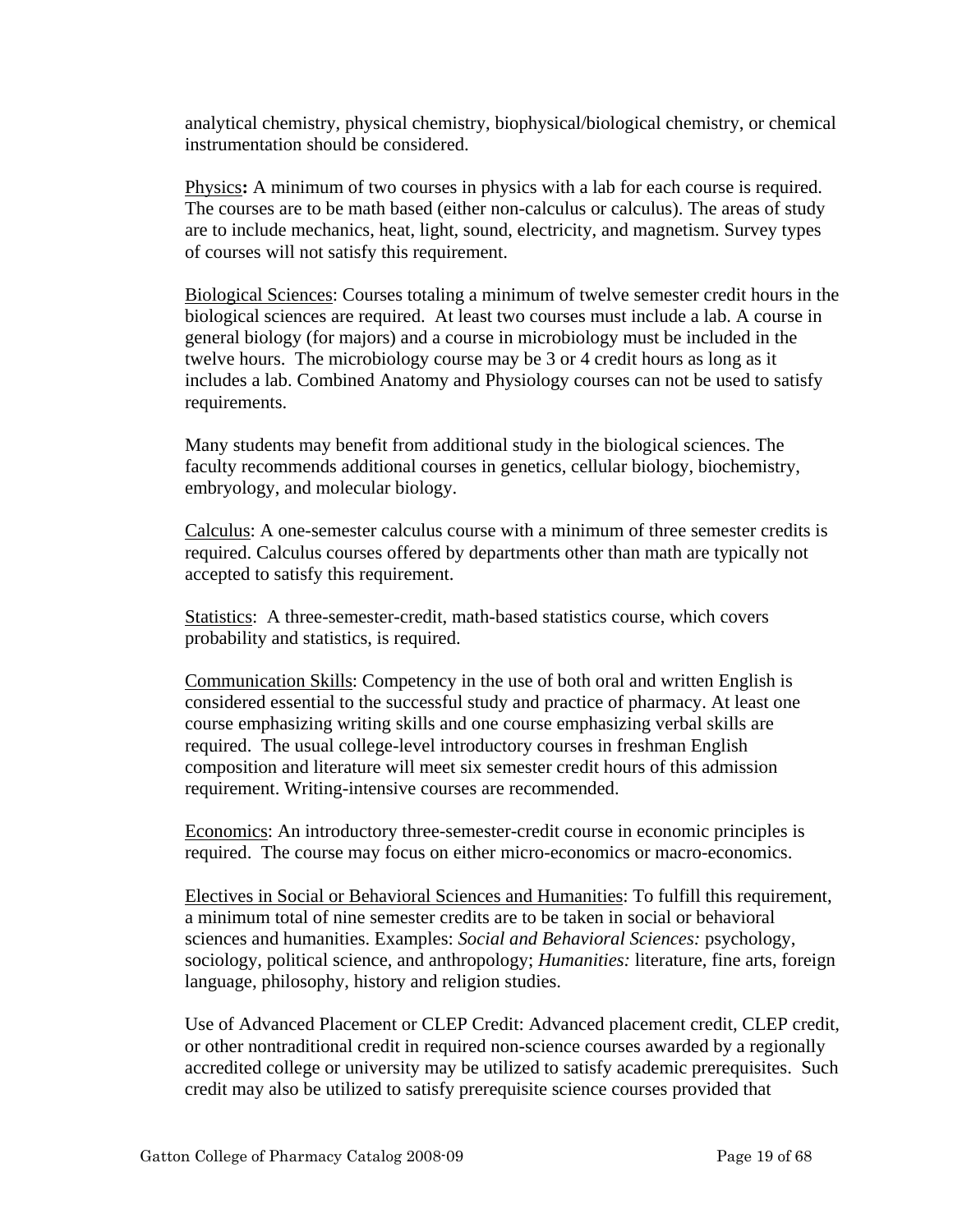analytical chemistry, physical chemistry, biophysical/biological chemistry, or chemical instrumentation should be considered.

Physics**:** A minimum of two courses in physics with a lab for each course is required. The courses are to be math based (either non-calculus or calculus). The areas of study are to include mechanics, heat, light, sound, electricity, and magnetism. Survey types of courses will not satisfy this requirement.

Biological Sciences: Courses totaling a minimum of twelve semester credit hours in the biological sciences are required. At least two courses must include a lab. A course in general biology (for majors) and a course in microbiology must be included in the twelve hours. The microbiology course may be 3 or 4 credit hours as long as it includes a lab. Combined Anatomy and Physiology courses can not be used to satisfy requirements.

Many students may benefit from additional study in the biological sciences. The faculty recommends additional courses in genetics, cellular biology, biochemistry, embryology, and molecular biology.

Calculus: A one-semester calculus course with a minimum of three semester credits is required. Calculus courses offered by departments other than math are typically not accepted to satisfy this requirement.

Statistics: A three-semester-credit, math-based statistics course, which covers probability and statistics, is required.

Communication Skills: Competency in the use of both oral and written English is considered essential to the successful study and practice of pharmacy. At least one course emphasizing writing skills and one course emphasizing verbal skills are required. The usual college-level introductory courses in freshman English composition and literature will meet six semester credit hours of this admission requirement. Writing-intensive courses are recommended.

Economics: An introductory three-semester-credit course in economic principles is required. The course may focus on either micro-economics or macro-economics.

Electives in Social or Behavioral Sciences and Humanities: To fulfill this requirement, a minimum total of nine semester credits are to be taken in social or behavioral sciences and humanities. Examples: *Social and Behavioral Sciences:* psychology, sociology, political science, and anthropology; *Humanities:* literature, fine arts, foreign language, philosophy, history and religion studies.

Use of Advanced Placement or CLEP Credit: Advanced placement credit, CLEP credit, or other nontraditional credit in required non-science courses awarded by a regionally accredited college or university may be utilized to satisfy academic prerequisites. Such credit may also be utilized to satisfy prerequisite science courses provided that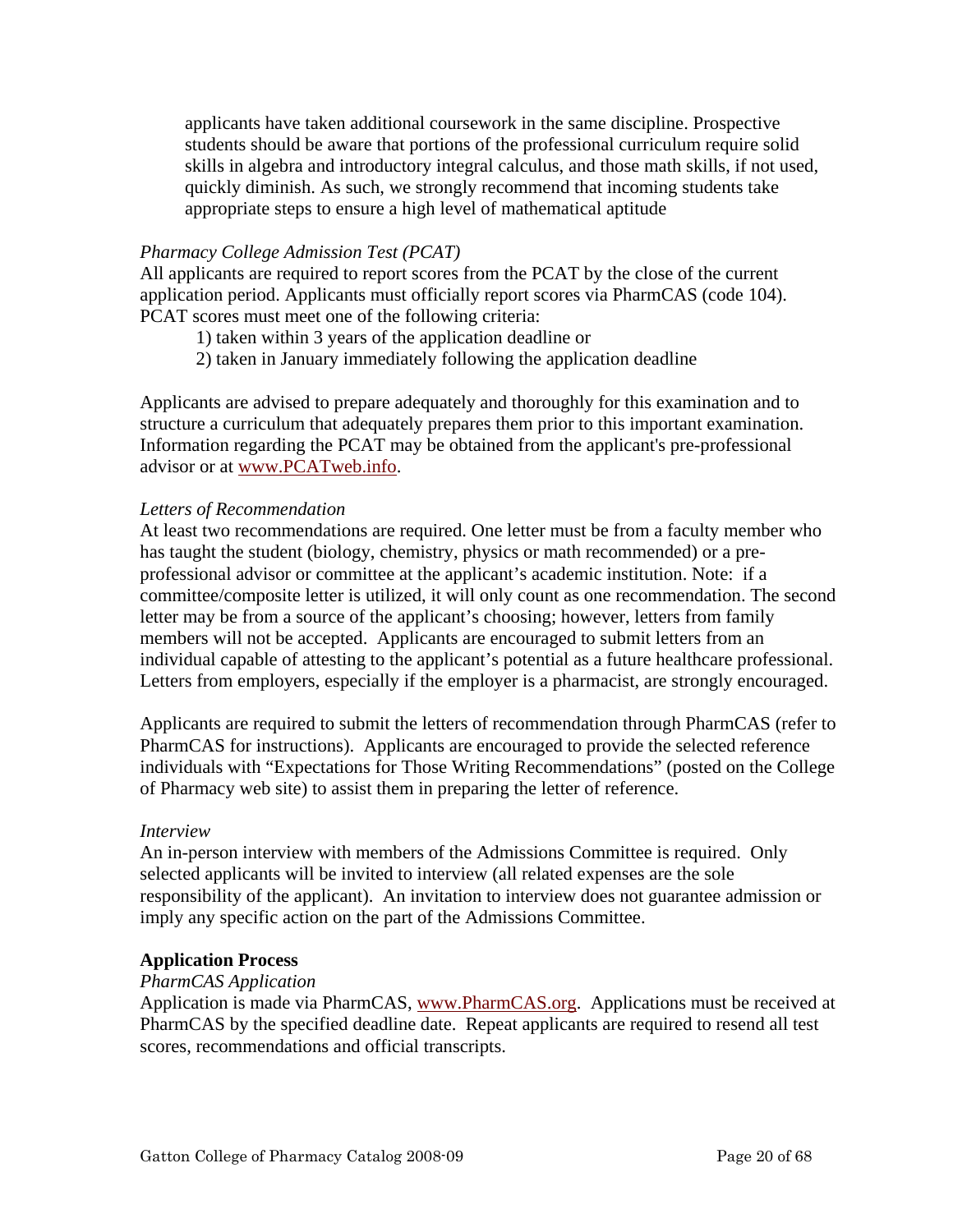applicants have taken additional coursework in the same discipline. Prospective students should be aware that portions of the professional curriculum require solid skills in algebra and introductory integral calculus, and those math skills, if not used, quickly diminish. As such, we strongly recommend that incoming students take appropriate steps to ensure a high level of mathematical aptitude

# *Pharmacy College Admission Test (PCAT)*

All applicants are required to report scores from the PCAT by the close of the current application period. Applicants must officially report scores via PharmCAS (code 104). PCAT scores must meet one of the following criteria:

1) taken within 3 years of the application deadline or

2) taken in January immediately following the application deadline

Applicants are advised to prepare adequately and thoroughly for this examination and to structure a curriculum that adequately prepares them prior to this important examination. Information regarding the PCAT may be obtained from the applicant's pre-professional advisor or at www.PCATweb.info.

## *Letters of Recommendation*

At least two recommendations are required. One letter must be from a faculty member who has taught the student (biology, chemistry, physics or math recommended) or a preprofessional advisor or committee at the applicant's academic institution. Note: if a committee/composite letter is utilized, it will only count as one recommendation. The second letter may be from a source of the applicant's choosing; however, letters from family members will not be accepted. Applicants are encouraged to submit letters from an individual capable of attesting to the applicant's potential as a future healthcare professional. Letters from employers, especially if the employer is a pharmacist, are strongly encouraged.

Applicants are required to submit the letters of recommendation through PharmCAS (refer to PharmCAS for instructions). Applicants are encouraged to provide the selected reference individuals with "Expectations for Those Writing Recommendations" (posted on the College of Pharmacy web site) to assist them in preparing the letter of reference.

## *Interview*

An in-person interview with members of the Admissions Committee is required. Only selected applicants will be invited to interview (all related expenses are the sole responsibility of the applicant). An invitation to interview does not guarantee admission or imply any specific action on the part of the Admissions Committee.

## **Application Process**

## *PharmCAS Application*

Application is made via PharmCAS, www.PharmCAS.org. Applications must be received at PharmCAS by the specified deadline date. Repeat applicants are required to resend all test scores, recommendations and official transcripts.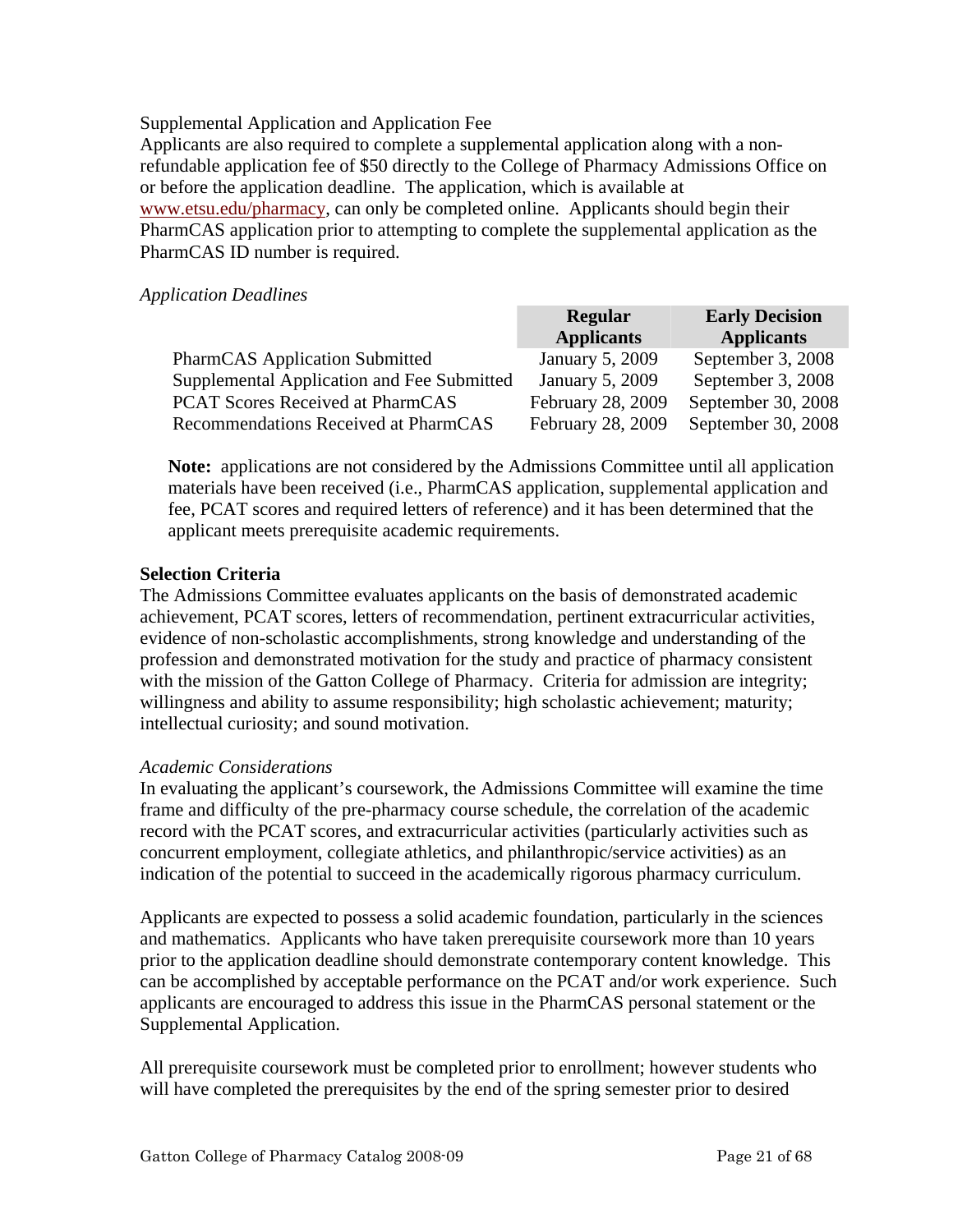## Supplemental Application and Application Fee

Applicants are also required to complete a supplemental application along with a nonrefundable application fee of \$50 directly to the College of Pharmacy Admissions Office on or before the application deadline. The application, which is available at www.etsu.edu/pharmacy, can only be completed online. Applicants should begin their PharmCAS application prior to attempting to complete the supplemental application as the PharmCAS ID number is required.

#### *Application Deadlines*

|                                            | <b>Regular</b>    | <b>Early Decision</b> |
|--------------------------------------------|-------------------|-----------------------|
|                                            | <b>Applicants</b> | <b>Applicants</b>     |
| <b>PharmCAS</b> Application Submitted      | January 5, 2009   | September 3, 2008     |
| Supplemental Application and Fee Submitted | January 5, 2009   | September 3, 2008     |
| <b>PCAT Scores Received at PharmCAS</b>    | February 28, 2009 | September 30, 2008    |
| Recommendations Received at PharmCAS       | February 28, 2009 | September 30, 2008    |

**Note:** applications are not considered by the Admissions Committee until all application materials have been received (i.e., PharmCAS application, supplemental application and fee, PCAT scores and required letters of reference) and it has been determined that the applicant meets prerequisite academic requirements.

## **Selection Criteria**

The Admissions Committee evaluates applicants on the basis of demonstrated academic achievement, PCAT scores, letters of recommendation, pertinent extracurricular activities, evidence of non-scholastic accomplishments, strong knowledge and understanding of the profession and demonstrated motivation for the study and practice of pharmacy consistent with the mission of the Gatton College of Pharmacy. Criteria for admission are integrity; willingness and ability to assume responsibility; high scholastic achievement; maturity; intellectual curiosity; and sound motivation.

#### *Academic Considerations*

In evaluating the applicant's coursework, the Admissions Committee will examine the time frame and difficulty of the pre-pharmacy course schedule, the correlation of the academic record with the PCAT scores, and extracurricular activities (particularly activities such as concurrent employment, collegiate athletics, and philanthropic/service activities) as an indication of the potential to succeed in the academically rigorous pharmacy curriculum.

Applicants are expected to possess a solid academic foundation, particularly in the sciences and mathematics. Applicants who have taken prerequisite coursework more than 10 years prior to the application deadline should demonstrate contemporary content knowledge. This can be accomplished by acceptable performance on the PCAT and/or work experience. Such applicants are encouraged to address this issue in the PharmCAS personal statement or the Supplemental Application.

All prerequisite coursework must be completed prior to enrollment; however students who will have completed the prerequisites by the end of the spring semester prior to desired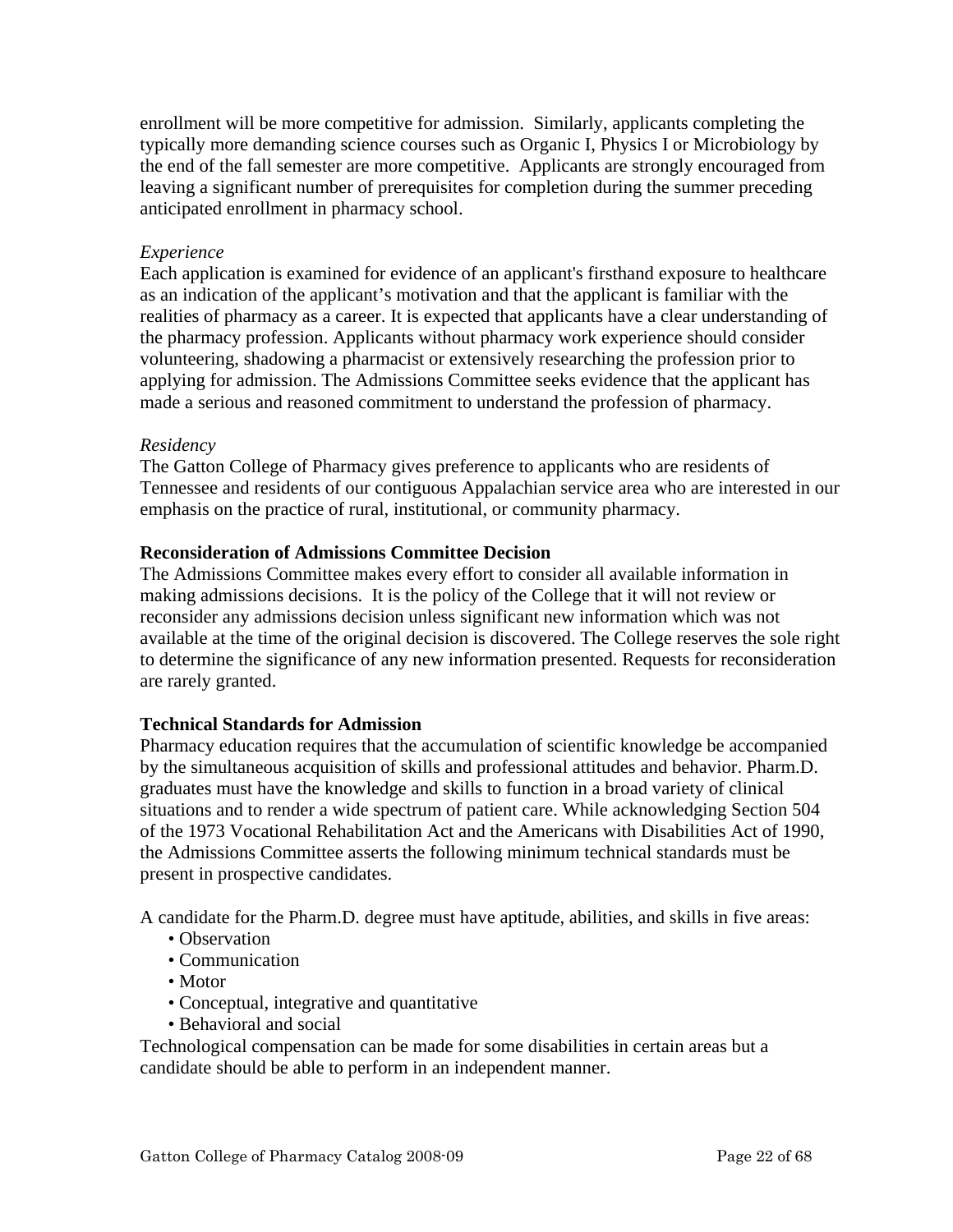enrollment will be more competitive for admission. Similarly, applicants completing the typically more demanding science courses such as Organic I, Physics I or Microbiology by the end of the fall semester are more competitive. Applicants are strongly encouraged from leaving a significant number of prerequisites for completion during the summer preceding anticipated enrollment in pharmacy school.

# *Experience*

Each application is examined for evidence of an applicant's firsthand exposure to healthcare as an indication of the applicant's motivation and that the applicant is familiar with the realities of pharmacy as a career. It is expected that applicants have a clear understanding of the pharmacy profession. Applicants without pharmacy work experience should consider volunteering, shadowing a pharmacist or extensively researching the profession prior to applying for admission. The Admissions Committee seeks evidence that the applicant has made a serious and reasoned commitment to understand the profession of pharmacy.

## *Residency*

The Gatton College of Pharmacy gives preference to applicants who are residents of Tennessee and residents of our contiguous Appalachian service area who are interested in our emphasis on the practice of rural, institutional, or community pharmacy.

## **Reconsideration of Admissions Committee Decision**

The Admissions Committee makes every effort to consider all available information in making admissions decisions. It is the policy of the College that it will not review or reconsider any admissions decision unless significant new information which was not available at the time of the original decision is discovered. The College reserves the sole right to determine the significance of any new information presented. Requests for reconsideration are rarely granted.

## **Technical Standards for Admission**

Pharmacy education requires that the accumulation of scientific knowledge be accompanied by the simultaneous acquisition of skills and professional attitudes and behavior. Pharm.D. graduates must have the knowledge and skills to function in a broad variety of clinical situations and to render a wide spectrum of patient care. While acknowledging Section 504 of the 1973 Vocational Rehabilitation Act and the Americans with Disabilities Act of 1990, the Admissions Committee asserts the following minimum technical standards must be present in prospective candidates.

A candidate for the Pharm.D. degree must have aptitude, abilities, and skills in five areas:

- Observation
- Communication
- Motor
- Conceptual, integrative and quantitative
- Behavioral and social

Technological compensation can be made for some disabilities in certain areas but a candidate should be able to perform in an independent manner.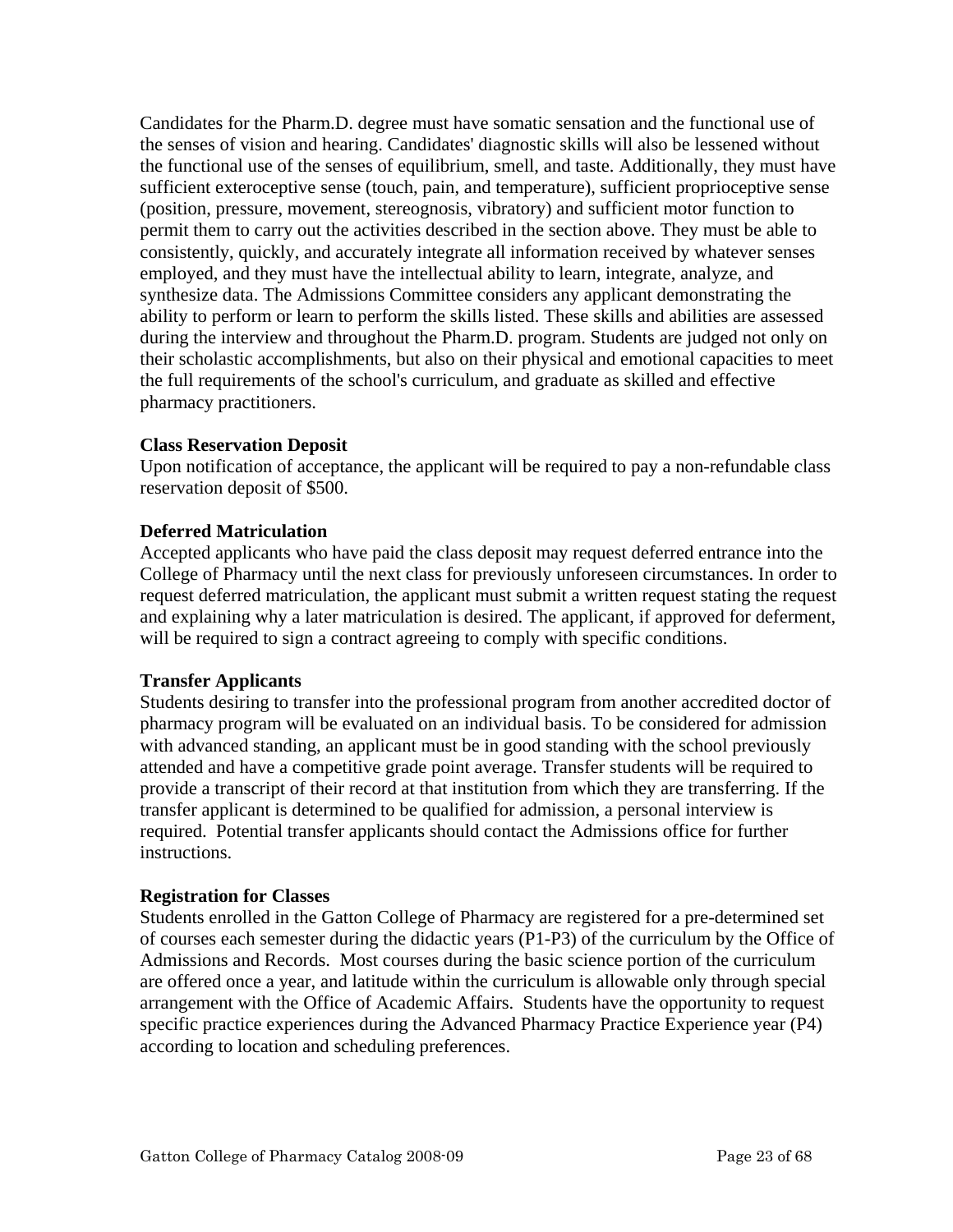Candidates for the Pharm.D. degree must have somatic sensation and the functional use of the senses of vision and hearing. Candidates' diagnostic skills will also be lessened without the functional use of the senses of equilibrium, smell, and taste. Additionally, they must have sufficient exteroceptive sense (touch, pain, and temperature), sufficient proprioceptive sense (position, pressure, movement, stereognosis, vibratory) and sufficient motor function to permit them to carry out the activities described in the section above. They must be able to consistently, quickly, and accurately integrate all information received by whatever senses employed, and they must have the intellectual ability to learn, integrate, analyze, and synthesize data. The Admissions Committee considers any applicant demonstrating the ability to perform or learn to perform the skills listed. These skills and abilities are assessed during the interview and throughout the Pharm.D. program. Students are judged not only on their scholastic accomplishments, but also on their physical and emotional capacities to meet the full requirements of the school's curriculum, and graduate as skilled and effective pharmacy practitioners.

# **Class Reservation Deposit**

Upon notification of acceptance, the applicant will be required to pay a non-refundable class reservation deposit of \$500.

# **Deferred Matriculation**

Accepted applicants who have paid the class deposit may request deferred entrance into the College of Pharmacy until the next class for previously unforeseen circumstances. In order to request deferred matriculation, the applicant must submit a written request stating the request and explaining why a later matriculation is desired. The applicant, if approved for deferment, will be required to sign a contract agreeing to comply with specific conditions.

## **Transfer Applicants**

Students desiring to transfer into the professional program from another accredited doctor of pharmacy program will be evaluated on an individual basis. To be considered for admission with advanced standing, an applicant must be in good standing with the school previously attended and have a competitive grade point average. Transfer students will be required to provide a transcript of their record at that institution from which they are transferring. If the transfer applicant is determined to be qualified for admission, a personal interview is required. Potential transfer applicants should contact the Admissions office for further instructions.

## **Registration for Classes**

Students enrolled in the Gatton College of Pharmacy are registered for a pre-determined set of courses each semester during the didactic years (P1-P3) of the curriculum by the Office of Admissions and Records. Most courses during the basic science portion of the curriculum are offered once a year, and latitude within the curriculum is allowable only through special arrangement with the Office of Academic Affairs. Students have the opportunity to request specific practice experiences during the Advanced Pharmacy Practice Experience year (P4) according to location and scheduling preferences.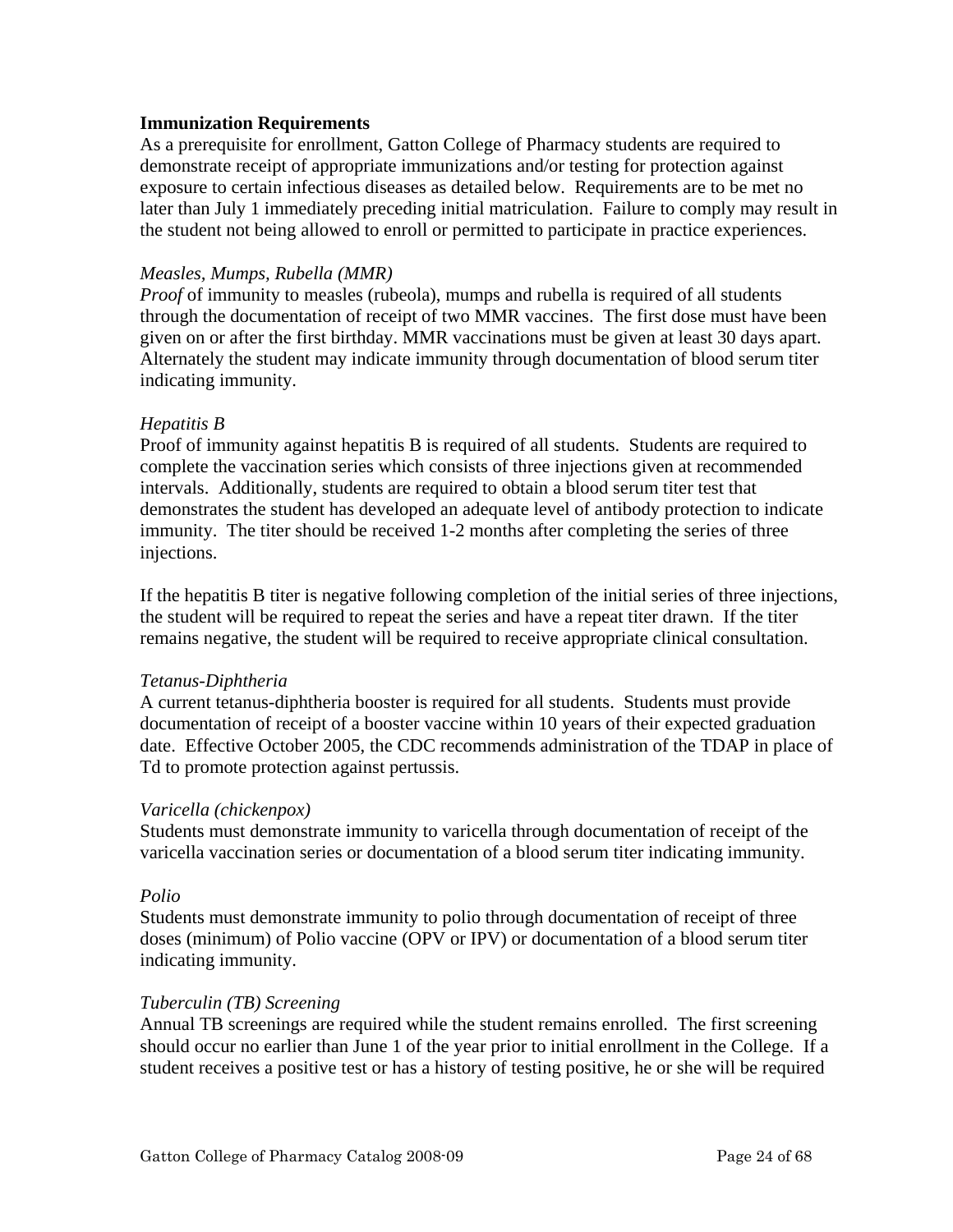#### **Immunization Requirements**

As a prerequisite for enrollment, Gatton College of Pharmacy students are required to demonstrate receipt of appropriate immunizations and/or testing for protection against exposure to certain infectious diseases as detailed below. Requirements are to be met no later than July 1 immediately preceding initial matriculation. Failure to comply may result in the student not being allowed to enroll or permitted to participate in practice experiences.

#### *Measles, Mumps, Rubella (MMR)*

*Proof* of immunity to measles (rubeola), mumps and rubella is required of all students through the documentation of receipt of two MMR vaccines. The first dose must have been given on or after the first birthday. MMR vaccinations must be given at least 30 days apart. Alternately the student may indicate immunity through documentation of blood serum titer indicating immunity.

#### *Hepatitis B*

Proof of immunity against hepatitis B is required of all students. Students are required to complete the vaccination series which consists of three injections given at recommended intervals. Additionally, students are required to obtain a blood serum titer test that demonstrates the student has developed an adequate level of antibody protection to indicate immunity. The titer should be received 1-2 months after completing the series of three injections.

If the hepatitis B titer is negative following completion of the initial series of three injections, the student will be required to repeat the series and have a repeat titer drawn. If the titer remains negative, the student will be required to receive appropriate clinical consultation.

#### *Tetanus-Diphtheria*

A current tetanus-diphtheria booster is required for all students. Students must provide documentation of receipt of a booster vaccine within 10 years of their expected graduation date. Effective October 2005, the CDC recommends administration of the TDAP in place of Td to promote protection against pertussis.

#### *Varicella (chickenpox)*

Students must demonstrate immunity to varicella through documentation of receipt of the varicella vaccination series or documentation of a blood serum titer indicating immunity.

#### *Polio*

Students must demonstrate immunity to polio through documentation of receipt of three doses (minimum) of Polio vaccine (OPV or IPV) or documentation of a blood serum titer indicating immunity.

#### *Tuberculin (TB) Screening*

Annual TB screenings are required while the student remains enrolled. The first screening should occur no earlier than June 1 of the year prior to initial enrollment in the College. If a student receives a positive test or has a history of testing positive, he or she will be required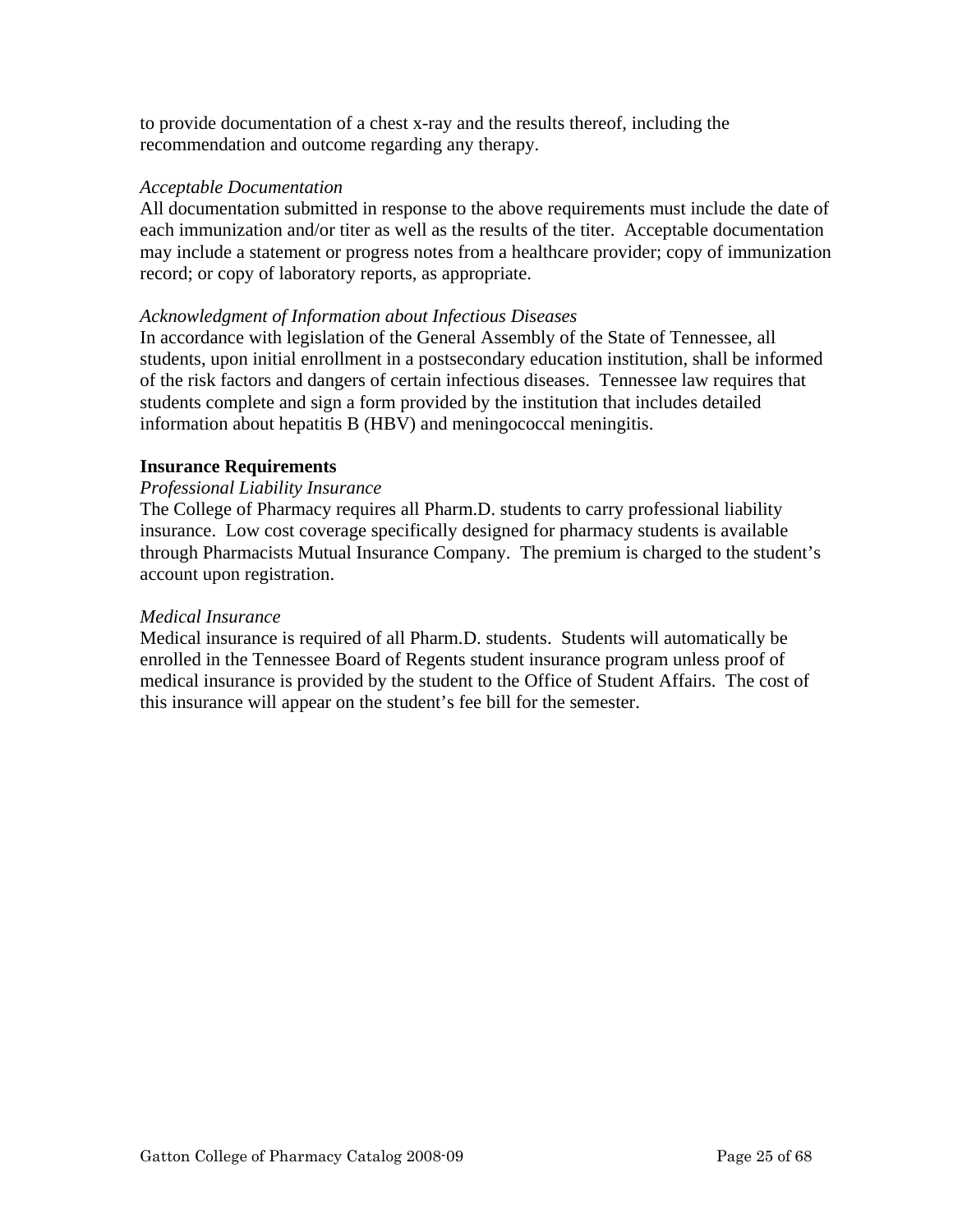to provide documentation of a chest x-ray and the results thereof, including the recommendation and outcome regarding any therapy.

## *Acceptable Documentation*

All documentation submitted in response to the above requirements must include the date of each immunization and/or titer as well as the results of the titer. Acceptable documentation may include a statement or progress notes from a healthcare provider; copy of immunization record; or copy of laboratory reports, as appropriate.

# *Acknowledgment of Information about Infectious Diseases*

In accordance with legislation of the General Assembly of the State of Tennessee, all students, upon initial enrollment in a postsecondary education institution, shall be informed of the risk factors and dangers of certain infectious diseases. Tennessee law requires that students complete and sign a form provided by the institution that includes detailed information about hepatitis B (HBV) and meningococcal meningitis.

# **Insurance Requirements**

# *Professional Liability Insurance*

The College of Pharmacy requires all Pharm.D. students to carry professional liability insurance. Low cost coverage specifically designed for pharmacy students is available through Pharmacists Mutual Insurance Company. The premium is charged to the student's account upon registration.

## *Medical Insurance*

Medical insurance is required of all Pharm.D. students. Students will automatically be enrolled in the Tennessee Board of Regents student insurance program unless proof of medical insurance is provided by the student to the Office of Student Affairs. The cost of this insurance will appear on the student's fee bill for the semester.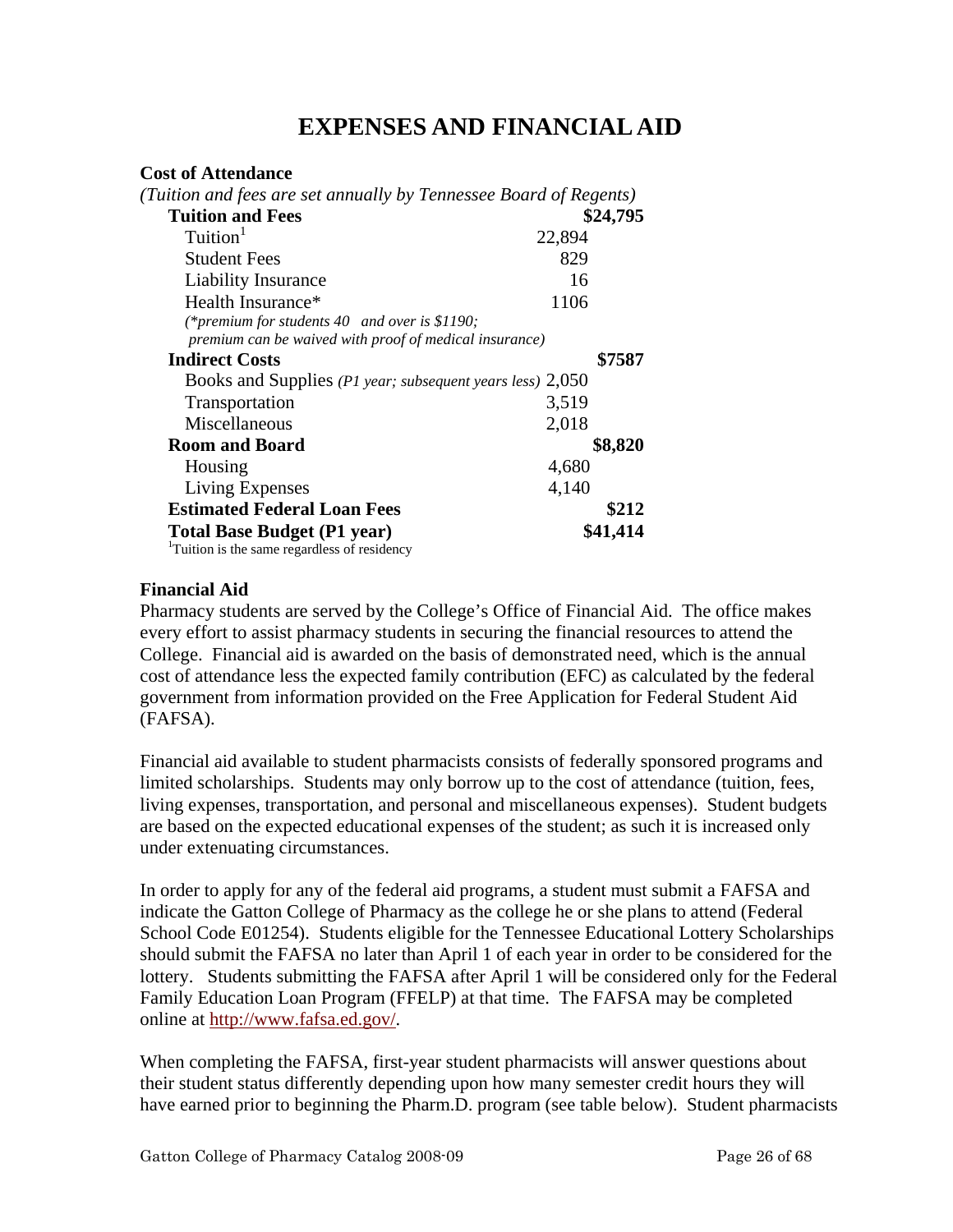# **EXPENSES AND FINANCIAL AID**

#### **Cost of Attendance**

| (Tuition and fees are set annually by Tennessee Board of Regents)                                       |          |
|---------------------------------------------------------------------------------------------------------|----------|
| <b>Tuition and Fees</b>                                                                                 | \$24,795 |
| Tuition <sup>1</sup>                                                                                    | 22,894   |
| <b>Student Fees</b>                                                                                     | 829      |
| <b>Liability Insurance</b>                                                                              | 16       |
| Health Insurance*                                                                                       | 1106     |
| (*premium for students 40 and over is \$1190;<br>premium can be waived with proof of medical insurance) |          |
| <b>Indirect Costs</b>                                                                                   | \$7587   |
| Books and Supplies (P1 year; subsequent years less) 2,050                                               |          |
| Transportation                                                                                          | 3,519    |
| Miscellaneous                                                                                           | 2,018    |
| <b>Room and Board</b>                                                                                   | \$8,820  |
| Housing                                                                                                 | 4,680    |
| Living Expenses                                                                                         | 4,140    |
| <b>Estimated Federal Loan Fees</b>                                                                      | \$212    |
| <b>Total Base Budget (P1 year)</b>                                                                      | \$41,414 |
| <sup>1</sup> Tuition is the same regardless of residency                                                |          |

## **Financial Aid**

Pharmacy students are served by the College's Office of Financial Aid. The office makes every effort to assist pharmacy students in securing the financial resources to attend the College. Financial aid is awarded on the basis of demonstrated need, which is the annual cost of attendance less the expected family contribution (EFC) as calculated by the federal government from information provided on the Free Application for Federal Student Aid (FAFSA).

Financial aid available to student pharmacists consists of federally sponsored programs and limited scholarships. Students may only borrow up to the cost of attendance (tuition, fees, living expenses, transportation, and personal and miscellaneous expenses). Student budgets are based on the expected educational expenses of the student; as such it is increased only under extenuating circumstances.

In order to apply for any of the federal aid programs, a student must submit a FAFSA and indicate the Gatton College of Pharmacy as the college he or she plans to attend (Federal School Code E01254). Students eligible for the Tennessee Educational Lottery Scholarships should submit the FAFSA no later than April 1 of each year in order to be considered for the lottery. Students submitting the FAFSA after April 1 will be considered only for the Federal Family Education Loan Program (FFELP) at that time. The FAFSA may be completed online at http://www.fafsa.ed.gov/.

When completing the FAFSA, first-year student pharmacists will answer questions about their student status differently depending upon how many semester credit hours they will have earned prior to beginning the Pharm.D. program (see table below). Student pharmacists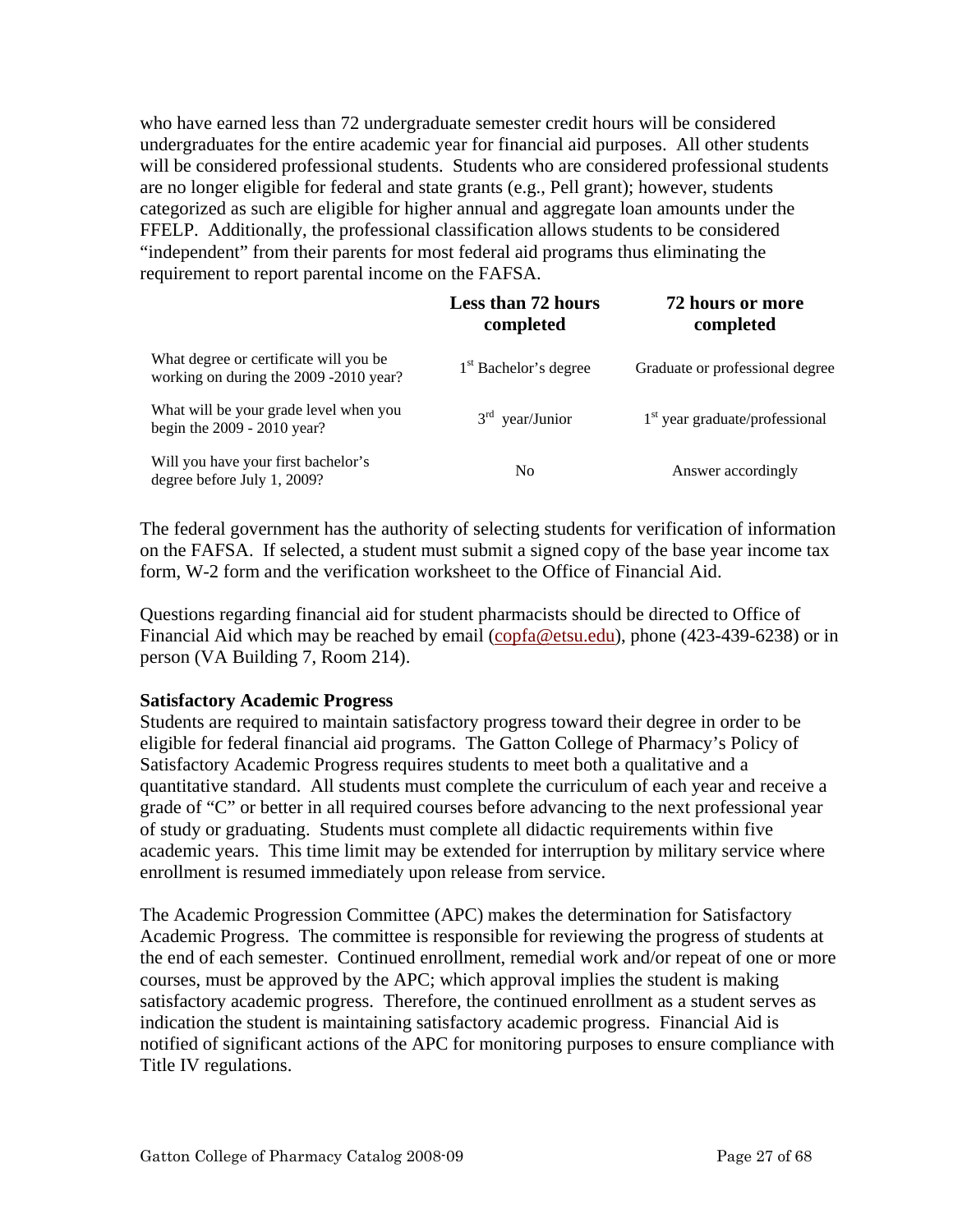who have earned less than 72 undergraduate semester credit hours will be considered undergraduates for the entire academic year for financial aid purposes. All other students will be considered professional students. Students who are considered professional students are no longer eligible for federal and state grants (e.g., Pell grant); however, students categorized as such are eligible for higher annual and aggregate loan amounts under the FFELP. Additionally, the professional classification allows students to be considered "independent" from their parents for most federal aid programs thus eliminating the requirement to report parental income on the FAFSA.

|                                                                                  | Less than 72 hours<br>completed   | 72 hours or more<br>completed    |
|----------------------------------------------------------------------------------|-----------------------------------|----------------------------------|
| What degree or certificate will you be<br>working on during the 2009 -2010 year? | 1 <sup>st</sup> Bachelor's degree | Graduate or professional degree  |
| What will be your grade level when you<br>begin the $2009 - 2010$ year?          | $3rd$ year/Junior                 | $1st$ year graduate/professional |
| Will you have your first bachelor's<br>degree before July 1, 2009?               | N <sub>0</sub>                    | Answer accordingly               |

The federal government has the authority of selecting students for verification of information on the FAFSA. If selected, a student must submit a signed copy of the base year income tax form, W-2 form and the verification worksheet to the Office of Financial Aid.

Questions regarding financial aid for student pharmacists should be directed to Office of Financial Aid which may be reached by email (copfa@etsu.edu), phone (423-439-6238) or in person (VA Building 7, Room 214).

## **Satisfactory Academic Progress**

Students are required to maintain satisfactory progress toward their degree in order to be eligible for federal financial aid programs. The Gatton College of Pharmacy's Policy of Satisfactory Academic Progress requires students to meet both a qualitative and a quantitative standard. All students must complete the curriculum of each year and receive a grade of "C" or better in all required courses before advancing to the next professional year of study or graduating. Students must complete all didactic requirements within five academic years. This time limit may be extended for interruption by military service where enrollment is resumed immediately upon release from service.

The Academic Progression Committee (APC) makes the determination for Satisfactory Academic Progress. The committee is responsible for reviewing the progress of students at the end of each semester. Continued enrollment, remedial work and/or repeat of one or more courses, must be approved by the APC; which approval implies the student is making satisfactory academic progress. Therefore, the continued enrollment as a student serves as indication the student is maintaining satisfactory academic progress. Financial Aid is notified of significant actions of the APC for monitoring purposes to ensure compliance with Title IV regulations.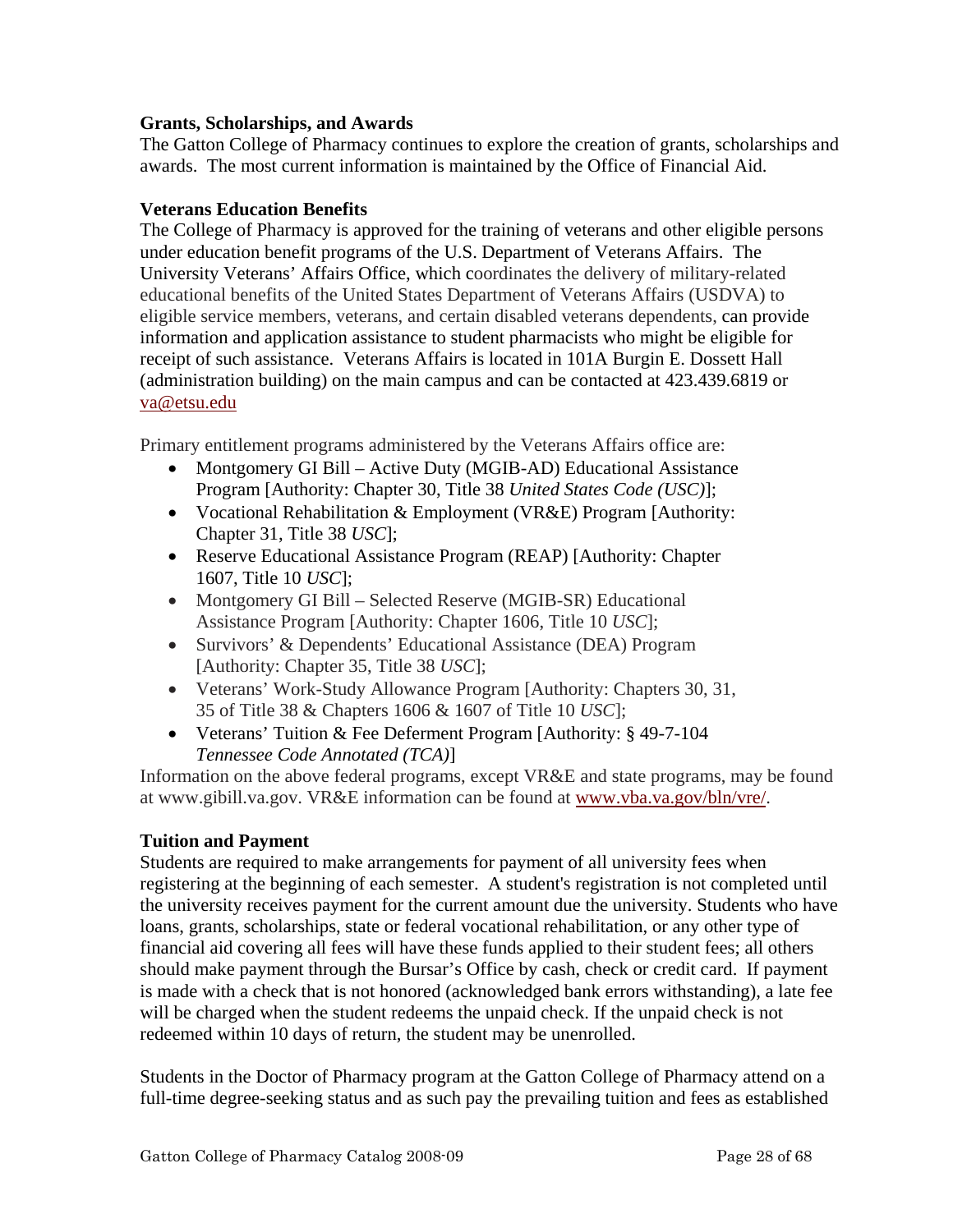# **Grants, Scholarships, and Awards**

The Gatton College of Pharmacy continues to explore the creation of grants, scholarships and awards. The most current information is maintained by the Office of Financial Aid.

# **Veterans Education Benefits**

The College of Pharmacy is approved for the training of veterans and other eligible persons under education benefit programs of the U.S. Department of Veterans Affairs. The University Veterans' Affairs Office, which coordinates the delivery of military-related educational benefits of the United States Department of Veterans Affairs (USDVA) to eligible service members, veterans, and certain disabled veterans dependents, can provide information and application assistance to student pharmacists who might be eligible for receipt of such assistance. Veterans Affairs is located in 101A Burgin E. Dossett Hall (administration building) on the main campus and can be contacted at 423.439.6819 or va@etsu.edu

Primary entitlement programs administered by the Veterans Affairs office are:

- Montgomery GI Bill Active Duty (MGIB-AD) Educational Assistance Program [Authority: Chapter 30, Title 38 *United States Code (USC)*];
- Vocational Rehabilitation & Employment (VR&E) Program [Authority: Chapter 31, Title 38 *USC*];
- Reserve Educational Assistance Program (REAP) [Authority: Chapter 1607, Title 10 *USC*];
- Montgomery GI Bill Selected Reserve (MGIB-SR) Educational Assistance Program [Authority: Chapter 1606, Title 10 *USC*];
- Survivors' & Dependents' Educational Assistance (DEA) Program [Authority: Chapter 35, Title 38 *USC*];
- Veterans' Work-Study Allowance Program [Authority: Chapters 30, 31, 35 of Title 38 & Chapters 1606 & 1607 of Title 10 *USC*];
- Veterans' Tuition & Fee Deferment Program [Authority: § 49-7-104] *Tennessee Code Annotated (TCA)*]

Information on the above federal programs, except VR&E and state programs, may be found at www.gibill.va.gov. VR&E information can be found at www.vba.va.gov/bln/vre/.

# **Tuition and Payment**

Students are required to make arrangements for payment of all university fees when registering at the beginning of each semester. A student's registration is not completed until the university receives payment for the current amount due the university. Students who have loans, grants, scholarships, state or federal vocational rehabilitation, or any other type of financial aid covering all fees will have these funds applied to their student fees; all others should make payment through the Bursar's Office by cash, check or credit card. If payment is made with a check that is not honored (acknowledged bank errors withstanding), a late fee will be charged when the student redeems the unpaid check. If the unpaid check is not redeemed within 10 days of return, the student may be unenrolled.

Students in the Doctor of Pharmacy program at the Gatton College of Pharmacy attend on a full-time degree-seeking status and as such pay the prevailing tuition and fees as established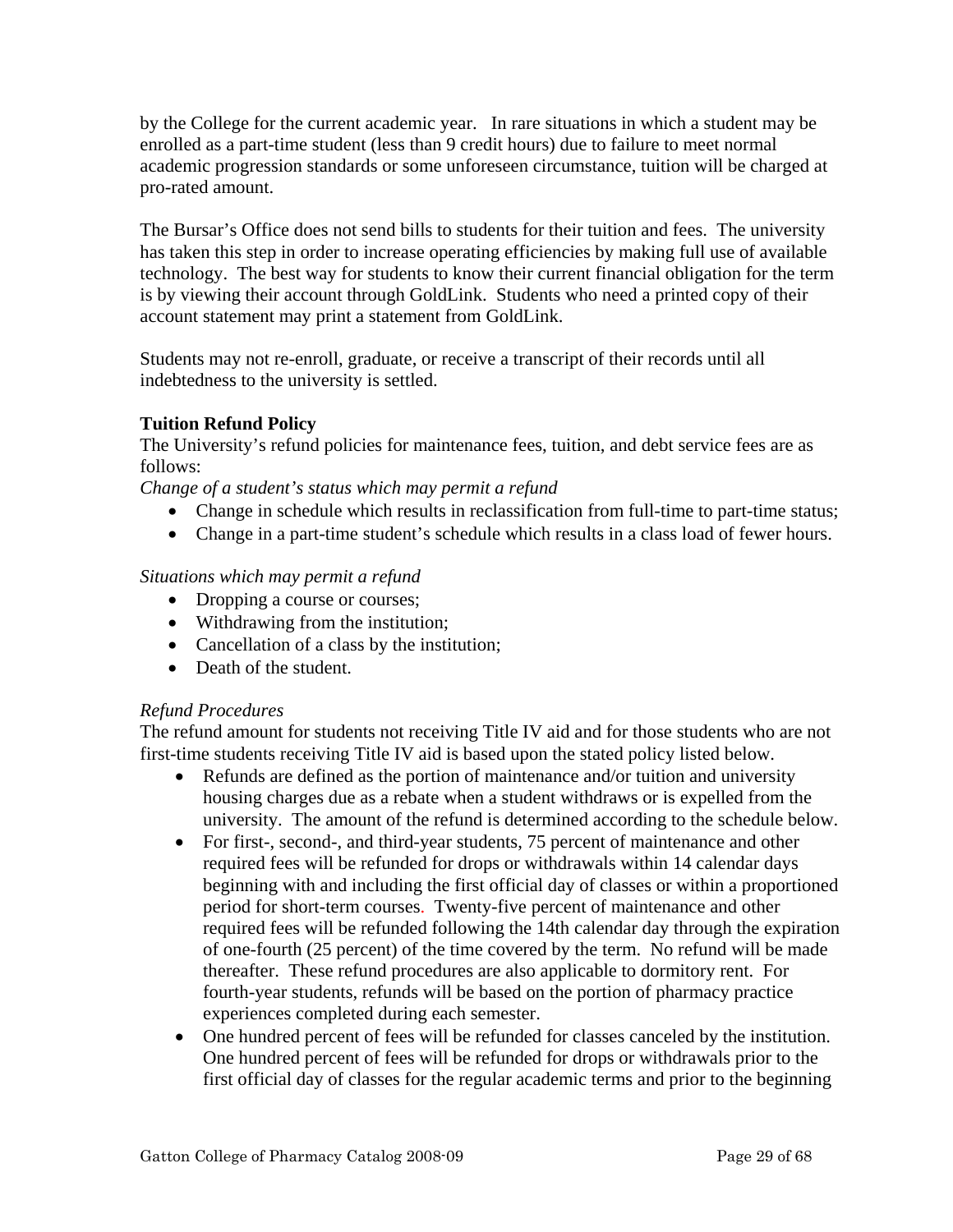by the College for the current academic year. In rare situations in which a student may be enrolled as a part-time student (less than 9 credit hours) due to failure to meet normal academic progression standards or some unforeseen circumstance, tuition will be charged at pro-rated amount.

The Bursar's Office does not send bills to students for their tuition and fees. The university has taken this step in order to increase operating efficiencies by making full use of available technology. The best way for students to know their current financial obligation for the term is by viewing their account through GoldLink. Students who need a printed copy of their account statement may print a statement from GoldLink.

Students may not re-enroll, graduate, or receive a transcript of their records until all indebtedness to the university is settled.

# **Tuition Refund Policy**

The University's refund policies for maintenance fees, tuition, and debt service fees are as follows:

*Change of a student's status which may permit a refund* 

- Change in schedule which results in reclassification from full-time to part-time status;
- Change in a part-time student's schedule which results in a class load of fewer hours.

# *Situations which may permit a refund*

- Dropping a course or courses;
- Withdrawing from the institution;
- Cancellation of a class by the institution;
- Death of the student.

# *Refund Procedures*

The refund amount for students not receiving Title IV aid and for those students who are not first-time students receiving Title IV aid is based upon the stated policy listed below.

- Refunds are defined as the portion of maintenance and/or tuition and university housing charges due as a rebate when a student withdraws or is expelled from the university. The amount of the refund is determined according to the schedule below.
- For first-, second-, and third-year students, 75 percent of maintenance and other required fees will be refunded for drops or withdrawals within 14 calendar days beginning with and including the first official day of classes or within a proportioned period for short-term courses. Twenty-five percent of maintenance and other required fees will be refunded following the 14th calendar day through the expiration of one-fourth (25 percent) of the time covered by the term. No refund will be made thereafter. These refund procedures are also applicable to dormitory rent. For fourth-year students, refunds will be based on the portion of pharmacy practice experiences completed during each semester.
- One hundred percent of fees will be refunded for classes canceled by the institution. One hundred percent of fees will be refunded for drops or withdrawals prior to the first official day of classes for the regular academic terms and prior to the beginning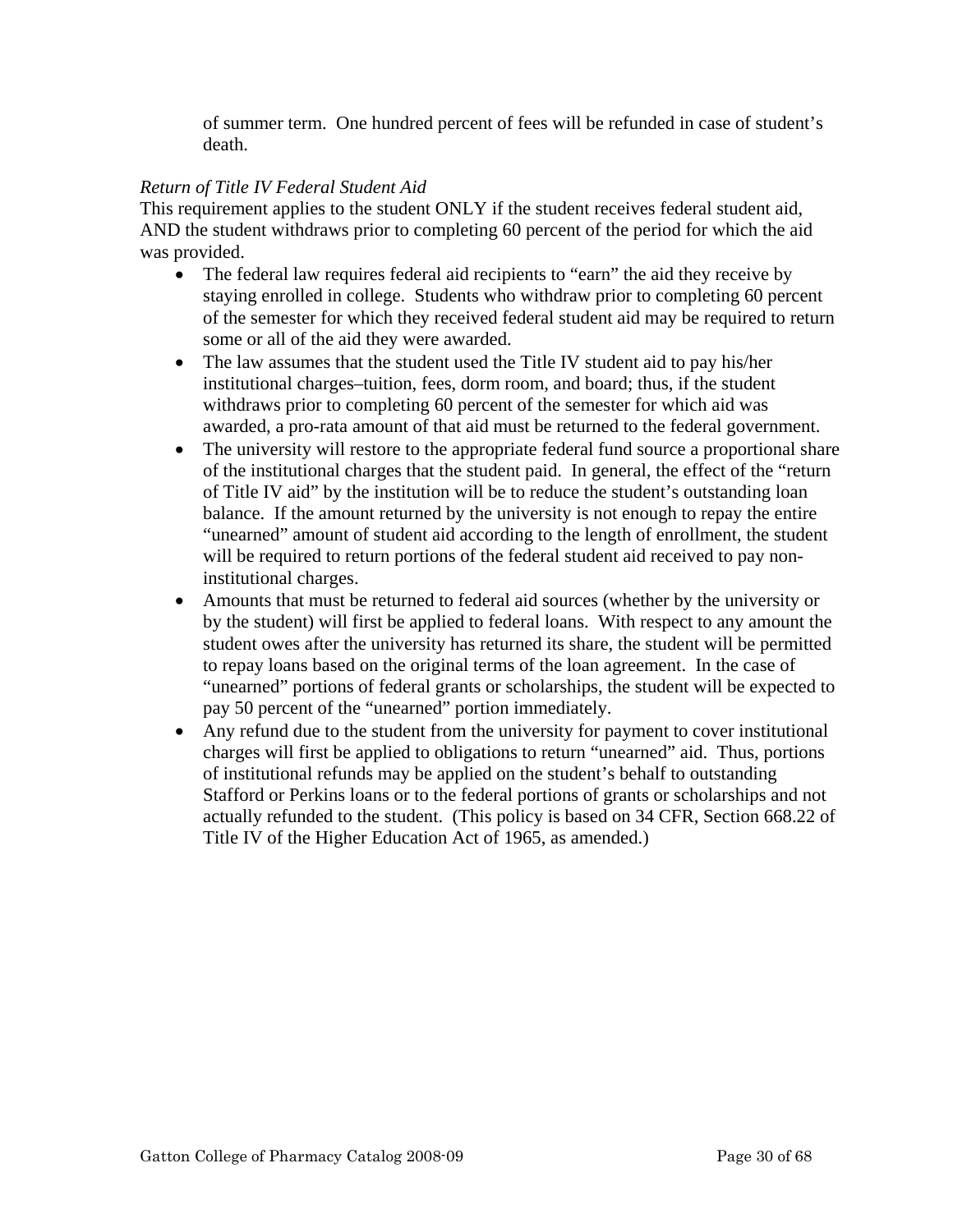of summer term. One hundred percent of fees will be refunded in case of student's death.

# *Return of Title IV Federal Student Aid*

This requirement applies to the student ONLY if the student receives federal student aid, AND the student withdraws prior to completing 60 percent of the period for which the aid was provided.

- The federal law requires federal aid recipients to "earn" the aid they receive by staying enrolled in college. Students who withdraw prior to completing 60 percent of the semester for which they received federal student aid may be required to return some or all of the aid they were awarded.
- The law assumes that the student used the Title IV student aid to pay his/her institutional charges–tuition, fees, dorm room, and board; thus, if the student withdraws prior to completing 60 percent of the semester for which aid was awarded, a pro-rata amount of that aid must be returned to the federal government.
- The university will restore to the appropriate federal fund source a proportional share of the institutional charges that the student paid. In general, the effect of the "return of Title IV aid" by the institution will be to reduce the student's outstanding loan balance. If the amount returned by the university is not enough to repay the entire "unearned" amount of student aid according to the length of enrollment, the student will be required to return portions of the federal student aid received to pay noninstitutional charges.
- Amounts that must be returned to federal aid sources (whether by the university or by the student) will first be applied to federal loans. With respect to any amount the student owes after the university has returned its share, the student will be permitted to repay loans based on the original terms of the loan agreement. In the case of "unearned" portions of federal grants or scholarships, the student will be expected to pay 50 percent of the "unearned" portion immediately.
- Any refund due to the student from the university for payment to cover institutional charges will first be applied to obligations to return "unearned" aid. Thus, portions of institutional refunds may be applied on the student's behalf to outstanding Stafford or Perkins loans or to the federal portions of grants or scholarships and not actually refunded to the student. (This policy is based on 34 CFR, Section 668.22 of Title IV of the Higher Education Act of 1965, as amended.)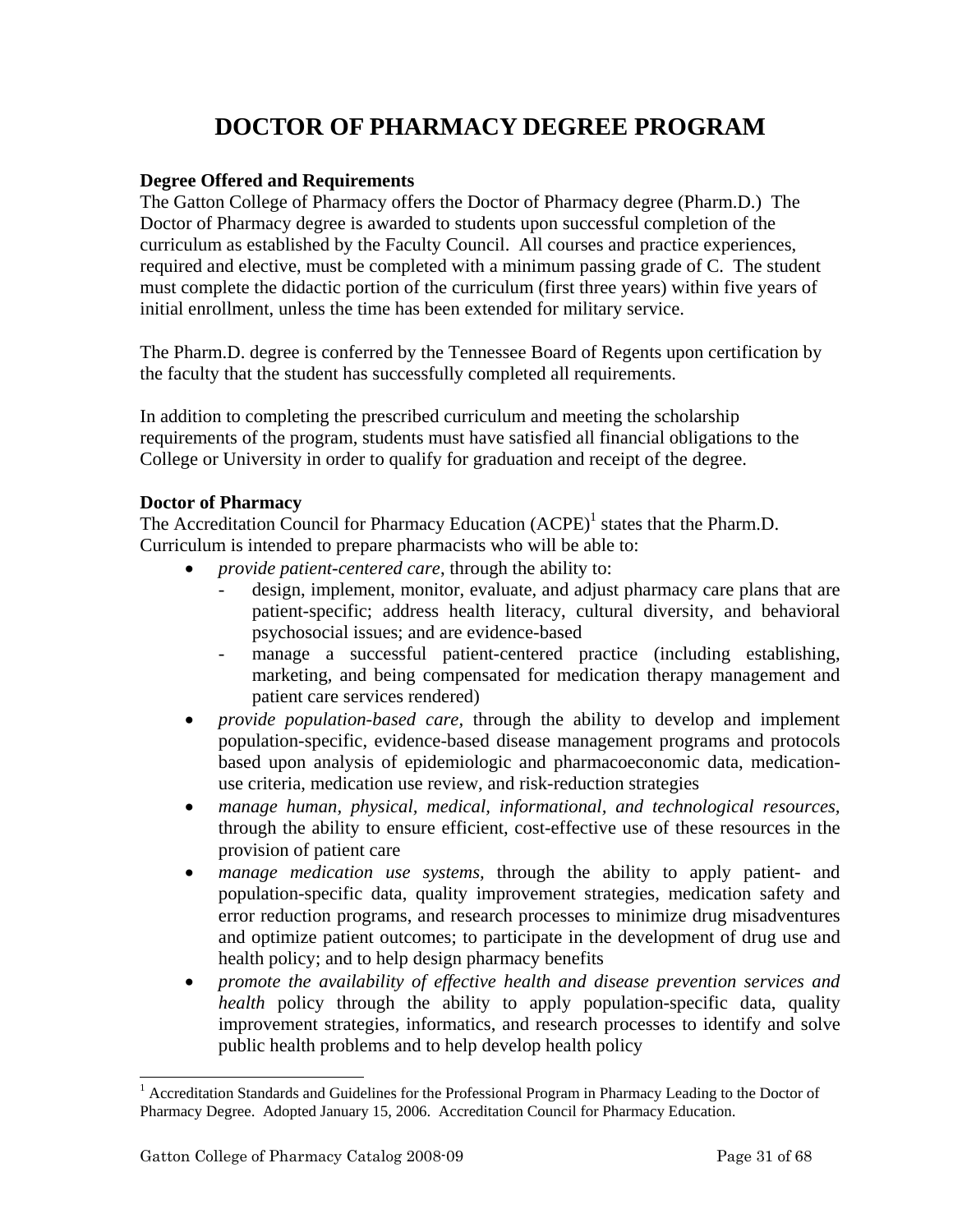# **DOCTOR OF PHARMACY DEGREE PROGRAM**

# **Degree Offered and Requirements**

The Gatton College of Pharmacy offers the Doctor of Pharmacy degree (Pharm.D.) The Doctor of Pharmacy degree is awarded to students upon successful completion of the curriculum as established by the Faculty Council. All courses and practice experiences, required and elective, must be completed with a minimum passing grade of C. The student must complete the didactic portion of the curriculum (first three years) within five years of initial enrollment, unless the time has been extended for military service.

The Pharm.D. degree is conferred by the Tennessee Board of Regents upon certification by the faculty that the student has successfully completed all requirements.

In addition to completing the prescribed curriculum and meeting the scholarship requirements of the program, students must have satisfied all financial obligations to the College or University in order to qualify for graduation and receipt of the degree.

## **Doctor of Pharmacy**

The Accreditation Council for Pharmacy Education  $(ACPE)^1$  states that the Pharm.D. Curriculum is intended to prepare pharmacists who will be able to:

- *provide patient-centered care*, through the ability to:
	- design, implement, monitor, evaluate, and adjust pharmacy care plans that are patient-specific; address health literacy, cultural diversity, and behavioral psychosocial issues; and are evidence-based
	- manage a successful patient-centered practice (including establishing, marketing, and being compensated for medication therapy management and patient care services rendered)
- *provide population-based care,* through the ability to develop and implement population-specific, evidence-based disease management programs and protocols based upon analysis of epidemiologic and pharmacoeconomic data, medicationuse criteria, medication use review, and risk-reduction strategies
- *manage human, physical, medical, informational, and technological resources,*  through the ability to ensure efficient, cost-effective use of these resources in the provision of patient care
- *manage medication use systems,* through the ability to apply patient- and population-specific data, quality improvement strategies, medication safety and error reduction programs, and research processes to minimize drug misadventures and optimize patient outcomes; to participate in the development of drug use and health policy; and to help design pharmacy benefits
- *promote the availability of effective health and disease prevention services and health* policy through the ability to apply population-specific data, quality improvement strategies, informatics, and research processes to identify and solve public health problems and to help develop health policy

l

<sup>&</sup>lt;sup>1</sup> Accreditation Standards and Guidelines for the Professional Program in Pharmacy Leading to the Doctor of Pharmacy Degree. Adopted January 15, 2006. Accreditation Council for Pharmacy Education.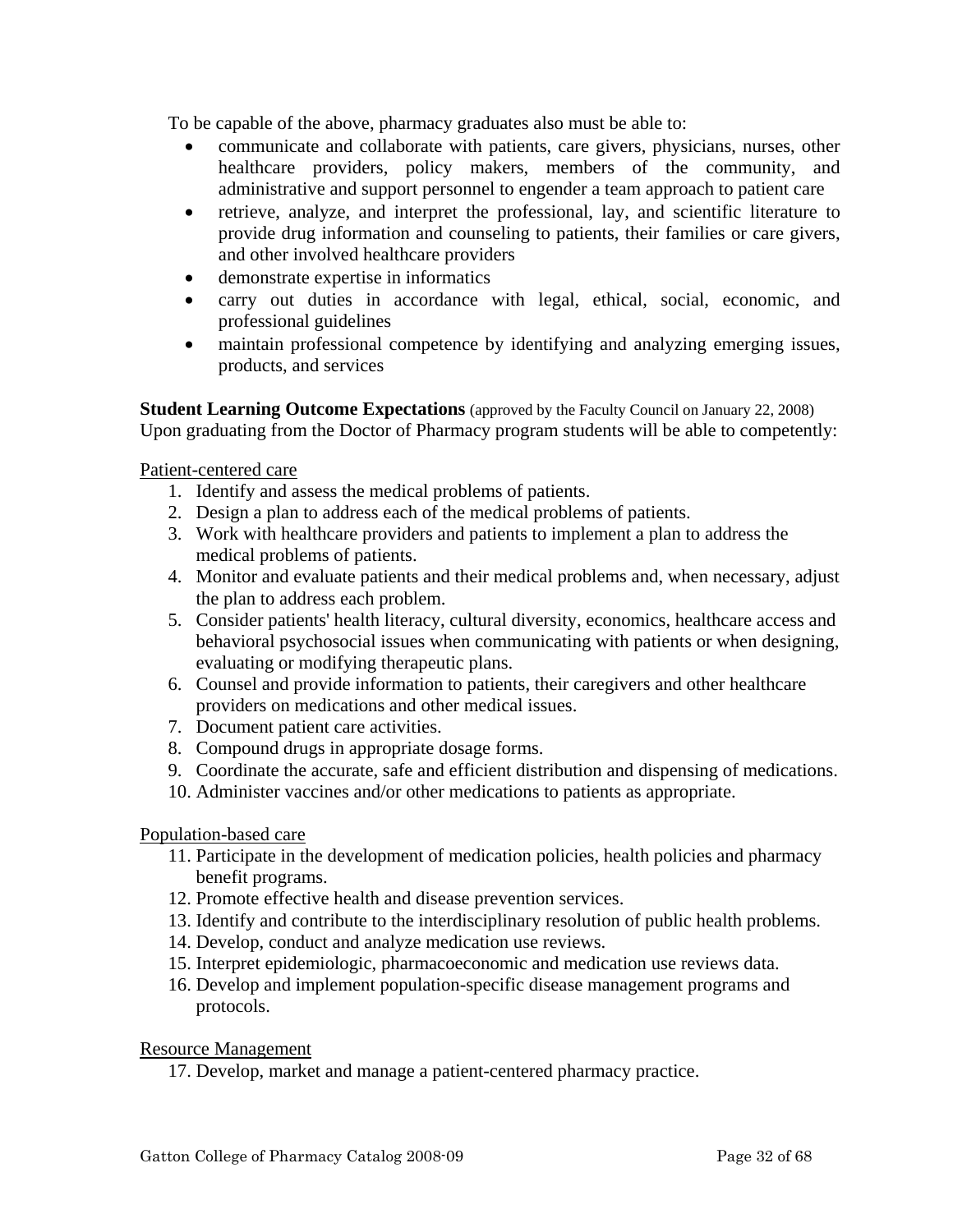To be capable of the above, pharmacy graduates also must be able to:

- communicate and collaborate with patients, care givers, physicians, nurses, other healthcare providers, policy makers, members of the community, and administrative and support personnel to engender a team approach to patient care
- retrieve, analyze, and interpret the professional, lay, and scientific literature to provide drug information and counseling to patients, their families or care givers, and other involved healthcare providers
- demonstrate expertise in informatics
- carry out duties in accordance with legal, ethical, social, economic, and professional guidelines
- maintain professional competence by identifying and analyzing emerging issues, products, and services

**Student Learning Outcome Expectations** (approved by the Faculty Council on January 22, 2008) Upon graduating from the Doctor of Pharmacy program students will be able to competently:

Patient-centered care

- 1. Identify and assess the medical problems of patients.
- 2. Design a plan to address each of the medical problems of patients.
- 3. Work with healthcare providers and patients to implement a plan to address the medical problems of patients.
- 4. Monitor and evaluate patients and their medical problems and, when necessary, adjust the plan to address each problem.
- 5. Consider patients' health literacy, cultural diversity, economics, healthcare access and behavioral psychosocial issues when communicating with patients or when designing, evaluating or modifying therapeutic plans.
- 6. Counsel and provide information to patients, their caregivers and other healthcare providers on medications and other medical issues.
- 7. Document patient care activities.
- 8. Compound drugs in appropriate dosage forms.
- 9. Coordinate the accurate, safe and efficient distribution and dispensing of medications.
- 10. Administer vaccines and/or other medications to patients as appropriate.

## Population-based care

- 11. Participate in the development of medication policies, health policies and pharmacy benefit programs.
- 12. Promote effective health and disease prevention services.
- 13. Identify and contribute to the interdisciplinary resolution of public health problems.
- 14. Develop, conduct and analyze medication use reviews.
- 15. Interpret epidemiologic, pharmacoeconomic and medication use reviews data.
- 16. Develop and implement population-specific disease management programs and protocols.

Resource Management

17. Develop, market and manage a patient-centered pharmacy practice.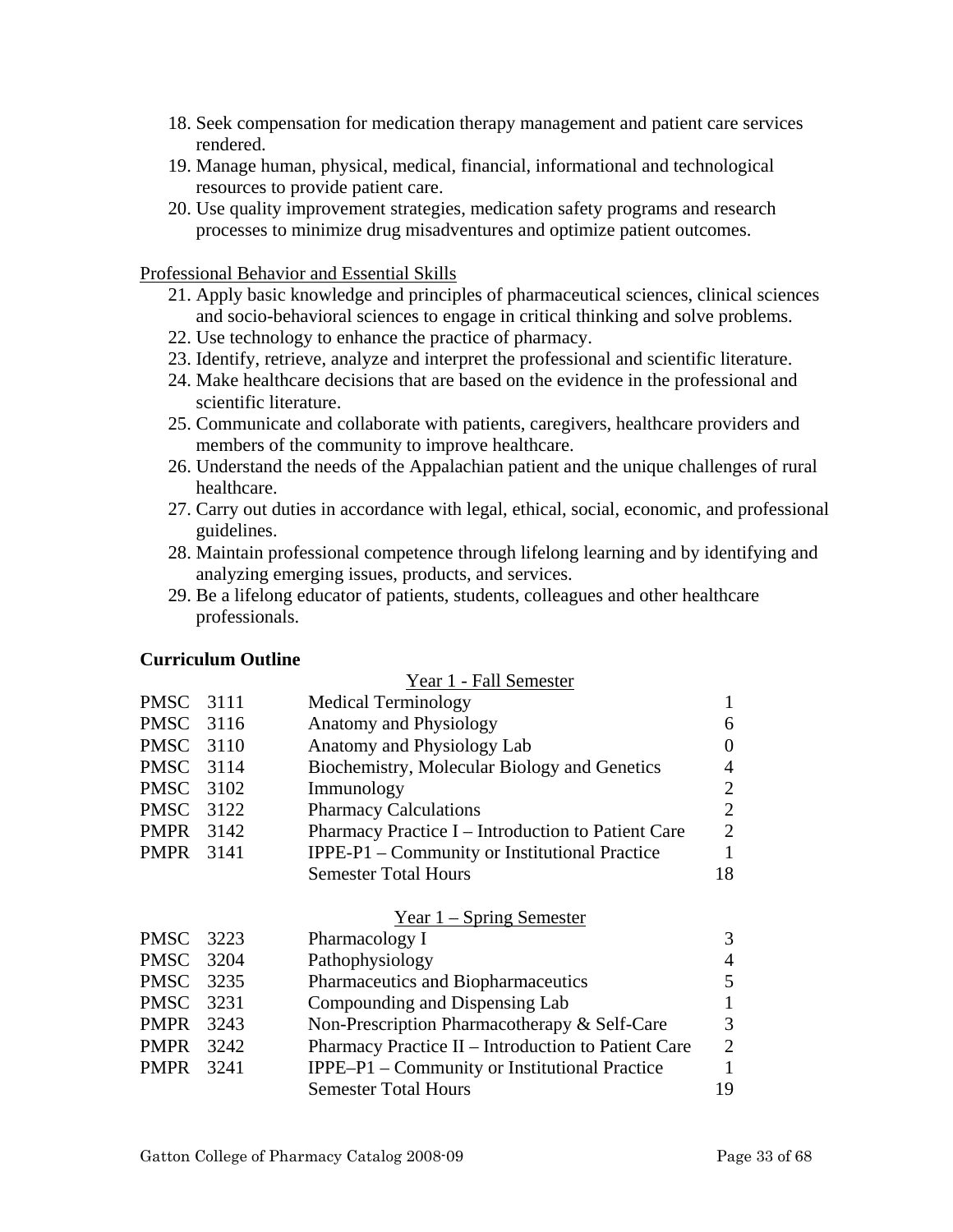- 18. Seek compensation for medication therapy management and patient care services rendered.
- 19. Manage human, physical, medical, financial, informational and technological resources to provide patient care.
- 20. Use quality improvement strategies, medication safety programs and research processes to minimize drug misadventures and optimize patient outcomes.

Professional Behavior and Essential Skills

- 21. Apply basic knowledge and principles of pharmaceutical sciences, clinical sciences and socio-behavioral sciences to engage in critical thinking and solve problems.
- 22. Use technology to enhance the practice of pharmacy.
- 23. Identify, retrieve, analyze and interpret the professional and scientific literature.
- 24. Make healthcare decisions that are based on the evidence in the professional and scientific literature.
- 25. Communicate and collaborate with patients, caregivers, healthcare providers and members of the community to improve healthcare.
- 26. Understand the needs of the Appalachian patient and the unique challenges of rural healthcare.
- 27. Carry out duties in accordance with legal, ethical, social, economic, and professional guidelines.
- 28. Maintain professional competence through lifelong learning and by identifying and analyzing emerging issues, products, and services.
- 29. Be a lifelong educator of patients, students, colleagues and other healthcare professionals.

## **Curriculum Outline**

|                  |      | Year 1 - Fall Semester                              |                |
|------------------|------|-----------------------------------------------------|----------------|
| PMSC             | 3111 | <b>Medical Terminology</b>                          |                |
| PMSC 3116        |      | Anatomy and Physiology                              | 6              |
| <b>PMSC</b> 3110 |      | Anatomy and Physiology Lab                          | 0              |
| PMSC 3114        |      | Biochemistry, Molecular Biology and Genetics        | 4              |
| PMSC 3102        |      | Immunology                                          | $\overline{2}$ |
| PMSC 3122        |      | <b>Pharmacy Calculations</b>                        | $\overline{2}$ |
| <b>PMPR</b> 3142 |      | Pharmacy Practice I - Introduction to Patient Care  | $\overline{2}$ |
| <b>PMPR</b> 3141 |      | IPPE-P1 – Community or Institutional Practice       | 1              |
|                  |      | <b>Semester Total Hours</b>                         | 18             |
|                  |      | $Year 1 - Spring Semester$                          |                |
| <b>PMSC</b>      | 3223 | Pharmacology I                                      | 3              |
| <b>PMSC</b>      | 3204 | Pathophysiology                                     | $\overline{4}$ |
| PMSC 3235        |      | Pharmaceutics and Biopharmaceutics                  | 5              |
| PMSC 3231        |      | Compounding and Dispensing Lab                      |                |
| <b>PMPR</b> 3243 |      | Non-Prescription Pharmacotherapy & Self-Care        | 3              |
| PMPR             | 3242 | Pharmacy Practice II - Introduction to Patient Care | $\overline{2}$ |
| <b>PMPR</b>      | 3241 | IPPE-P1 - Community or Institutional Practice       | 1              |
|                  |      | <b>Semester Total Hours</b>                         | 19             |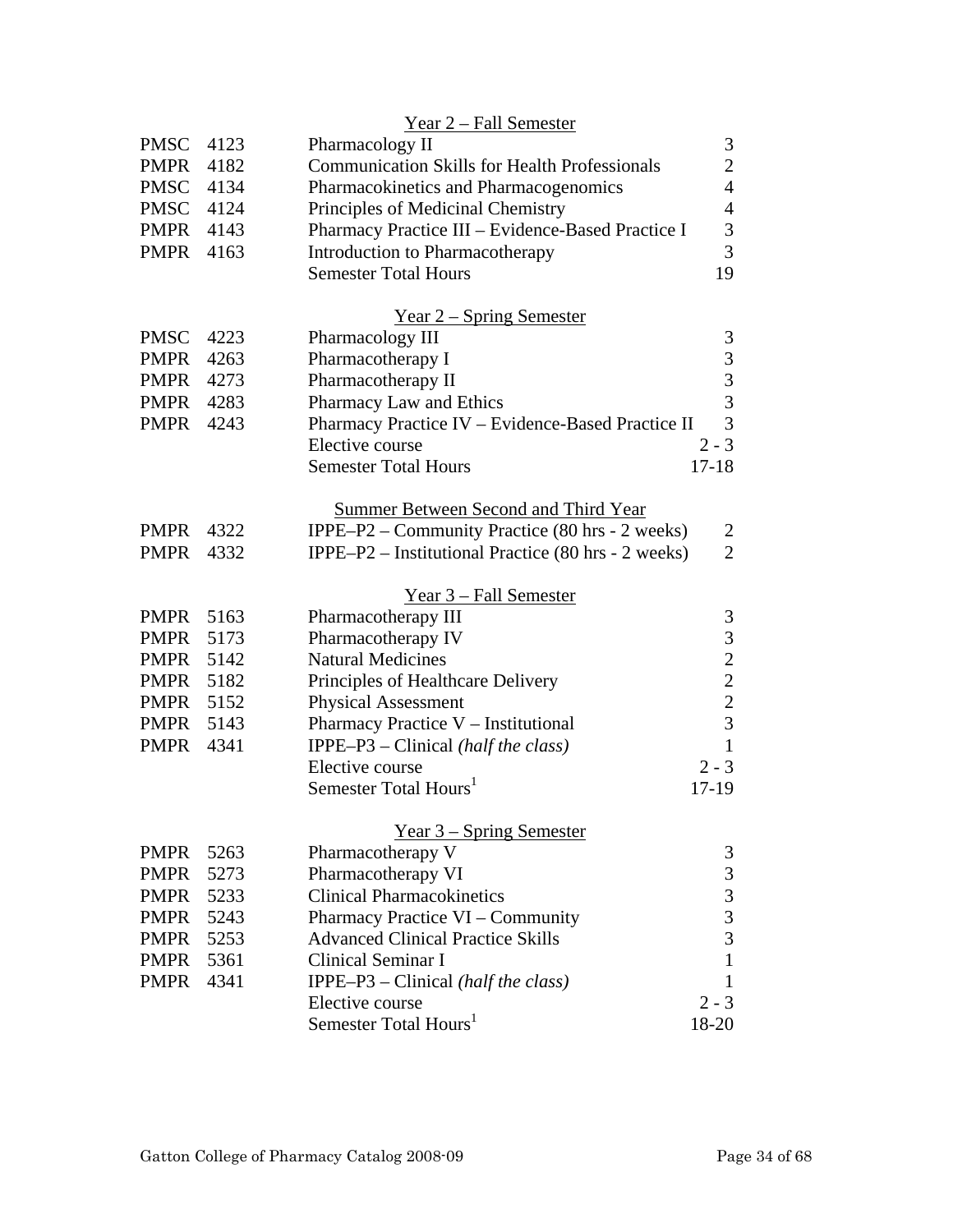|                  |      | Year 2 – Fall Semester                               |                                                 |
|------------------|------|------------------------------------------------------|-------------------------------------------------|
| <b>PMSC</b>      | 4123 | Pharmacology II                                      | 3                                               |
| <b>PMPR</b>      | 4182 | <b>Communication Skills for Health Professionals</b> | $\mathbf{2}$                                    |
| PMSC 4134        |      | Pharmacokinetics and Pharmacogenomics                | $\overline{4}$                                  |
| PMSC 4124        |      | Principles of Medicinal Chemistry                    | $\overline{4}$                                  |
| PMPR             | 4143 | Pharmacy Practice III - Evidence-Based Practice I    | 3                                               |
| <b>PMPR</b>      | 4163 | <b>Introduction to Pharmacotherapy</b>               | $\overline{3}$                                  |
|                  |      | <b>Semester Total Hours</b>                          | 19                                              |
|                  |      | <u>Year 2 – Spring Semester</u>                      |                                                 |
| <b>PMSC</b>      | 4223 | Pharmacology III                                     | 3                                               |
| <b>PMPR</b>      | 4263 | Pharmacotherapy I                                    |                                                 |
| <b>PMPR</b>      | 4273 | Pharmacotherapy II                                   | $\begin{array}{c} 3 \\ 3 \\ 3 \end{array}$      |
| <b>PMPR</b> 4283 |      | Pharmacy Law and Ethics                              |                                                 |
| PMPR             | 4243 | Pharmacy Practice IV - Evidence-Based Practice II    | 3                                               |
|                  |      | Elective course                                      | $2 - 3$                                         |
|                  |      | <b>Semester Total Hours</b>                          | $17-18$                                         |
|                  |      | <b>Summer Between Second and Third Year</b>          |                                                 |
| <b>PMPR</b>      | 4322 | IPPE-P2 – Community Practice (80 hrs - 2 weeks)      | $\overline{2}$                                  |
| <b>PMPR</b>      | 4332 | IPPE-P2 – Institutional Practice (80 hrs - 2 weeks)  | $\overline{2}$                                  |
|                  |      | <u>Year 3 – Fall Semester</u>                        |                                                 |
| <b>PMPR</b>      | 5163 | Pharmacotherapy III                                  | 3                                               |
| <b>PMPR</b>      | 5173 | Pharmacotherapy IV                                   |                                                 |
| <b>PMPR</b>      | 5142 | <b>Natural Medicines</b>                             | $\begin{array}{c} 3 \\ 2 \\ 2 \\ 3 \end{array}$ |
| PMPR             | 5182 | Principles of Healthcare Delivery                    |                                                 |
| <b>PMPR</b> 5152 |      | <b>Physical Assessment</b>                           |                                                 |
| <b>PMPR</b>      | 5143 | Pharmacy Practice V – Institutional                  |                                                 |
| <b>PMPR</b>      | 4341 | IPPE-P3 - Clinical (half the class)                  | $\mathbf{1}$                                    |
|                  |      | Elective course                                      | $2 - 3$                                         |
|                  |      | Semester Total Hours <sup>1</sup>                    | 17-19                                           |
|                  |      | $Year 3 - Spring Semester$                           |                                                 |
| <b>PMPR</b>      | 5263 | Pharmacotherapy V                                    | 3                                               |
| <b>PMPR</b>      | 5273 | Pharmacotherapy VI                                   |                                                 |
| <b>PMPR</b>      | 5233 | <b>Clinical Pharmacokinetics</b>                     |                                                 |
| <b>PMPR</b>      | 5243 | Pharmacy Practice VI – Community                     | $\begin{array}{c} 3 \\ 3 \\ 3 \end{array}$      |
| <b>PMPR</b>      | 5253 | <b>Advanced Clinical Practice Skills</b>             |                                                 |
| <b>PMPR</b>      | 5361 | Clinical Seminar I                                   | $\mathbf{1}$                                    |
| <b>PMPR</b>      | 4341 | IPPE-P3 – Clinical (half the class)                  | $\mathbf{1}$                                    |
|                  |      | Elective course                                      | $2 - 3$                                         |
|                  |      | Semester Total Hours <sup>1</sup>                    | 18-20                                           |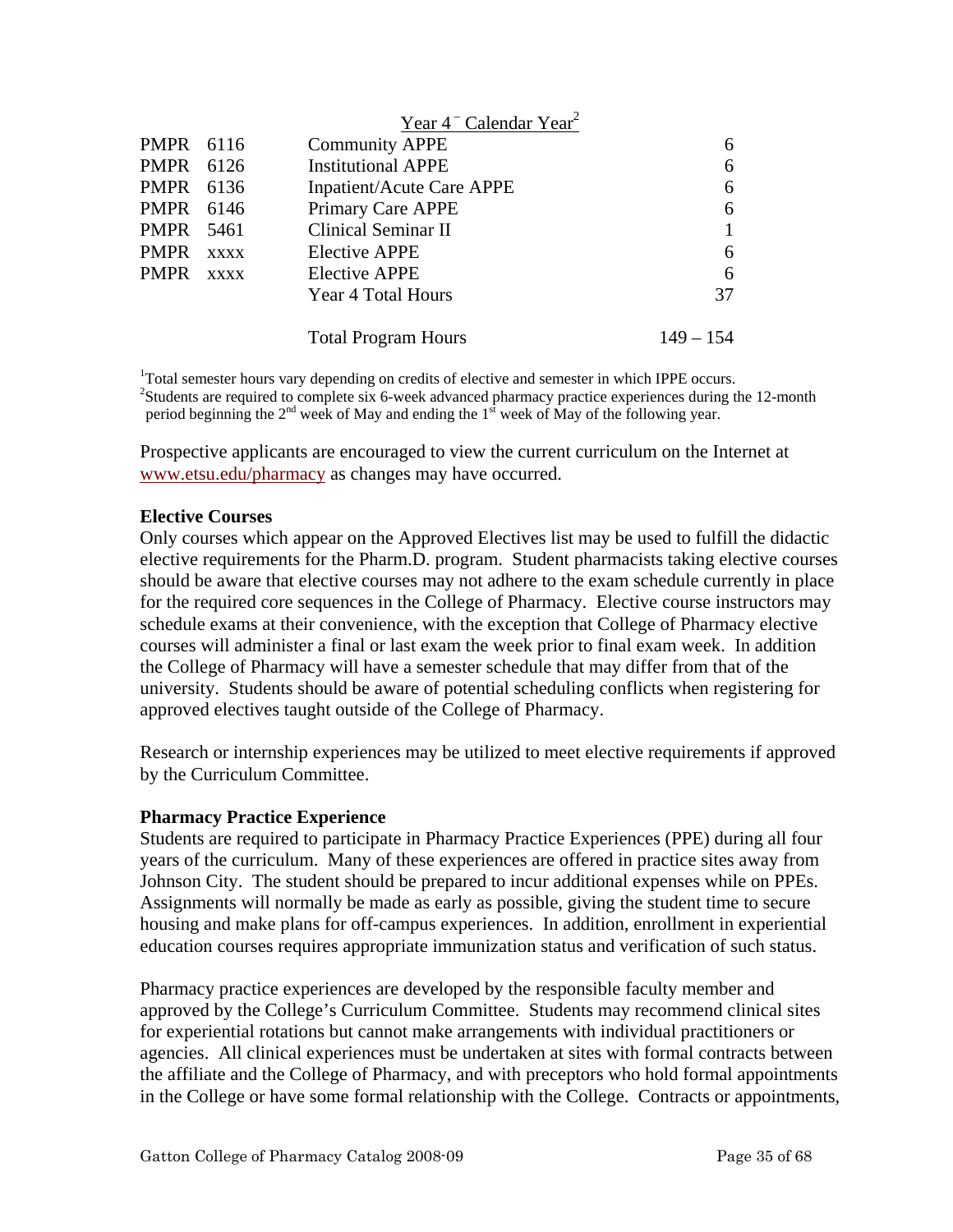|             |             | Year $4^-$ Calendar Year <sup>2</sup> |             |
|-------------|-------------|---------------------------------------|-------------|
| PMPR 6116   |             | <b>Community APPE</b>                 | 6           |
| PMPR        | 6126        | <b>Institutional APPE</b>             | 6           |
| PMPR 6136   |             | <b>Inpatient/Acute Care APPE</b>      | 6           |
| PMPR        | 6146        | Primary Care APPE                     | 6           |
| PMPR        | 5461        | Clinical Seminar II                   |             |
| <b>PMPR</b> | <b>XXXX</b> | <b>Elective APPE</b>                  | 6           |
| <b>PMPR</b> | <b>XXXX</b> | Elective APPE                         | 6           |
|             |             | Year 4 Total Hours                    | 37          |
|             |             | <b>Total Program Hours</b>            | $149 - 154$ |

<sup>1</sup>Total semester hours vary depending on credits of elective and semester in which IPPE occurs.<br><sup>2</sup>Students are required to complete six 6 week educated phermacy prectice experiences during th <sup>2</sup>Students are required to complete six 6-week advanced pharmacy practice experiences during the 12-month period beginning the  $2<sup>nd</sup>$  week of May and ending the  $1<sup>st</sup>$  week of May of the following year.

Prospective applicants are encouraged to view the current curriculum on the Internet at www.etsu.edu/pharmacy as changes may have occurred.

## **Elective Courses**

Only courses which appear on the Approved Electives list may be used to fulfill the didactic elective requirements for the Pharm.D. program. Student pharmacists taking elective courses should be aware that elective courses may not adhere to the exam schedule currently in place for the required core sequences in the College of Pharmacy. Elective course instructors may schedule exams at their convenience, with the exception that College of Pharmacy elective courses will administer a final or last exam the week prior to final exam week. In addition the College of Pharmacy will have a semester schedule that may differ from that of the university. Students should be aware of potential scheduling conflicts when registering for approved electives taught outside of the College of Pharmacy.

Research or internship experiences may be utilized to meet elective requirements if approved by the Curriculum Committee.

#### **Pharmacy Practice Experience**

Students are required to participate in Pharmacy Practice Experiences (PPE) during all four years of the curriculum. Many of these experiences are offered in practice sites away from Johnson City. The student should be prepared to incur additional expenses while on PPEs. Assignments will normally be made as early as possible, giving the student time to secure housing and make plans for off-campus experiences. In addition, enrollment in experiential education courses requires appropriate immunization status and verification of such status.

Pharmacy practice experiences are developed by the responsible faculty member and approved by the College's Curriculum Committee. Students may recommend clinical sites for experiential rotations but cannot make arrangements with individual practitioners or agencies. All clinical experiences must be undertaken at sites with formal contracts between the affiliate and the College of Pharmacy, and with preceptors who hold formal appointments in the College or have some formal relationship with the College. Contracts or appointments,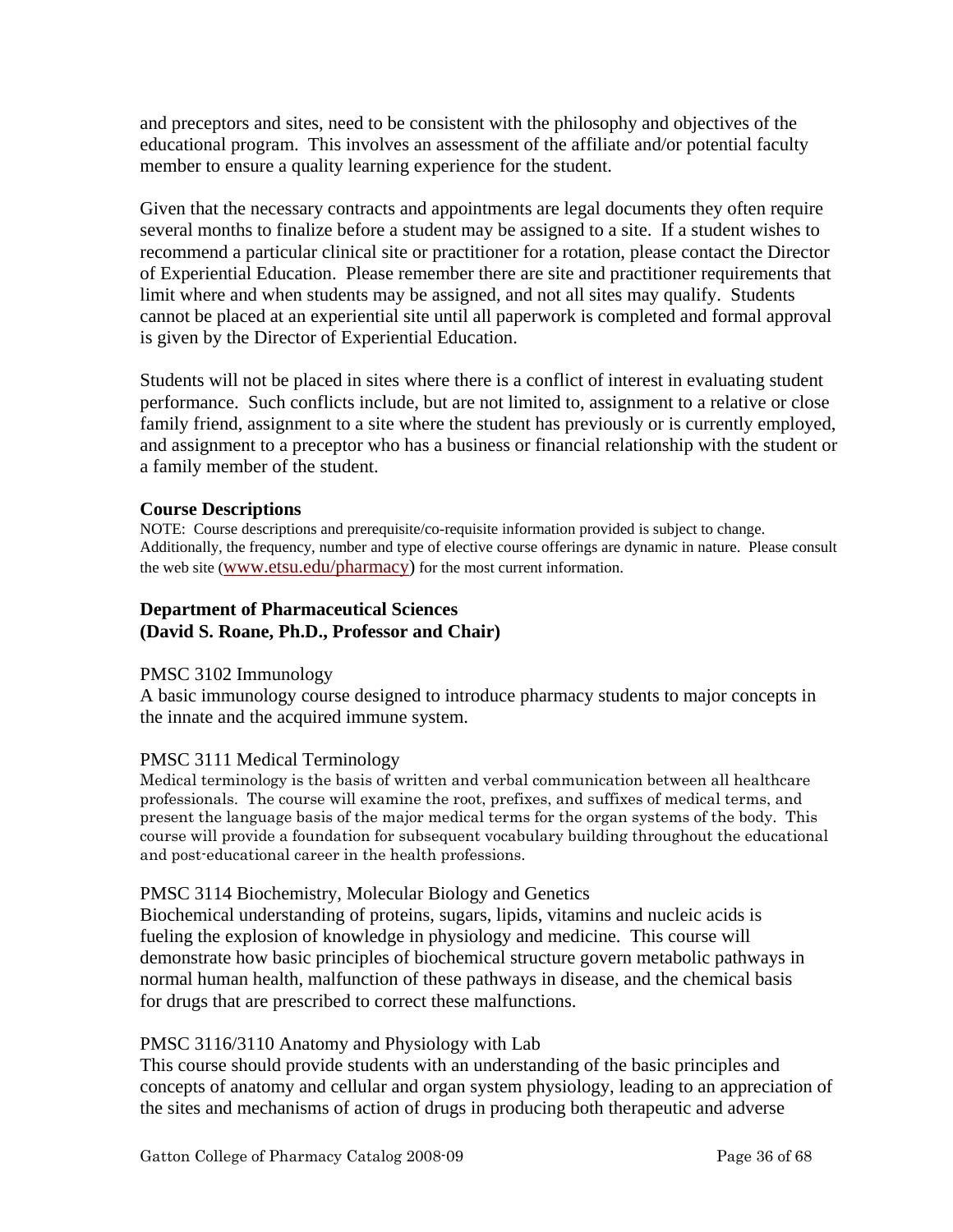and preceptors and sites, need to be consistent with the philosophy and objectives of the educational program. This involves an assessment of the affiliate and/or potential faculty member to ensure a quality learning experience for the student.

Given that the necessary contracts and appointments are legal documents they often require several months to finalize before a student may be assigned to a site. If a student wishes to recommend a particular clinical site or practitioner for a rotation, please contact the Director of Experiential Education. Please remember there are site and practitioner requirements that limit where and when students may be assigned, and not all sites may qualify. Students cannot be placed at an experiential site until all paperwork is completed and formal approval is given by the Director of Experiential Education.

Students will not be placed in sites where there is a conflict of interest in evaluating student performance. Such conflicts include, but are not limited to, assignment to a relative or close family friend, assignment to a site where the student has previously or is currently employed, and assignment to a preceptor who has a business or financial relationship with the student or a family member of the student.

## **Course Descriptions**

NOTE: Course descriptions and prerequisite/co-requisite information provided is subject to change. Additionally, the frequency, number and type of elective course offerings are dynamic in nature. Please consult the web site (www.etsu.edu/pharmacy) for the most current information.

# **Department of Pharmaceutical Sciences (David S. Roane, Ph.D., Professor and Chair)**

## PMSC 3102 Immunology

A basic immunology course designed to introduce pharmacy students to major concepts in the innate and the acquired immune system.

## PMSC 3111 Medical Terminology

Medical terminology is the basis of written and verbal communication between all healthcare professionals. The course will examine the root, prefixes, and suffixes of medical terms, and present the language basis of the major medical terms for the organ systems of the body. This course will provide a foundation for subsequent vocabulary building throughout the educational and post-educational career in the health professions.

## PMSC 3114 Biochemistry, Molecular Biology and Genetics

Biochemical understanding of proteins, sugars, lipids, vitamins and nucleic acids is fueling the explosion of knowledge in physiology and medicine. This course will demonstrate how basic principles of biochemical structure govern metabolic pathways in normal human health, malfunction of these pathways in disease, and the chemical basis for drugs that are prescribed to correct these malfunctions.

# PMSC 3116/3110 Anatomy and Physiology with Lab

This course should provide students with an understanding of the basic principles and concepts of anatomy and cellular and organ system physiology, leading to an appreciation of the sites and mechanisms of action of drugs in producing both therapeutic and adverse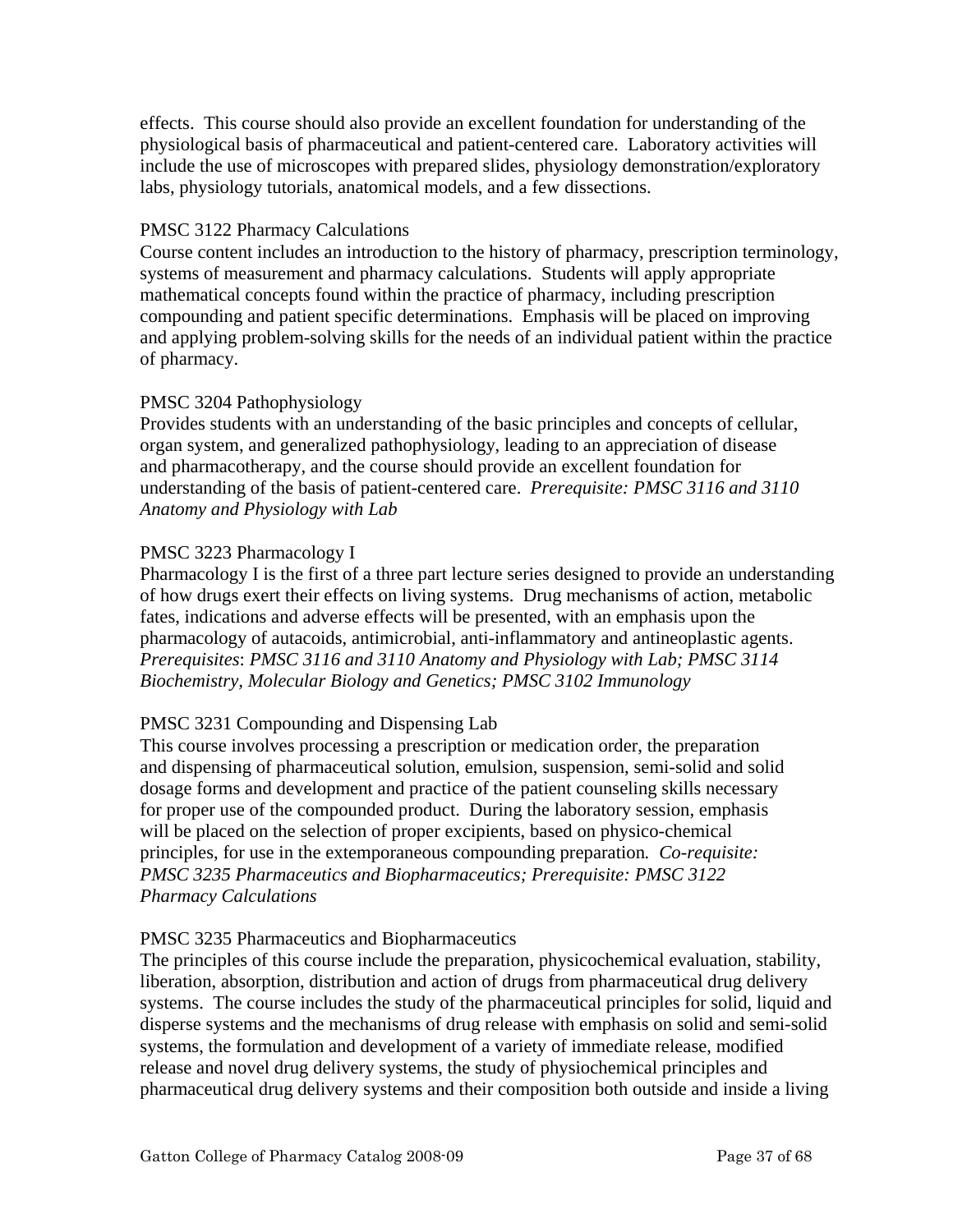effects. This course should also provide an excellent foundation for understanding of the physiological basis of pharmaceutical and patient-centered care. Laboratory activities will include the use of microscopes with prepared slides, physiology demonstration/exploratory labs, physiology tutorials, anatomical models, and a few dissections.

# PMSC 3122 Pharmacy Calculations

Course content includes an introduction to the history of pharmacy, prescription terminology, systems of measurement and pharmacy calculations. Students will apply appropriate mathematical concepts found within the practice of pharmacy, including prescription compounding and patient specific determinations. Emphasis will be placed on improving and applying problem-solving skills for the needs of an individual patient within the practice of pharmacy.

# PMSC 3204 Pathophysiology

Provides students with an understanding of the basic principles and concepts of cellular, organ system, and generalized pathophysiology, leading to an appreciation of disease and pharmacotherapy, and the course should provide an excellent foundation for understanding of the basis of patient-centered care. *Prerequisite: PMSC 3116 and 3110 Anatomy and Physiology with Lab* 

# PMSC 3223 Pharmacology I

Pharmacology I is the first of a three part lecture series designed to provide an understanding of how drugs exert their effects on living systems. Drug mechanisms of action, metabolic fates, indications and adverse effects will be presented, with an emphasis upon the pharmacology of autacoids, antimicrobial, anti-inflammatory and antineoplastic agents. *Prerequisites*: *PMSC 3116 and 3110 Anatomy and Physiology with Lab; PMSC 3114 Biochemistry, Molecular Biology and Genetics; PMSC 3102 Immunology* 

# PMSC 3231 Compounding and Dispensing Lab

This course involves processing a prescription or medication order, the preparation and dispensing of pharmaceutical solution, emulsion, suspension, semi-solid and solid dosage forms and development and practice of the patient counseling skills necessary for proper use of the compounded product. During the laboratory session, emphasis will be placed on the selection of proper excipients, based on physico-chemical principles, for use in the extemporaneous compounding preparation*. Co-requisite: PMSC 3235 Pharmaceutics and Biopharmaceutics; Prerequisite: PMSC 3122 Pharmacy Calculations* 

## PMSC 3235 Pharmaceutics and Biopharmaceutics

The principles of this course include the preparation, physicochemical evaluation, stability, liberation, absorption, distribution and action of drugs from pharmaceutical drug delivery systems. The course includes the study of the pharmaceutical principles for solid, liquid and disperse systems and the mechanisms of drug release with emphasis on solid and semi-solid systems, the formulation and development of a variety of immediate release, modified release and novel drug delivery systems, the study of physiochemical principles and pharmaceutical drug delivery systems and their composition both outside and inside a living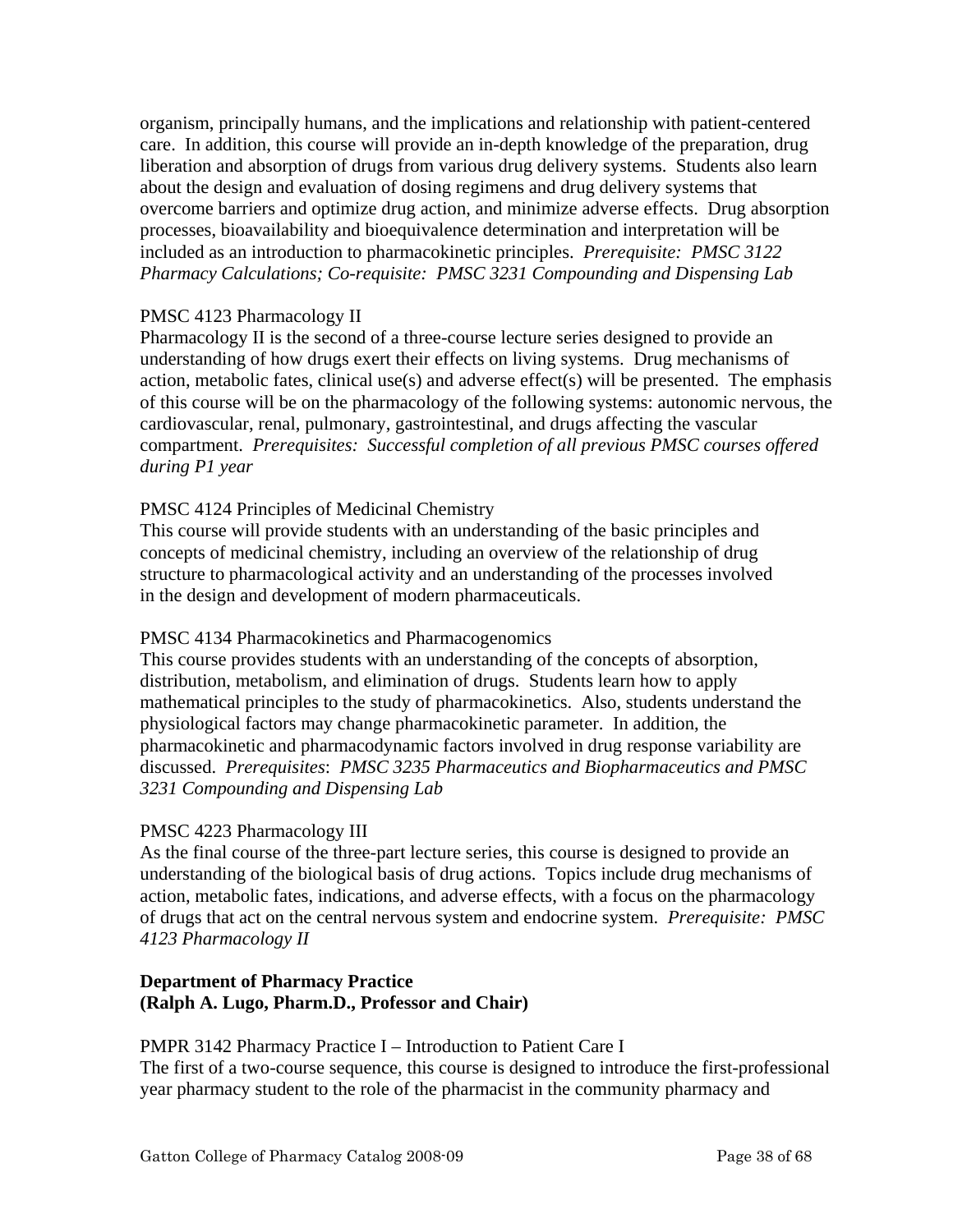organism, principally humans, and the implications and relationship with patient-centered care. In addition, this course will provide an in-depth knowledge of the preparation, drug liberation and absorption of drugs from various drug delivery systems. Students also learn about the design and evaluation of dosing regimens and drug delivery systems that overcome barriers and optimize drug action, and minimize adverse effects. Drug absorption processes, bioavailability and bioequivalence determination and interpretation will be included as an introduction to pharmacokinetic principles. *Prerequisite: PMSC 3122 Pharmacy Calculations; Co-requisite: PMSC 3231 Compounding and Dispensing Lab* 

## PMSC 4123 Pharmacology II

Pharmacology II is the second of a three-course lecture series designed to provide an understanding of how drugs exert their effects on living systems. Drug mechanisms of action, metabolic fates, clinical use(s) and adverse effect(s) will be presented. The emphasis of this course will be on the pharmacology of the following systems: autonomic nervous, the cardiovascular, renal, pulmonary, gastrointestinal, and drugs affecting the vascular compartment. *Prerequisites: Successful completion of all previous PMSC courses offered during P1 year* 

# PMSC 4124 Principles of Medicinal Chemistry

This course will provide students with an understanding of the basic principles and concepts of medicinal chemistry, including an overview of the relationship of drug structure to pharmacological activity and an understanding of the processes involved in the design and development of modern pharmaceuticals.

## PMSC 4134 Pharmacokinetics and Pharmacogenomics

This course provides students with an understanding of the concepts of absorption, distribution, metabolism, and elimination of drugs. Students learn how to apply mathematical principles to the study of pharmacokinetics. Also, students understand the physiological factors may change pharmacokinetic parameter. In addition, the pharmacokinetic and pharmacodynamic factors involved in drug response variability are discussed. *Prerequisites*: *PMSC 3235 Pharmaceutics and Biopharmaceutics and PMSC 3231 Compounding and Dispensing Lab* 

## PMSC 4223 Pharmacology III

As the final course of the three-part lecture series, this course is designed to provide an understanding of the biological basis of drug actions. Topics include drug mechanisms of action, metabolic fates, indications, and adverse effects, with a focus on the pharmacology of drugs that act on the central nervous system and endocrine system. *Prerequisite: PMSC 4123 Pharmacology II* 

# **Department of Pharmacy Practice (Ralph A. Lugo, Pharm.D., Professor and Chair)**

PMPR 3142 Pharmacy Practice I – Introduction to Patient Care I The first of a two-course sequence, this course is designed to introduce the first-professional year pharmacy student to the role of the pharmacist in the community pharmacy and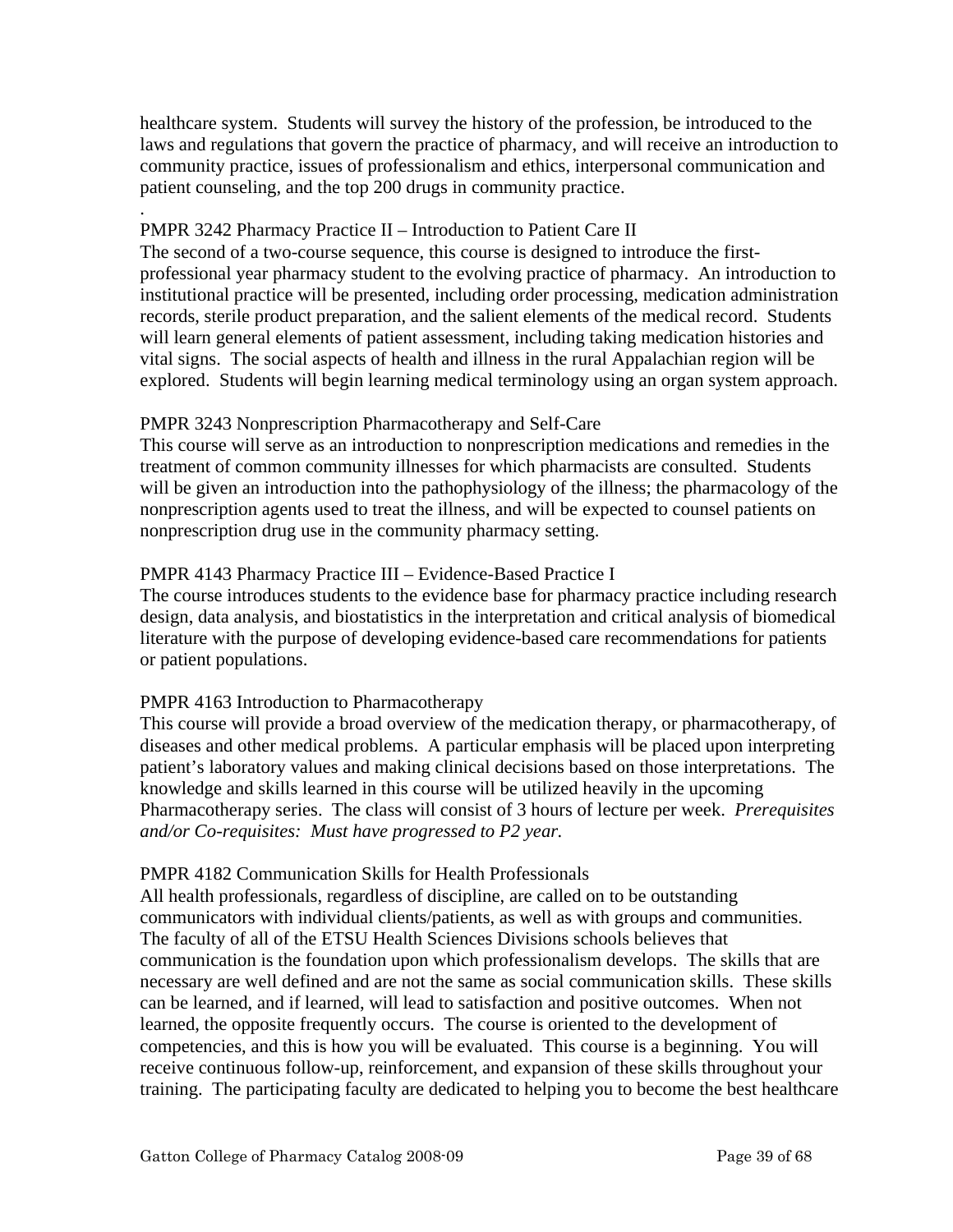healthcare system. Students will survey the history of the profession, be introduced to the laws and regulations that govern the practice of pharmacy, and will receive an introduction to community practice, issues of professionalism and ethics, interpersonal communication and patient counseling, and the top 200 drugs in community practice.

#### . PMPR 3242 Pharmacy Practice II – Introduction to Patient Care II

The second of a two-course sequence, this course is designed to introduce the firstprofessional year pharmacy student to the evolving practice of pharmacy. An introduction to institutional practice will be presented, including order processing, medication administration records, sterile product preparation, and the salient elements of the medical record. Students will learn general elements of patient assessment, including taking medication histories and vital signs. The social aspects of health and illness in the rural Appalachian region will be explored. Students will begin learning medical terminology using an organ system approach.

# PMPR 3243 Nonprescription Pharmacotherapy and Self-Care

This course will serve as an introduction to nonprescription medications and remedies in the treatment of common community illnesses for which pharmacists are consulted. Students will be given an introduction into the pathophysiology of the illness; the pharmacology of the nonprescription agents used to treat the illness, and will be expected to counsel patients on nonprescription drug use in the community pharmacy setting.

# PMPR 4143 Pharmacy Practice III – Evidence-Based Practice I

The course introduces students to the evidence base for pharmacy practice including research design, data analysis, and biostatistics in the interpretation and critical analysis of biomedical literature with the purpose of developing evidence-based care recommendations for patients or patient populations.

# PMPR 4163 Introduction to Pharmacotherapy

This course will provide a broad overview of the medication therapy, or pharmacotherapy, of diseases and other medical problems. A particular emphasis will be placed upon interpreting patient's laboratory values and making clinical decisions based on those interpretations. The knowledge and skills learned in this course will be utilized heavily in the upcoming Pharmacotherapy series. The class will consist of 3 hours of lecture per week. *Prerequisites and/or Co-requisites: Must have progressed to P2 year.* 

## PMPR 4182 Communication Skills for Health Professionals

All health professionals, regardless of discipline, are called on to be outstanding communicators with individual clients/patients, as well as with groups and communities. The faculty of all of the ETSU Health Sciences Divisions schools believes that communication is the foundation upon which professionalism develops. The skills that are necessary are well defined and are not the same as social communication skills. These skills can be learned, and if learned, will lead to satisfaction and positive outcomes. When not learned, the opposite frequently occurs. The course is oriented to the development of competencies, and this is how you will be evaluated. This course is a beginning. You will receive continuous follow-up, reinforcement, and expansion of these skills throughout your training. The participating faculty are dedicated to helping you to become the best healthcare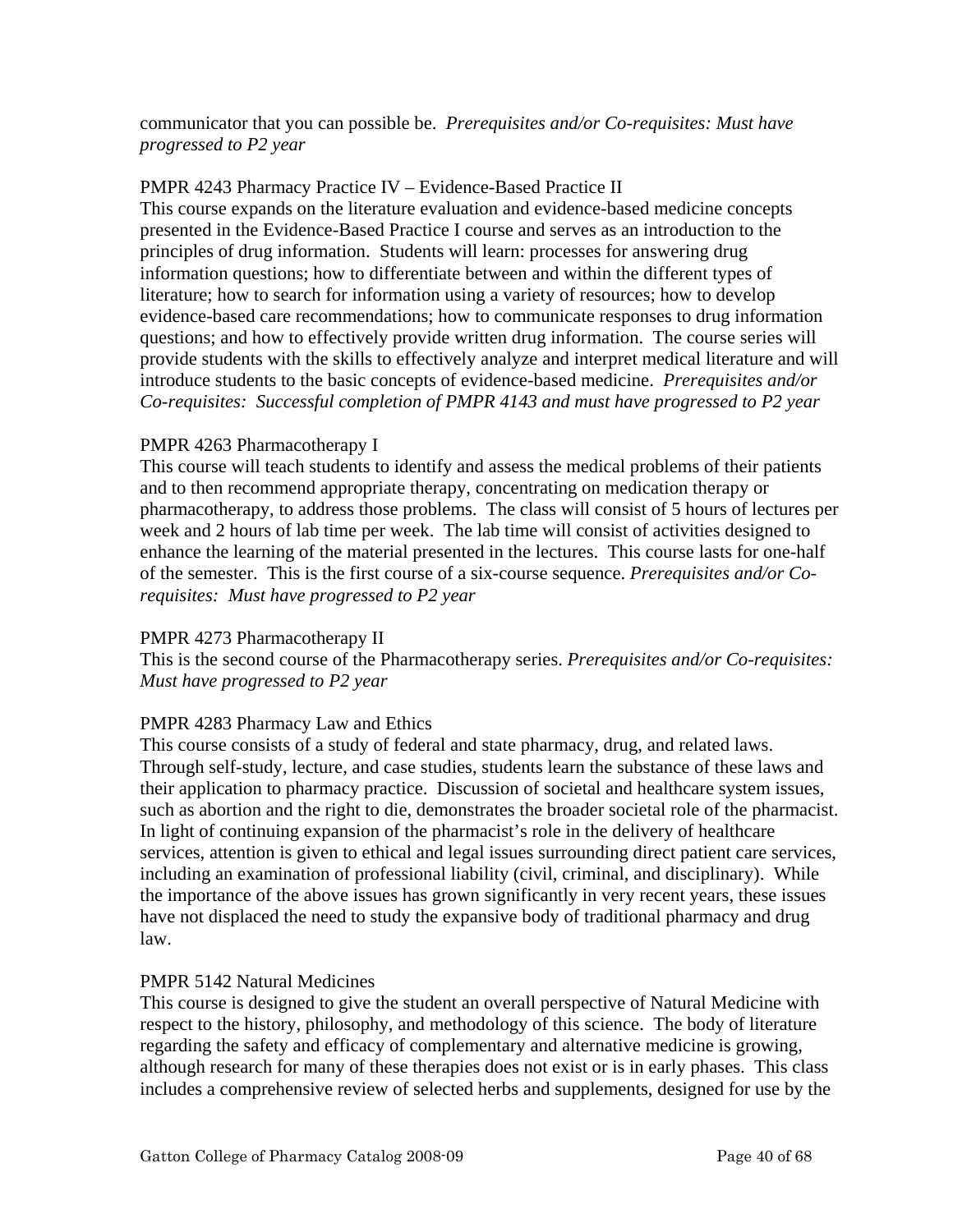communicator that you can possible be. *Prerequisites and/or Co-requisites: Must have progressed to P2 year* 

# PMPR 4243 Pharmacy Practice IV – Evidence-Based Practice II

This course expands on the literature evaluation and evidence-based medicine concepts presented in the Evidence-Based Practice I course and serves as an introduction to the principles of drug information. Students will learn: processes for answering drug information questions; how to differentiate between and within the different types of literature; how to search for information using a variety of resources; how to develop evidence-based care recommendations; how to communicate responses to drug information questions; and how to effectively provide written drug information. The course series will provide students with the skills to effectively analyze and interpret medical literature and will introduce students to the basic concepts of evidence-based medicine. *Prerequisites and/or Co-requisites: Successful completion of PMPR 4143 and must have progressed to P2 year* 

# PMPR 4263 Pharmacotherapy I

This course will teach students to identify and assess the medical problems of their patients and to then recommend appropriate therapy, concentrating on medication therapy or pharmacotherapy, to address those problems. The class will consist of 5 hours of lectures per week and 2 hours of lab time per week. The lab time will consist of activities designed to enhance the learning of the material presented in the lectures. This course lasts for one-half of the semester. This is the first course of a six-course sequence. *Prerequisites and/or Corequisites: Must have progressed to P2 year* 

## PMPR 4273 Pharmacotherapy II

This is the second course of the Pharmacotherapy series. *Prerequisites and/or Co-requisites: Must have progressed to P2 year* 

# PMPR 4283 Pharmacy Law and Ethics

This course consists of a study of federal and state pharmacy, drug, and related laws. Through self-study, lecture, and case studies, students learn the substance of these laws and their application to pharmacy practice. Discussion of societal and healthcare system issues, such as abortion and the right to die, demonstrates the broader societal role of the pharmacist. In light of continuing expansion of the pharmacist's role in the delivery of healthcare services, attention is given to ethical and legal issues surrounding direct patient care services, including an examination of professional liability (civil, criminal, and disciplinary). While the importance of the above issues has grown significantly in very recent years, these issues have not displaced the need to study the expansive body of traditional pharmacy and drug law.

## PMPR 5142 Natural Medicines

This course is designed to give the student an overall perspective of Natural Medicine with respect to the history, philosophy, and methodology of this science. The body of literature regarding the safety and efficacy of complementary and alternative medicine is growing, although research for many of these therapies does not exist or is in early phases. This class includes a comprehensive review of selected herbs and supplements, designed for use by the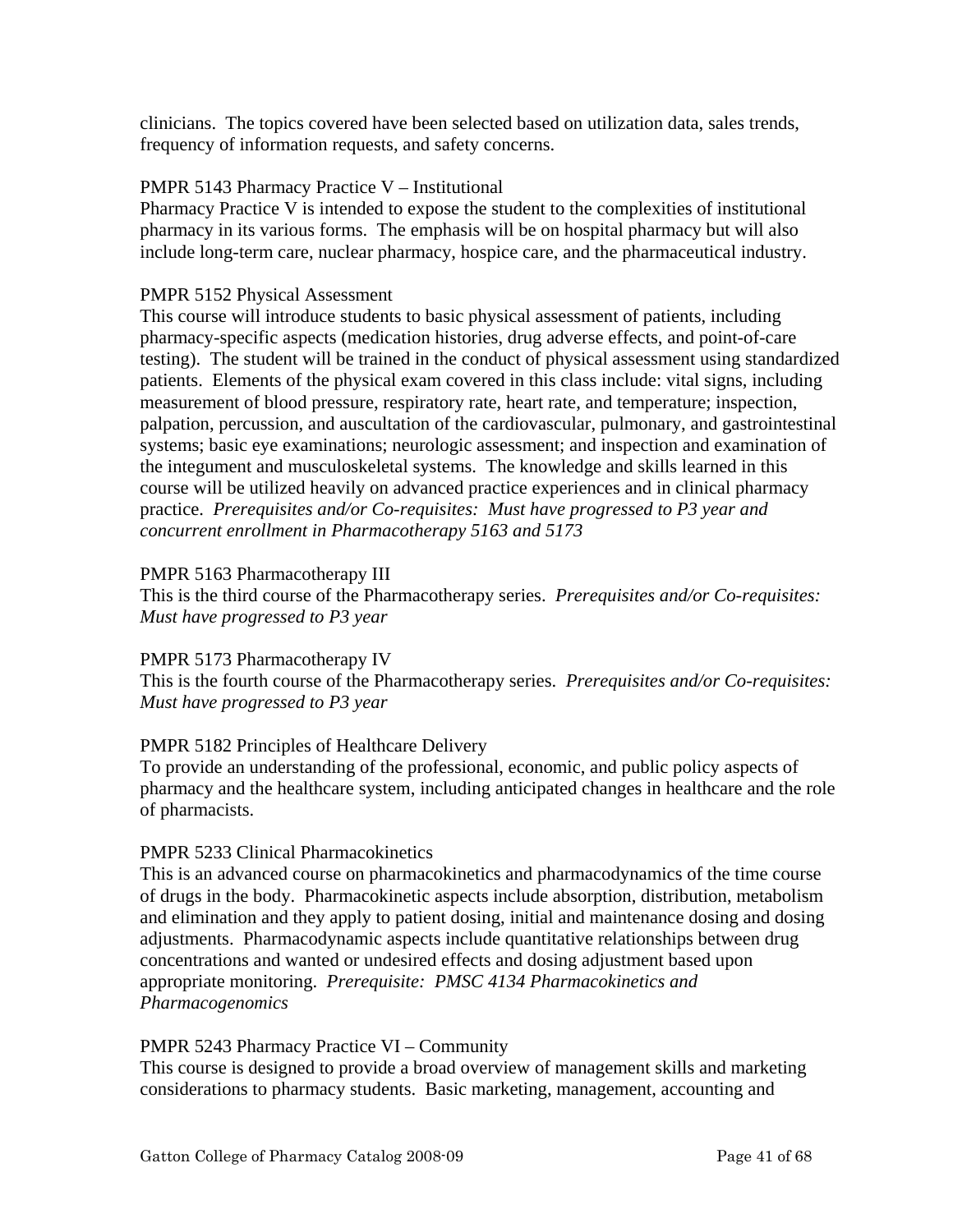clinicians. The topics covered have been selected based on utilization data, sales trends, frequency of information requests, and safety concerns.

# PMPR 5143 Pharmacy Practice V – Institutional

Pharmacy Practice V is intended to expose the student to the complexities of institutional pharmacy in its various forms. The emphasis will be on hospital pharmacy but will also include long-term care, nuclear pharmacy, hospice care, and the pharmaceutical industry.

# PMPR 5152 Physical Assessment

This course will introduce students to basic physical assessment of patients, including pharmacy-specific aspects (medication histories, drug adverse effects, and point-of-care testing). The student will be trained in the conduct of physical assessment using standardized patients. Elements of the physical exam covered in this class include: vital signs, including measurement of blood pressure, respiratory rate, heart rate, and temperature; inspection, palpation, percussion, and auscultation of the cardiovascular, pulmonary, and gastrointestinal systems; basic eye examinations; neurologic assessment; and inspection and examination of the integument and musculoskeletal systems. The knowledge and skills learned in this course will be utilized heavily on advanced practice experiences and in clinical pharmacy practice. *Prerequisites and/or Co-requisites: Must have progressed to P3 year and concurrent enrollment in Pharmacotherapy 5163 and 5173* 

# PMPR 5163 Pharmacotherapy III

This is the third course of the Pharmacotherapy series. *Prerequisites and/or Co-requisites: Must have progressed to P3 year* 

## PMPR 5173 Pharmacotherapy IV

This is the fourth course of the Pharmacotherapy series. *Prerequisites and/or Co-requisites: Must have progressed to P3 year* 

# PMPR 5182 Principles of Healthcare Delivery

To provide an understanding of the professional, economic, and public policy aspects of pharmacy and the healthcare system, including anticipated changes in healthcare and the role of pharmacists.

## PMPR 5233 Clinical Pharmacokinetics

This is an advanced course on pharmacokinetics and pharmacodynamics of the time course of drugs in the body. Pharmacokinetic aspects include absorption, distribution, metabolism and elimination and they apply to patient dosing, initial and maintenance dosing and dosing adjustments. Pharmacodynamic aspects include quantitative relationships between drug concentrations and wanted or undesired effects and dosing adjustment based upon appropriate monitoring. *Prerequisite: PMSC 4134 Pharmacokinetics and Pharmacogenomics* 

## PMPR 5243 Pharmacy Practice VI – Community

This course is designed to provide a broad overview of management skills and marketing considerations to pharmacy students. Basic marketing, management, accounting and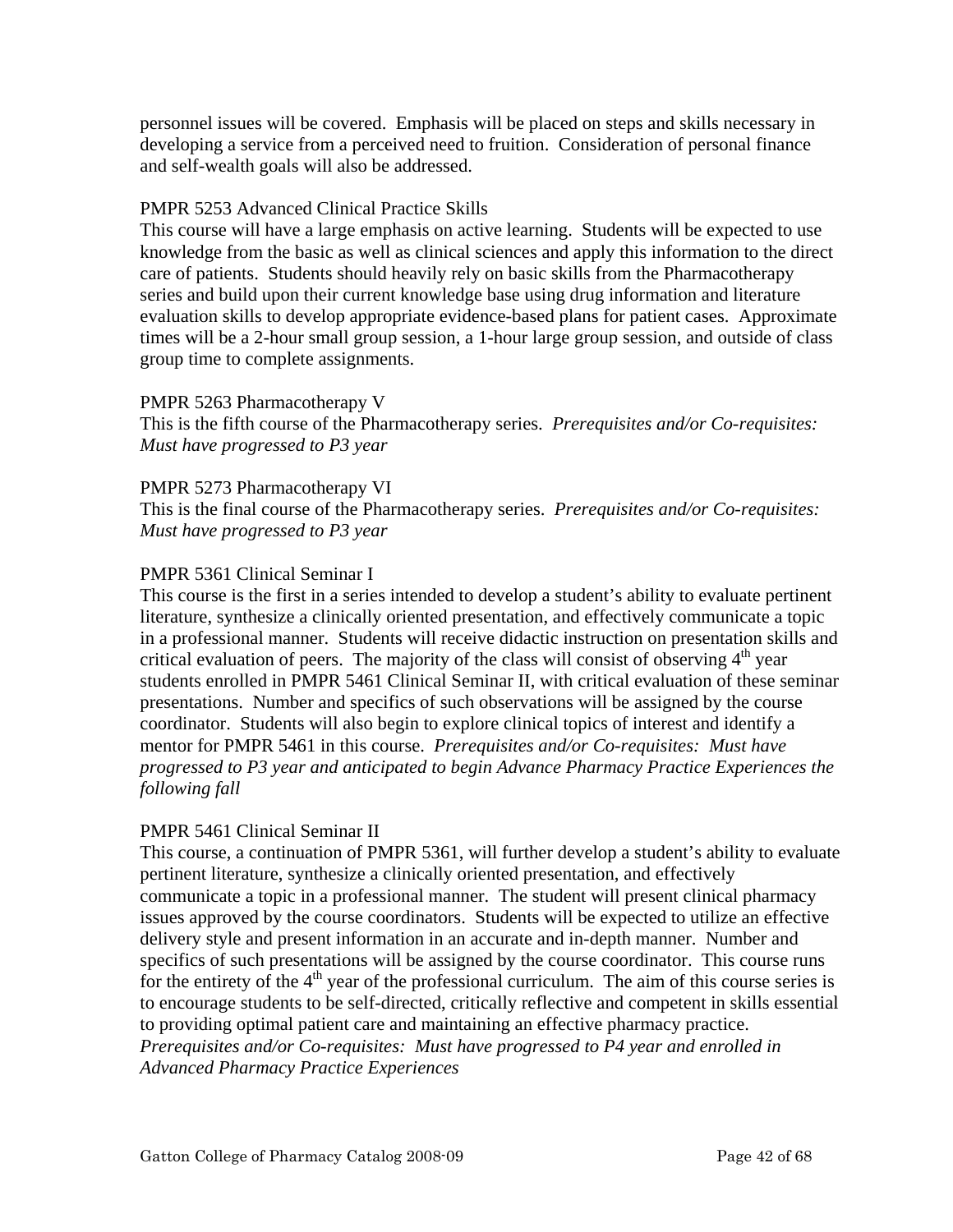personnel issues will be covered. Emphasis will be placed on steps and skills necessary in developing a service from a perceived need to fruition. Consideration of personal finance and self-wealth goals will also be addressed.

# PMPR 5253 Advanced Clinical Practice Skills

This course will have a large emphasis on active learning. Students will be expected to use knowledge from the basic as well as clinical sciences and apply this information to the direct care of patients. Students should heavily rely on basic skills from the Pharmacotherapy series and build upon their current knowledge base using drug information and literature evaluation skills to develop appropriate evidence-based plans for patient cases. Approximate times will be a 2-hour small group session, a 1-hour large group session, and outside of class group time to complete assignments.

## PMPR 5263 Pharmacotherapy V

This is the fifth course of the Pharmacotherapy series. *Prerequisites and/or Co-requisites: Must have progressed to P3 year* 

## PMPR 5273 Pharmacotherapy VI

This is the final course of the Pharmacotherapy series. *Prerequisites and/or Co-requisites: Must have progressed to P3 year* 

# PMPR 5361 Clinical Seminar I

This course is the first in a series intended to develop a student's ability to evaluate pertinent literature, synthesize a clinically oriented presentation, and effectively communicate a topic in a professional manner. Students will receive didactic instruction on presentation skills and critical evaluation of peers. The majority of the class will consist of observing  $4<sup>th</sup>$  year students enrolled in PMPR 5461 Clinical Seminar II, with critical evaluation of these seminar presentations. Number and specifics of such observations will be assigned by the course coordinator. Students will also begin to explore clinical topics of interest and identify a mentor for PMPR 5461 in this course. *Prerequisites and/or Co-requisites: Must have progressed to P3 year and anticipated to begin Advance Pharmacy Practice Experiences the following fall* 

## PMPR 5461 Clinical Seminar II

This course, a continuation of PMPR 5361, will further develop a student's ability to evaluate pertinent literature, synthesize a clinically oriented presentation, and effectively communicate a topic in a professional manner. The student will present clinical pharmacy issues approved by the course coordinators. Students will be expected to utilize an effective delivery style and present information in an accurate and in-depth manner. Number and specifics of such presentations will be assigned by the course coordinator. This course runs for the entirety of the  $4<sup>th</sup>$  year of the professional curriculum. The aim of this course series is to encourage students to be self-directed, critically reflective and competent in skills essential to providing optimal patient care and maintaining an effective pharmacy practice. *Prerequisites and/or Co-requisites: Must have progressed to P4 year and enrolled in Advanced Pharmacy Practice Experiences*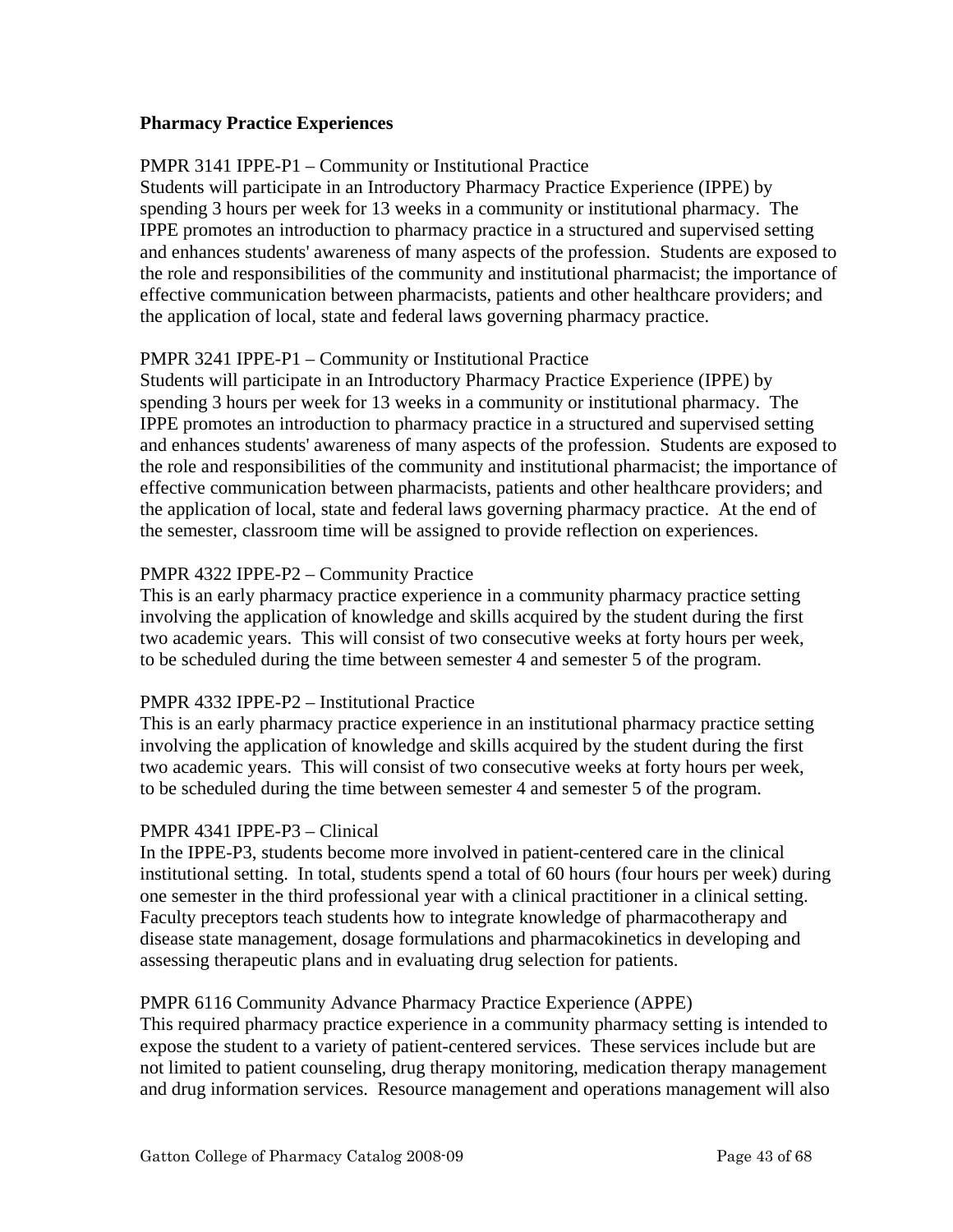# **Pharmacy Practice Experiences**

# PMPR 3141 IPPE-P1 – Community or Institutional Practice

Students will participate in an Introductory Pharmacy Practice Experience (IPPE) by spending 3 hours per week for 13 weeks in a community or institutional pharmacy. The IPPE promotes an introduction to pharmacy practice in a structured and supervised setting and enhances students' awareness of many aspects of the profession. Students are exposed to the role and responsibilities of the community and institutional pharmacist; the importance of effective communication between pharmacists, patients and other healthcare providers; and the application of local, state and federal laws governing pharmacy practice.

# PMPR 3241 IPPE-P1 – Community or Institutional Practice

Students will participate in an Introductory Pharmacy Practice Experience (IPPE) by spending 3 hours per week for 13 weeks in a community or institutional pharmacy. The IPPE promotes an introduction to pharmacy practice in a structured and supervised setting and enhances students' awareness of many aspects of the profession. Students are exposed to the role and responsibilities of the community and institutional pharmacist; the importance of effective communication between pharmacists, patients and other healthcare providers; and the application of local, state and federal laws governing pharmacy practice. At the end of the semester, classroom time will be assigned to provide reflection on experiences.

# PMPR 4322 IPPE-P2 – Community Practice

This is an early pharmacy practice experience in a community pharmacy practice setting involving the application of knowledge and skills acquired by the student during the first two academic years. This will consist of two consecutive weeks at forty hours per week, to be scheduled during the time between semester 4 and semester 5 of the program.

## PMPR 4332 IPPE-P2 – Institutional Practice

This is an early pharmacy practice experience in an institutional pharmacy practice setting involving the application of knowledge and skills acquired by the student during the first two academic years. This will consist of two consecutive weeks at forty hours per week, to be scheduled during the time between semester 4 and semester 5 of the program.

## PMPR 4341 IPPE-P3 – Clinical

In the IPPE-P3, students become more involved in patient-centered care in the clinical institutional setting. In total, students spend a total of 60 hours (four hours per week) during one semester in the third professional year with a clinical practitioner in a clinical setting. Faculty preceptors teach students how to integrate knowledge of pharmacotherapy and disease state management, dosage formulations and pharmacokinetics in developing and assessing therapeutic plans and in evaluating drug selection for patients.

## PMPR 6116 Community Advance Pharmacy Practice Experience (APPE)

This required pharmacy practice experience in a community pharmacy setting is intended to expose the student to a variety of patient-centered services. These services include but are not limited to patient counseling, drug therapy monitoring, medication therapy management and drug information services. Resource management and operations management will also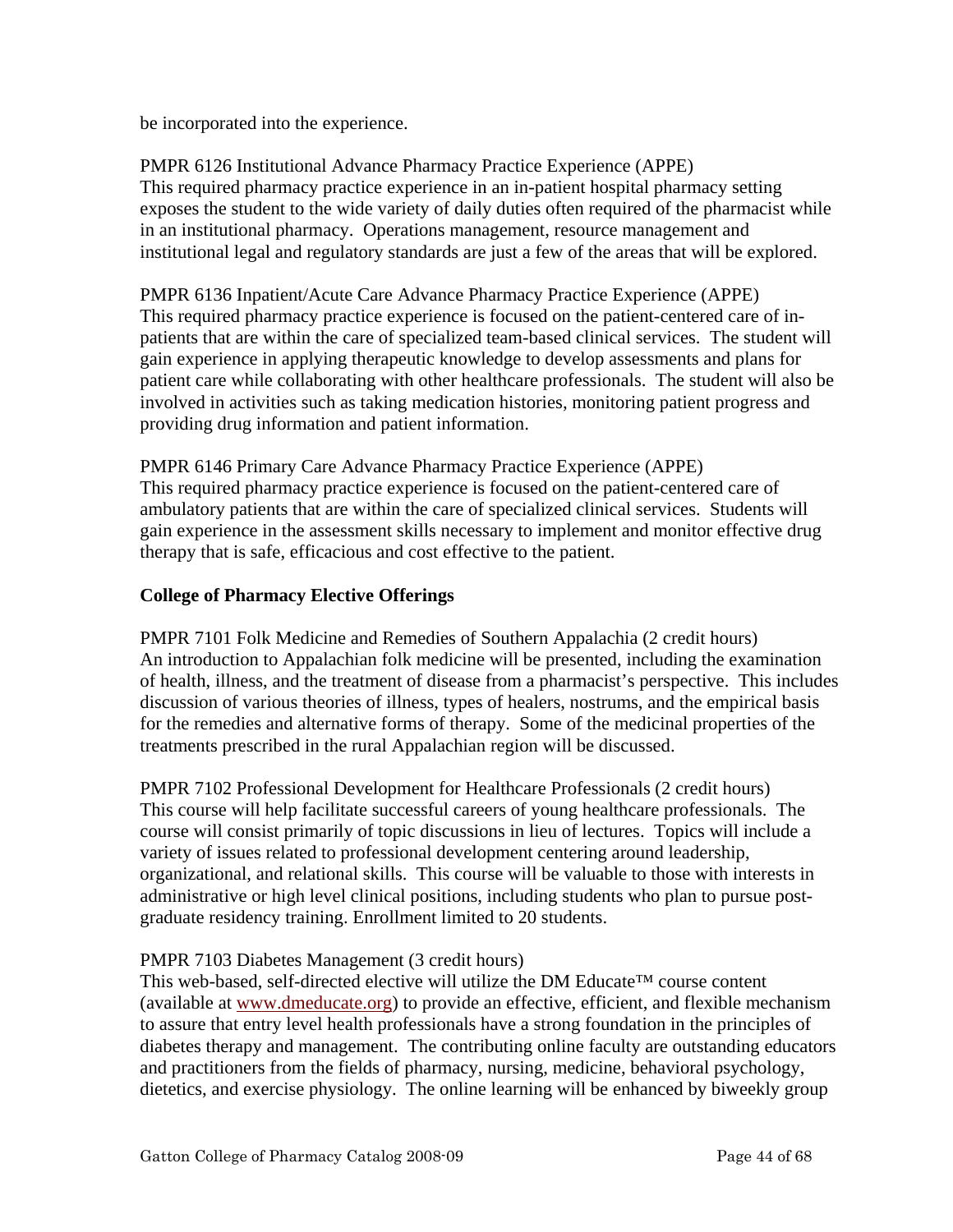be incorporated into the experience.

PMPR 6126 Institutional Advance Pharmacy Practice Experience (APPE) This required pharmacy practice experience in an in-patient hospital pharmacy setting exposes the student to the wide variety of daily duties often required of the pharmacist while in an institutional pharmacy. Operations management, resource management and institutional legal and regulatory standards are just a few of the areas that will be explored.

PMPR 6136 Inpatient/Acute Care Advance Pharmacy Practice Experience (APPE) This required pharmacy practice experience is focused on the patient-centered care of inpatients that are within the care of specialized team-based clinical services. The student will gain experience in applying therapeutic knowledge to develop assessments and plans for patient care while collaborating with other healthcare professionals. The student will also be involved in activities such as taking medication histories, monitoring patient progress and providing drug information and patient information.

PMPR 6146 Primary Care Advance Pharmacy Practice Experience (APPE) This required pharmacy practice experience is focused on the patient-centered care of ambulatory patients that are within the care of specialized clinical services. Students will gain experience in the assessment skills necessary to implement and monitor effective drug therapy that is safe, efficacious and cost effective to the patient.

# **College of Pharmacy Elective Offerings**

PMPR 7101 Folk Medicine and Remedies of Southern Appalachia (2 credit hours) An introduction to Appalachian folk medicine will be presented, including the examination of health, illness, and the treatment of disease from a pharmacist's perspective. This includes discussion of various theories of illness, types of healers, nostrums, and the empirical basis for the remedies and alternative forms of therapy. Some of the medicinal properties of the treatments prescribed in the rural Appalachian region will be discussed.

PMPR 7102 Professional Development for Healthcare Professionals (2 credit hours) This course will help facilitate successful careers of young healthcare professionals. The course will consist primarily of topic discussions in lieu of lectures. Topics will include a variety of issues related to professional development centering around leadership, organizational, and relational skills. This course will be valuable to those with interests in administrative or high level clinical positions, including students who plan to pursue postgraduate residency training. Enrollment limited to 20 students.

# PMPR 7103 Diabetes Management (3 credit hours)

This web-based, self-directed elective will utilize the DM Educate™ course content (available at www.dmeducate.org) to provide an effective, efficient, and flexible mechanism to assure that entry level health professionals have a strong foundation in the principles of diabetes therapy and management. The contributing online faculty are outstanding educators and practitioners from the fields of pharmacy, nursing, medicine, behavioral psychology, dietetics, and exercise physiology. The online learning will be enhanced by biweekly group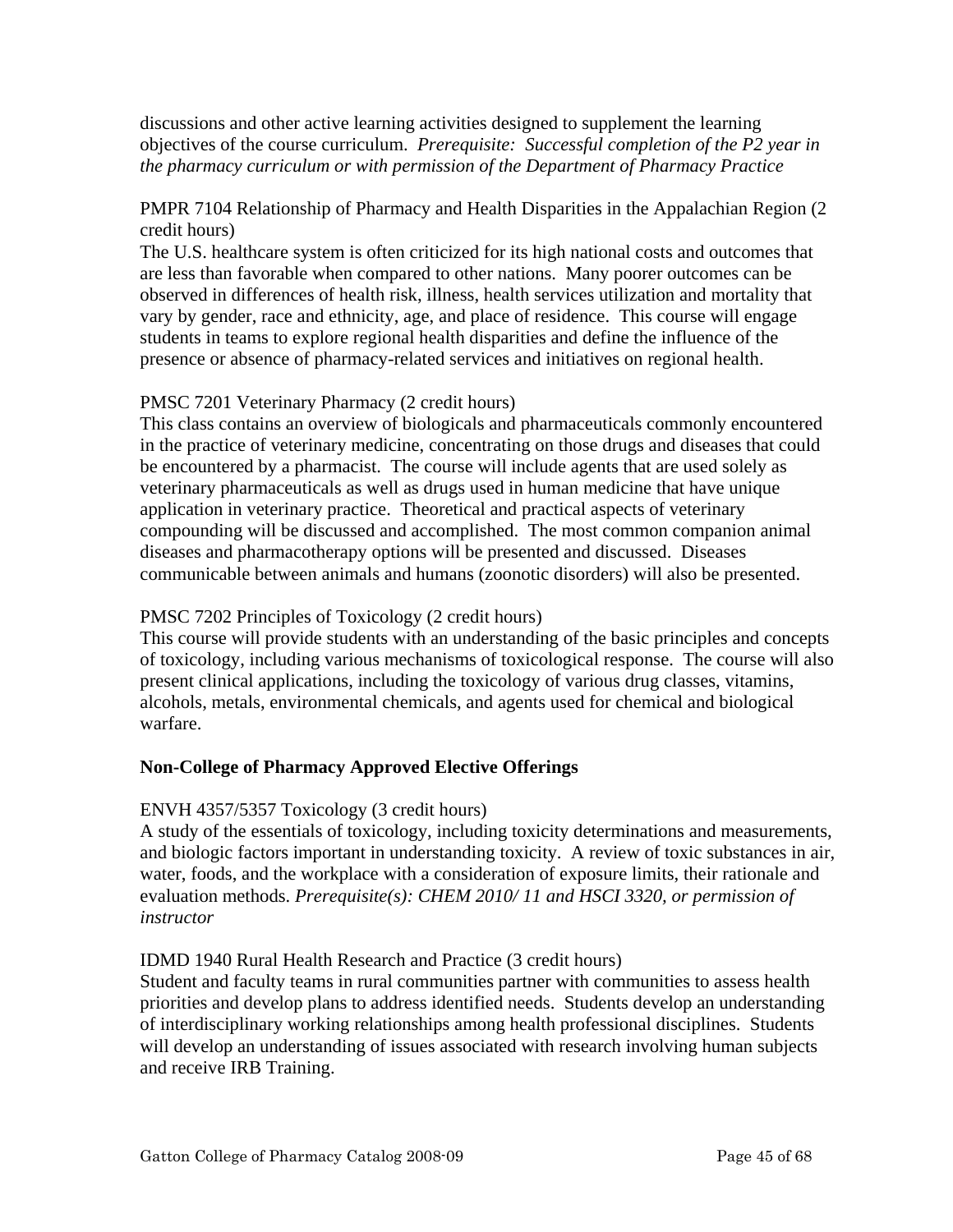discussions and other active learning activities designed to supplement the learning objectives of the course curriculum. *Prerequisite: Successful completion of the P2 year in the pharmacy curriculum or with permission of the Department of Pharmacy Practice* 

# PMPR 7104 Relationship of Pharmacy and Health Disparities in the Appalachian Region (2 credit hours)

The U.S. healthcare system is often criticized for its high national costs and outcomes that are less than favorable when compared to other nations. Many poorer outcomes can be observed in differences of health risk, illness, health services utilization and mortality that vary by gender, race and ethnicity, age, and place of residence. This course will engage students in teams to explore regional health disparities and define the influence of the presence or absence of pharmacy-related services and initiatives on regional health.

# PMSC 7201 Veterinary Pharmacy (2 credit hours)

This class contains an overview of biologicals and pharmaceuticals commonly encountered in the practice of veterinary medicine, concentrating on those drugs and diseases that could be encountered by a pharmacist. The course will include agents that are used solely as veterinary pharmaceuticals as well as drugs used in human medicine that have unique application in veterinary practice. Theoretical and practical aspects of veterinary compounding will be discussed and accomplished. The most common companion animal diseases and pharmacotherapy options will be presented and discussed. Diseases communicable between animals and humans (zoonotic disorders) will also be presented.

# PMSC 7202 Principles of Toxicology (2 credit hours)

This course will provide students with an understanding of the basic principles and concepts of toxicology, including various mechanisms of toxicological response. The course will also present clinical applications, including the toxicology of various drug classes, vitamins, alcohols, metals, environmental chemicals, and agents used for chemical and biological warfare.

# **Non-College of Pharmacy Approved Elective Offerings**

## ENVH 4357/5357 Toxicology (3 credit hours)

A study of the essentials of toxicology, including toxicity determinations and measurements, and biologic factors important in understanding toxicity. A review of toxic substances in air, water, foods, and the workplace with a consideration of exposure limits, their rationale and evaluation methods. *Prerequisite(s): CHEM 2010/ 11 and HSCI 3320, or permission of instructor* 

## IDMD 1940 Rural Health Research and Practice (3 credit hours)

Student and faculty teams in rural communities partner with communities to assess health priorities and develop plans to address identified needs. Students develop an understanding of interdisciplinary working relationships among health professional disciplines. Students will develop an understanding of issues associated with research involving human subjects and receive IRB Training.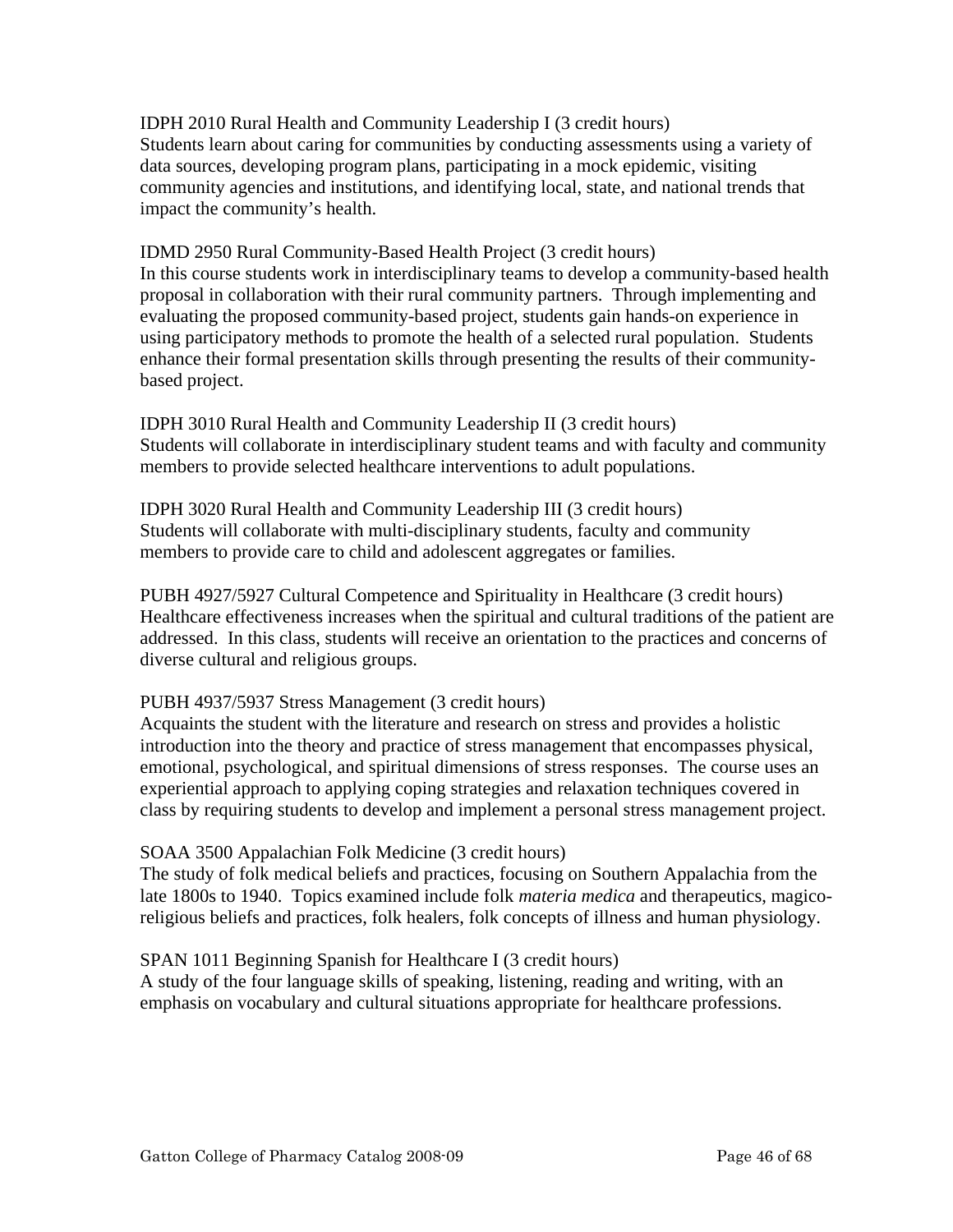IDPH 2010 Rural Health and Community Leadership I (3 credit hours) Students learn about caring for communities by conducting assessments using a variety of data sources, developing program plans, participating in a mock epidemic, visiting community agencies and institutions, and identifying local, state, and national trends that impact the community's health.

IDMD 2950 Rural Community-Based Health Project (3 credit hours) In this course students work in interdisciplinary teams to develop a community-based health proposal in collaboration with their rural community partners. Through implementing and evaluating the proposed community-based project, students gain hands-on experience in using participatory methods to promote the health of a selected rural population. Students enhance their formal presentation skills through presenting the results of their communitybased project.

IDPH 3010 Rural Health and Community Leadership II (3 credit hours) Students will collaborate in interdisciplinary student teams and with faculty and community members to provide selected healthcare interventions to adult populations.

IDPH 3020 Rural Health and Community Leadership III (3 credit hours) Students will collaborate with multi-disciplinary students, faculty and community members to provide care to child and adolescent aggregates or families.

PUBH 4927/5927 Cultural Competence and Spirituality in Healthcare (3 credit hours) Healthcare effectiveness increases when the spiritual and cultural traditions of the patient are addressed. In this class, students will receive an orientation to the practices and concerns of diverse cultural and religious groups.

## PUBH 4937/5937 Stress Management (3 credit hours)

Acquaints the student with the literature and research on stress and provides a holistic introduction into the theory and practice of stress management that encompasses physical, emotional, psychological, and spiritual dimensions of stress responses. The course uses an experiential approach to applying coping strategies and relaxation techniques covered in class by requiring students to develop and implement a personal stress management project.

#### SOAA 3500 Appalachian Folk Medicine (3 credit hours)

The study of folk medical beliefs and practices, focusing on Southern Appalachia from the late 1800s to 1940. Topics examined include folk *materia medica* and therapeutics, magicoreligious beliefs and practices, folk healers, folk concepts of illness and human physiology.

## SPAN 1011 Beginning Spanish for Healthcare I (3 credit hours)

A study of the four language skills of speaking, listening, reading and writing, with an emphasis on vocabulary and cultural situations appropriate for healthcare professions.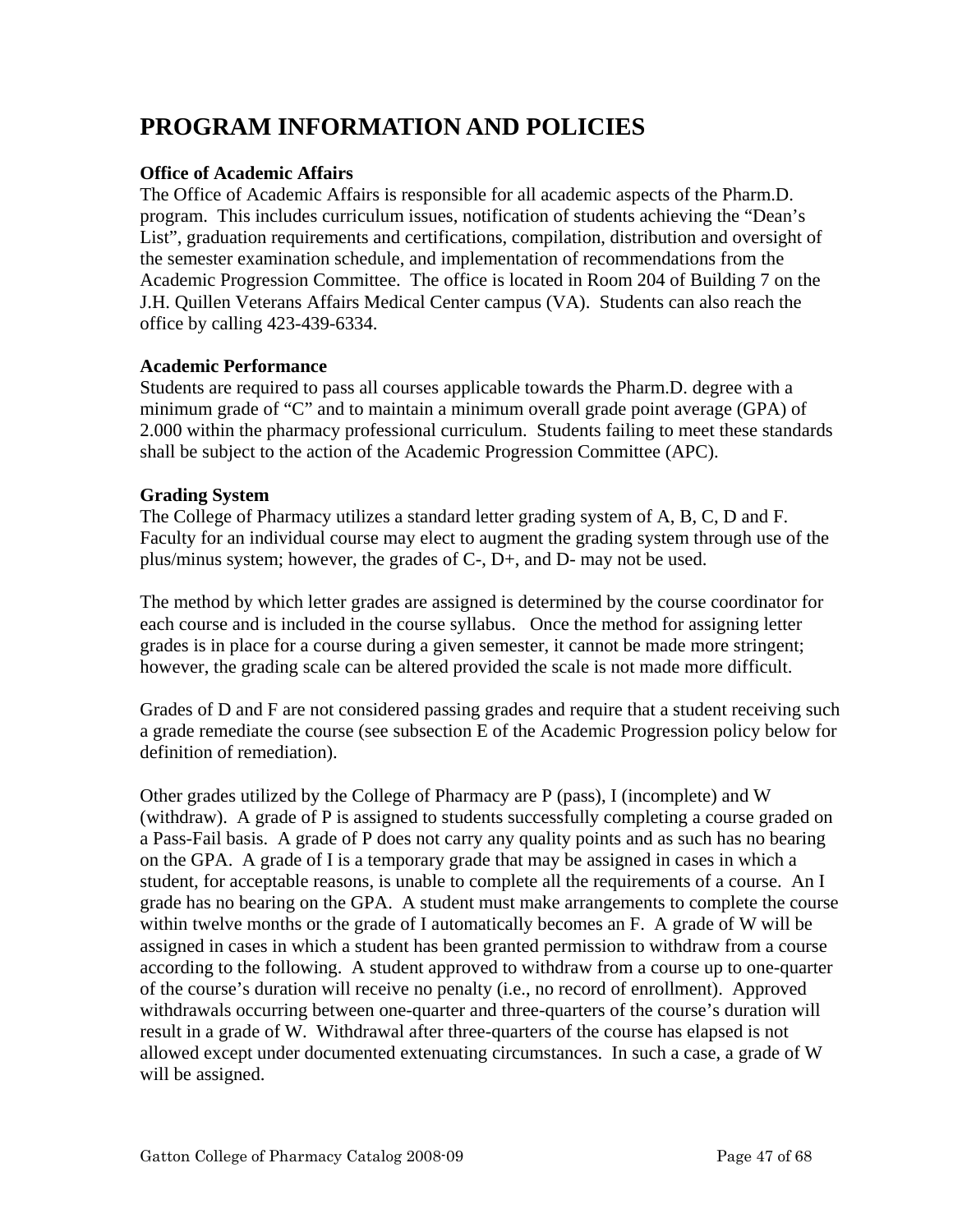# **PROGRAM INFORMATION AND POLICIES**

# **Office of Academic Affairs**

The Office of Academic Affairs is responsible for all academic aspects of the Pharm.D. program. This includes curriculum issues, notification of students achieving the "Dean's List", graduation requirements and certifications, compilation, distribution and oversight of the semester examination schedule, and implementation of recommendations from the Academic Progression Committee. The office is located in Room 204 of Building 7 on the J.H. Quillen Veterans Affairs Medical Center campus (VA). Students can also reach the office by calling 423-439-6334.

# **Academic Performance**

Students are required to pass all courses applicable towards the Pharm.D. degree with a minimum grade of "C" and to maintain a minimum overall grade point average (GPA) of 2.000 within the pharmacy professional curriculum. Students failing to meet these standards shall be subject to the action of the Academic Progression Committee (APC).

# **Grading System**

The College of Pharmacy utilizes a standard letter grading system of A, B, C, D and F. Faculty for an individual course may elect to augment the grading system through use of the plus/minus system; however, the grades of C-, D+, and D- may not be used.

The method by which letter grades are assigned is determined by the course coordinator for each course and is included in the course syllabus. Once the method for assigning letter grades is in place for a course during a given semester, it cannot be made more stringent; however, the grading scale can be altered provided the scale is not made more difficult.

Grades of D and F are not considered passing grades and require that a student receiving such a grade remediate the course (see subsection E of the Academic Progression policy below for definition of remediation).

Other grades utilized by the College of Pharmacy are P (pass), I (incomplete) and W (withdraw). A grade of P is assigned to students successfully completing a course graded on a Pass-Fail basis. A grade of P does not carry any quality points and as such has no bearing on the GPA. A grade of I is a temporary grade that may be assigned in cases in which a student, for acceptable reasons, is unable to complete all the requirements of a course. An I grade has no bearing on the GPA. A student must make arrangements to complete the course within twelve months or the grade of I automatically becomes an F. A grade of W will be assigned in cases in which a student has been granted permission to withdraw from a course according to the following. A student approved to withdraw from a course up to one-quarter of the course's duration will receive no penalty (i.e., no record of enrollment). Approved withdrawals occurring between one-quarter and three-quarters of the course's duration will result in a grade of W. Withdrawal after three-quarters of the course has elapsed is not allowed except under documented extenuating circumstances. In such a case, a grade of W will be assigned.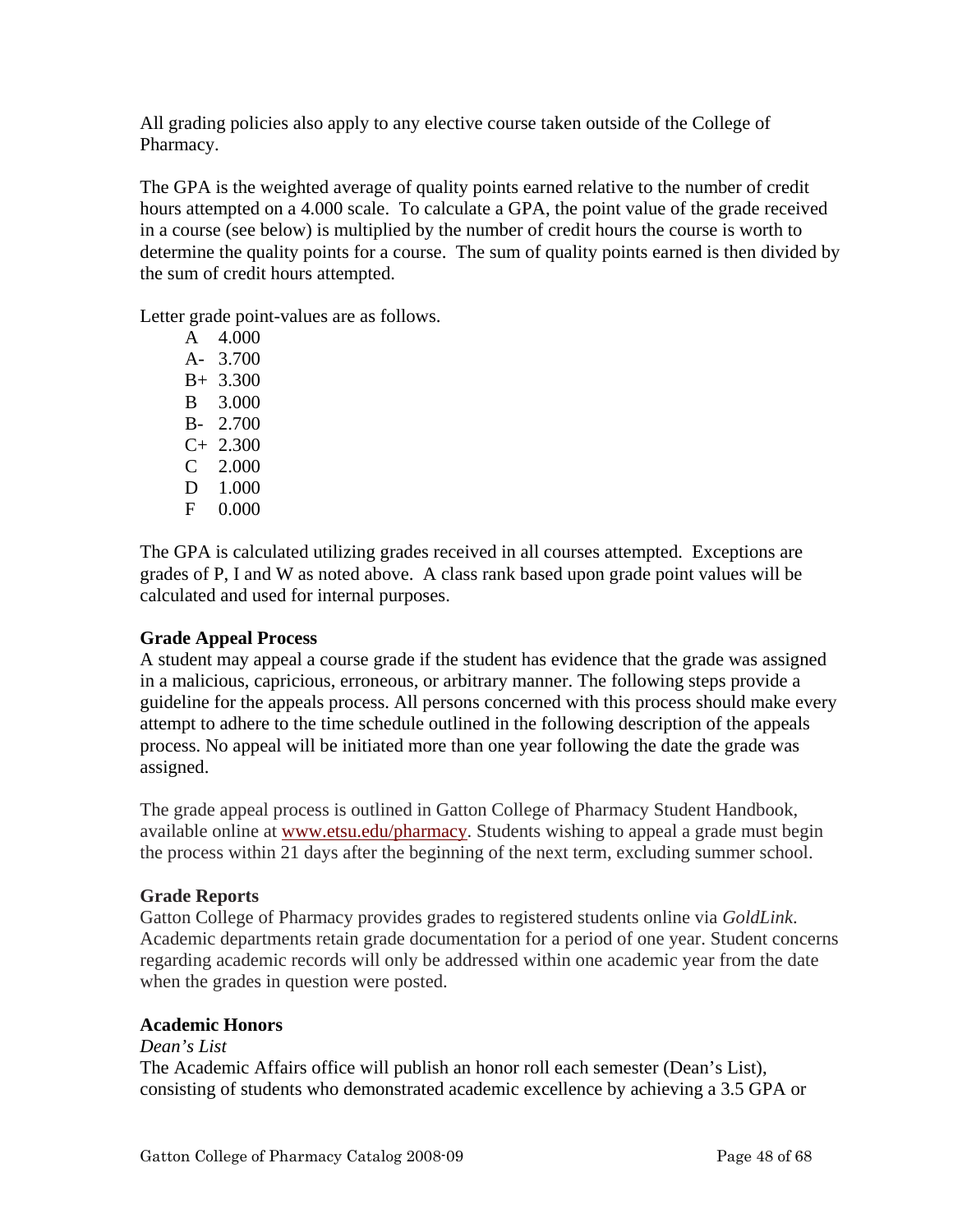All grading policies also apply to any elective course taken outside of the College of Pharmacy.

The GPA is the weighted average of quality points earned relative to the number of credit hours attempted on a 4.000 scale. To calculate a GPA, the point value of the grade received in a course (see below) is multiplied by the number of credit hours the course is worth to determine the quality points for a course. The sum of quality points earned is then divided by the sum of credit hours attempted.

Letter grade point-values are as follows.

 A 4.000 A- 3.700 B+ 3.300 B 3.000 B- 2.700 C+ 2.300 C 2.000 D 1.000 F 0.000

The GPA is calculated utilizing grades received in all courses attempted. Exceptions are grades of P, I and W as noted above. A class rank based upon grade point values will be calculated and used for internal purposes.

# **Grade Appeal Process**

A student may appeal a course grade if the student has evidence that the grade was assigned in a malicious, capricious, erroneous, or arbitrary manner. The following steps provide a guideline for the appeals process. All persons concerned with this process should make every attempt to adhere to the time schedule outlined in the following description of the appeals process. No appeal will be initiated more than one year following the date the grade was assigned.

The grade appeal process is outlined in Gatton College of Pharmacy Student Handbook, available online at www.etsu.edu/pharmacy. Students wishing to appeal a grade must begin the process within 21 days after the beginning of the next term, excluding summer school.

# **Grade Reports**

Gatton College of Pharmacy provides grades to registered students online via *GoldLink*. Academic departments retain grade documentation for a period of one year. Student concerns regarding academic records will only be addressed within one academic year from the date when the grades in question were posted.

# **Academic Honors**

## *Dean's List*

The Academic Affairs office will publish an honor roll each semester (Dean's List), consisting of students who demonstrated academic excellence by achieving a 3.5 GPA or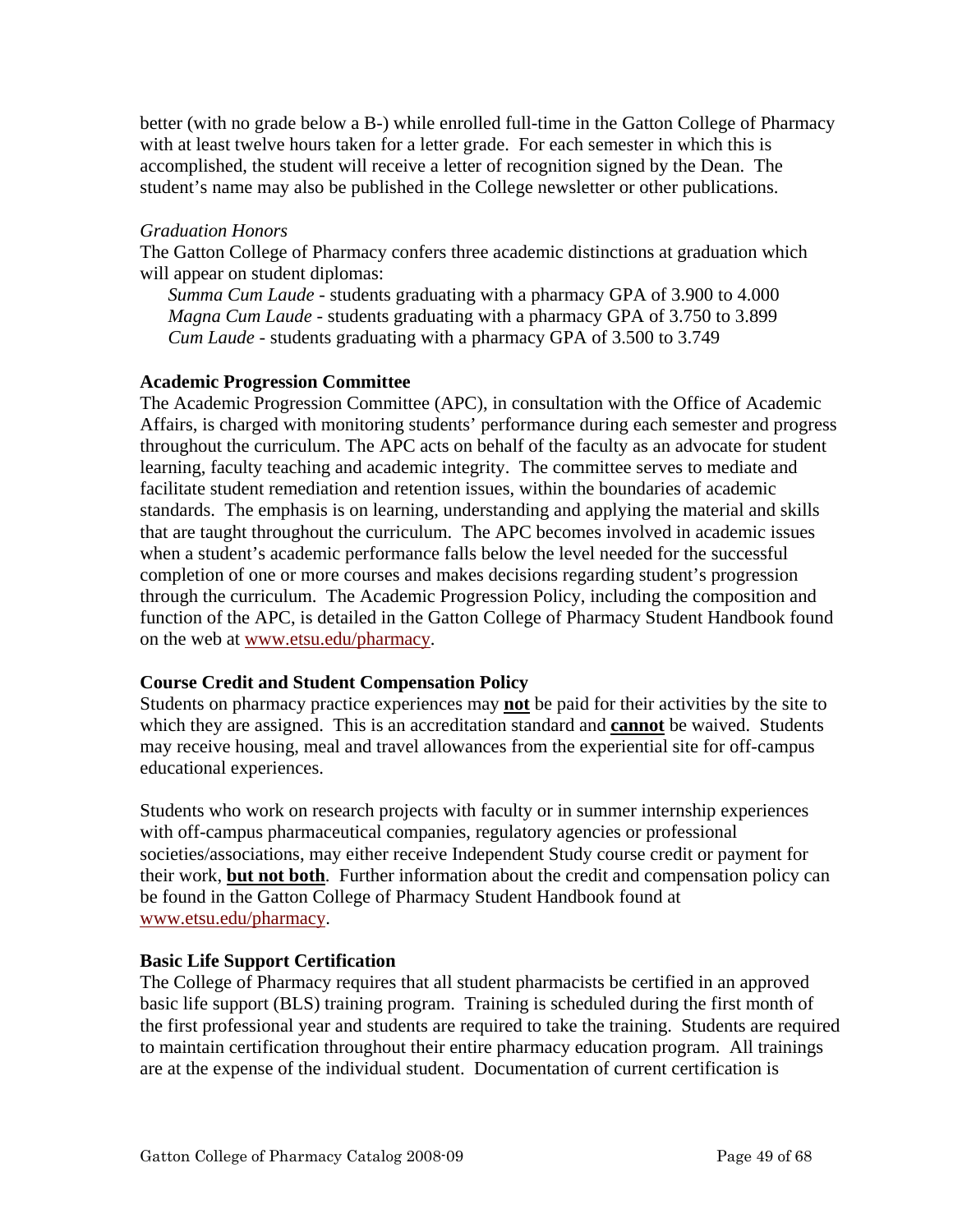better (with no grade below a B-) while enrolled full-time in the Gatton College of Pharmacy with at least twelve hours taken for a letter grade. For each semester in which this is accomplished, the student will receive a letter of recognition signed by the Dean. The student's name may also be published in the College newsletter or other publications.

# *Graduation Honors*

The Gatton College of Pharmacy confers three academic distinctions at graduation which will appear on student diplomas:

*Summa Cum Laude* - students graduating with a pharmacy GPA of 3.900 to 4.000 *Magna Cum Laude* - students graduating with a pharmacy GPA of 3.750 to 3.899 *Cum Laude* - students graduating with a pharmacy GPA of 3.500 to 3.749

# **Academic Progression Committee**

The Academic Progression Committee (APC), in consultation with the Office of Academic Affairs, is charged with monitoring students' performance during each semester and progress throughout the curriculum. The APC acts on behalf of the faculty as an advocate for student learning, faculty teaching and academic integrity. The committee serves to mediate and facilitate student remediation and retention issues, within the boundaries of academic standards. The emphasis is on learning, understanding and applying the material and skills that are taught throughout the curriculum. The APC becomes involved in academic issues when a student's academic performance falls below the level needed for the successful completion of one or more courses and makes decisions regarding student's progression through the curriculum. The Academic Progression Policy, including the composition and function of the APC, is detailed in the Gatton College of Pharmacy Student Handbook found on the web at www.etsu.edu/pharmacy.

# **Course Credit and Student Compensation Policy**

Students on pharmacy practice experiences may **not** be paid for their activities by the site to which they are assigned. This is an accreditation standard and **cannot** be waived. Students may receive housing, meal and travel allowances from the experiential site for off-campus educational experiences.

Students who work on research projects with faculty or in summer internship experiences with off-campus pharmaceutical companies, regulatory agencies or professional societies/associations, may either receive Independent Study course credit or payment for their work, **but not both**. Further information about the credit and compensation policy can be found in the Gatton College of Pharmacy Student Handbook found at www.etsu.edu/pharmacy.

# **Basic Life Support Certification**

The College of Pharmacy requires that all student pharmacists be certified in an approved basic life support (BLS) training program. Training is scheduled during the first month of the first professional year and students are required to take the training. Students are required to maintain certification throughout their entire pharmacy education program. All trainings are at the expense of the individual student. Documentation of current certification is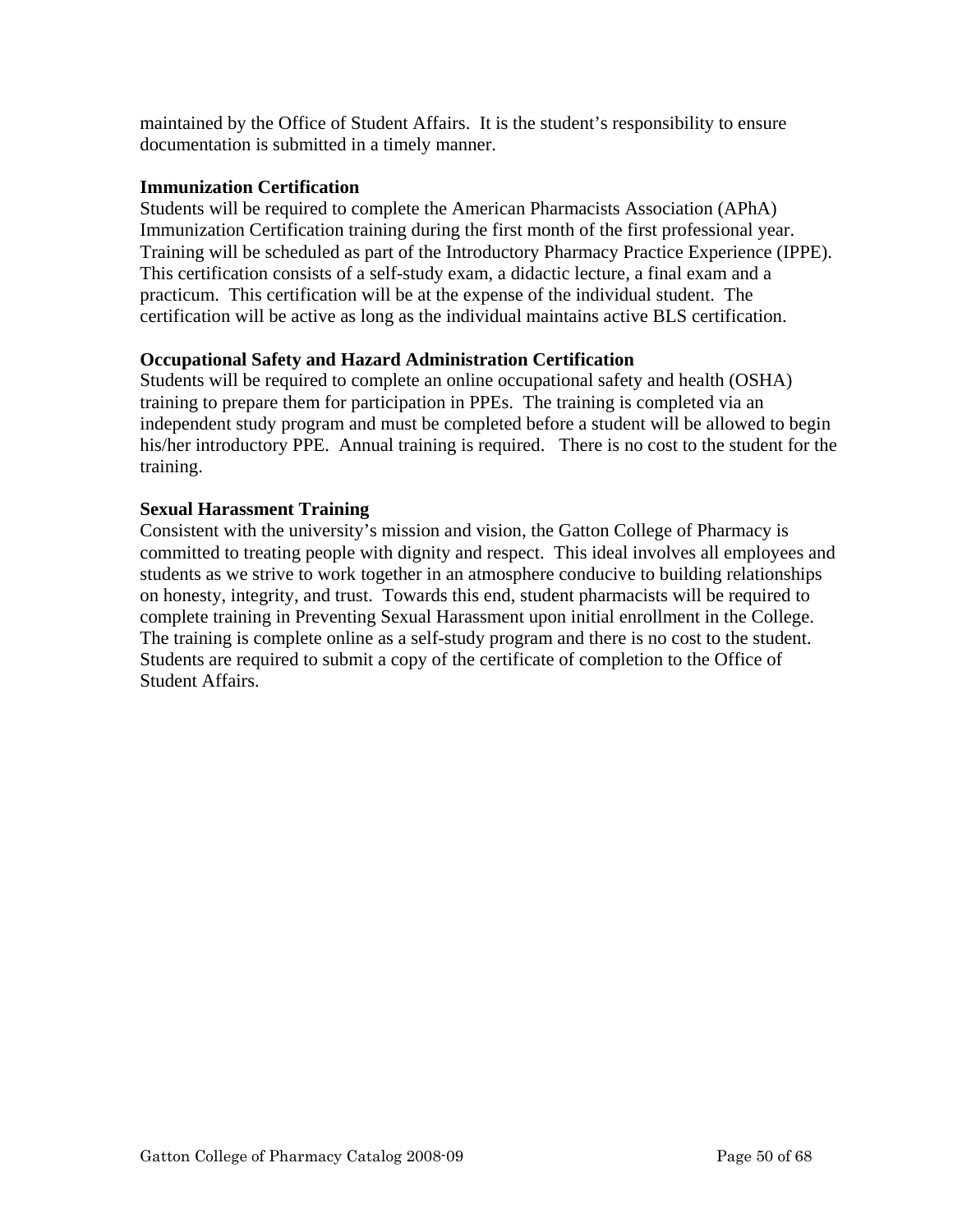maintained by the Office of Student Affairs. It is the student's responsibility to ensure documentation is submitted in a timely manner.

# **Immunization Certification**

Students will be required to complete the American Pharmacists Association (APhA) Immunization Certification training during the first month of the first professional year. Training will be scheduled as part of the Introductory Pharmacy Practice Experience (IPPE). This certification consists of a self-study exam, a didactic lecture, a final exam and a practicum. This certification will be at the expense of the individual student. The certification will be active as long as the individual maintains active BLS certification.

# **Occupational Safety and Hazard Administration Certification**

Students will be required to complete an online occupational safety and health (OSHA) training to prepare them for participation in PPEs. The training is completed via an independent study program and must be completed before a student will be allowed to begin his/her introductory PPE. Annual training is required. There is no cost to the student for the training.

# **Sexual Harassment Training**

Consistent with the university's mission and vision, the Gatton College of Pharmacy is committed to treating people with dignity and respect. This ideal involves all employees and students as we strive to work together in an atmosphere conducive to building relationships on honesty, integrity, and trust. Towards this end, student pharmacists will be required to complete training in Preventing Sexual Harassment upon initial enrollment in the College. The training is complete online as a self-study program and there is no cost to the student. Students are required to submit a copy of the certificate of completion to the Office of Student Affairs.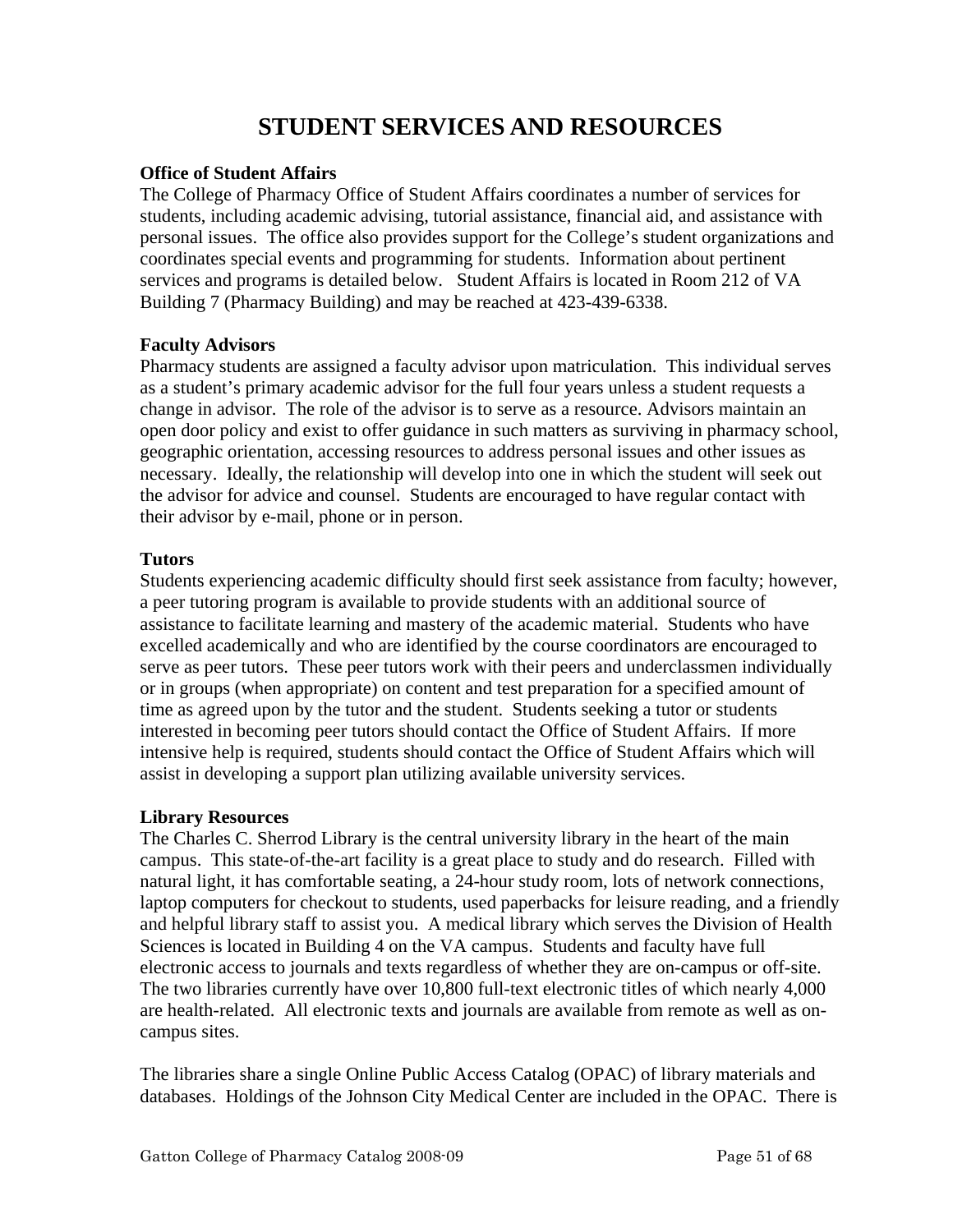# **STUDENT SERVICES AND RESOURCES**

# **Office of Student Affairs**

The College of Pharmacy Office of Student Affairs coordinates a number of services for students, including academic advising, tutorial assistance, financial aid, and assistance with personal issues. The office also provides support for the College's student organizations and coordinates special events and programming for students. Information about pertinent services and programs is detailed below. Student Affairs is located in Room 212 of VA Building 7 (Pharmacy Building) and may be reached at 423-439-6338.

# **Faculty Advisors**

Pharmacy students are assigned a faculty advisor upon matriculation. This individual serves as a student's primary academic advisor for the full four years unless a student requests a change in advisor. The role of the advisor is to serve as a resource. Advisors maintain an open door policy and exist to offer guidance in such matters as surviving in pharmacy school, geographic orientation, accessing resources to address personal issues and other issues as necessary. Ideally, the relationship will develop into one in which the student will seek out the advisor for advice and counsel. Students are encouraged to have regular contact with their advisor by e-mail, phone or in person.

# **Tutors**

Students experiencing academic difficulty should first seek assistance from faculty; however, a peer tutoring program is available to provide students with an additional source of assistance to facilitate learning and mastery of the academic material. Students who have excelled academically and who are identified by the course coordinators are encouraged to serve as peer tutors. These peer tutors work with their peers and underclassmen individually or in groups (when appropriate) on content and test preparation for a specified amount of time as agreed upon by the tutor and the student. Students seeking a tutor or students interested in becoming peer tutors should contact the Office of Student Affairs. If more intensive help is required, students should contact the Office of Student Affairs which will assist in developing a support plan utilizing available university services.

# **Library Resources**

The Charles C. Sherrod Library is the central university library in the heart of the main campus. This state-of-the-art facility is a great place to study and do research. Filled with natural light, it has comfortable seating, a 24-hour study room, lots of network connections, laptop computers for checkout to students, used paperbacks for leisure reading, and a friendly and helpful library staff to assist you. A medical library which serves the Division of Health Sciences is located in Building 4 on the VA campus. Students and faculty have full electronic access to journals and texts regardless of whether they are on-campus or off-site. The two libraries currently have over 10,800 full-text electronic titles of which nearly 4,000 are health-related. All electronic texts and journals are available from remote as well as oncampus sites.

The libraries share a single Online Public Access Catalog (OPAC) of library materials and databases. Holdings of the Johnson City Medical Center are included in the OPAC. There is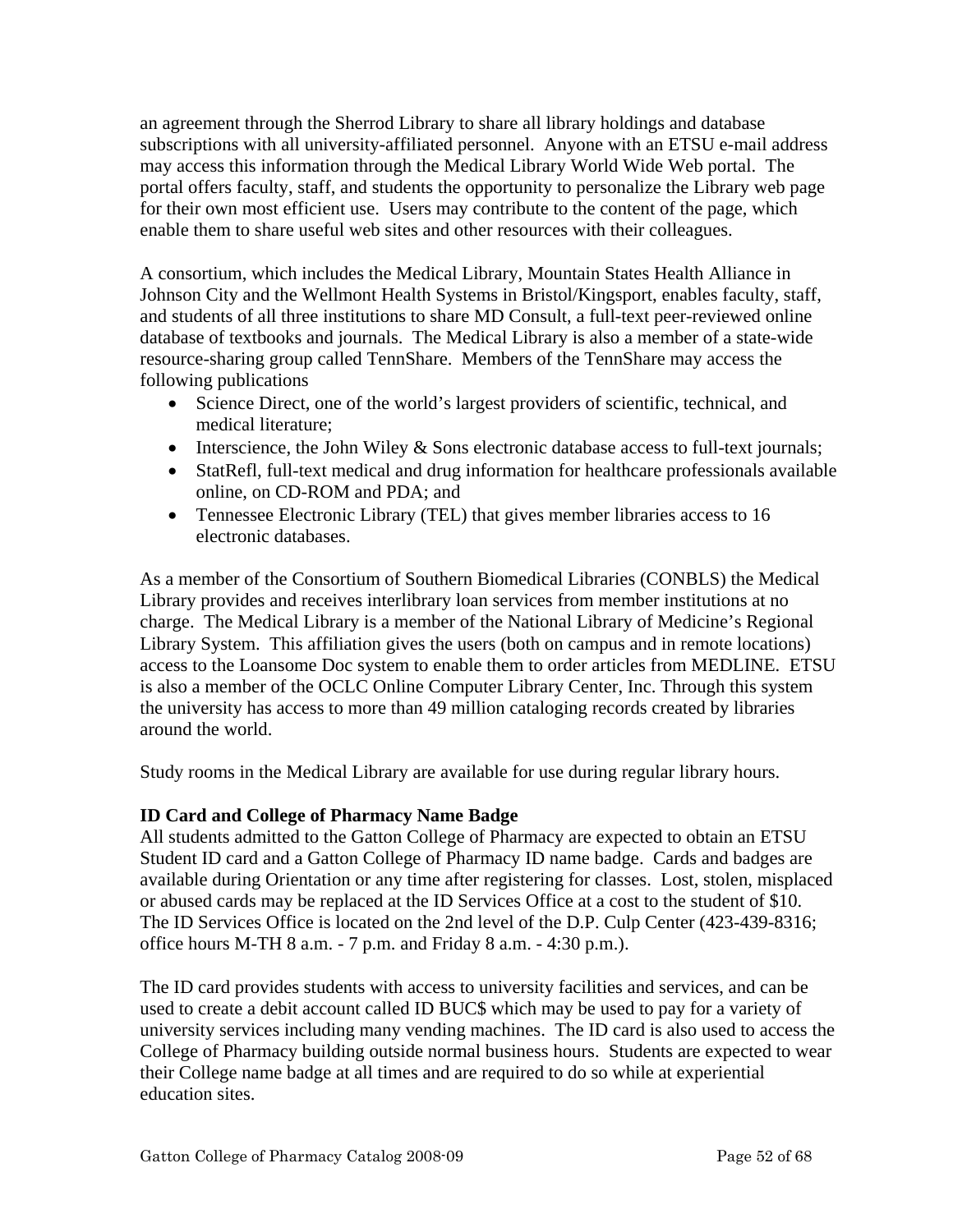an agreement through the Sherrod Library to share all library holdings and database subscriptions with all university-affiliated personnel. Anyone with an ETSU e-mail address may access this information through the Medical Library World Wide Web portal. The portal offers faculty, staff, and students the opportunity to personalize the Library web page for their own most efficient use. Users may contribute to the content of the page, which enable them to share useful web sites and other resources with their colleagues.

A consortium, which includes the Medical Library, Mountain States Health Alliance in Johnson City and the Wellmont Health Systems in Bristol/Kingsport, enables faculty, staff, and students of all three institutions to share MD Consult, a full-text peer-reviewed online database of textbooks and journals. The Medical Library is also a member of a state-wide resource-sharing group called TennShare. Members of the TennShare may access the following publications

- Science Direct, one of the world's largest providers of scientific, technical, and medical literature;
- Interscience, the John Wiley & Sons electronic database access to full-text journals;
- StatRefl, full-text medical and drug information for healthcare professionals available online, on CD-ROM and PDA; and
- Tennessee Electronic Library (TEL) that gives member libraries access to 16 electronic databases.

As a member of the Consortium of Southern Biomedical Libraries (CONBLS) the Medical Library provides and receives interlibrary loan services from member institutions at no charge. The Medical Library is a member of the National Library of Medicine's Regional Library System. This affiliation gives the users (both on campus and in remote locations) access to the Loansome Doc system to enable them to order articles from MEDLINE. ETSU is also a member of the OCLC Online Computer Library Center, Inc. Through this system the university has access to more than 49 million cataloging records created by libraries around the world.

Study rooms in the Medical Library are available for use during regular library hours.

# **ID Card and College of Pharmacy Name Badge**

All students admitted to the Gatton College of Pharmacy are expected to obtain an ETSU Student ID card and a Gatton College of Pharmacy ID name badge. Cards and badges are available during Orientation or any time after registering for classes. Lost, stolen, misplaced or abused cards may be replaced at the ID Services Office at a cost to the student of \$10. The ID Services Office is located on the 2nd level of the D.P. Culp Center (423-439-8316; office hours M-TH 8 a.m. - 7 p.m. and Friday 8 a.m. - 4:30 p.m.).

The ID card provides students with access to university facilities and services, and can be used to create a debit account called ID BUC\$ which may be used to pay for a variety of university services including many vending machines. The ID card is also used to access the College of Pharmacy building outside normal business hours. Students are expected to wear their College name badge at all times and are required to do so while at experiential education sites.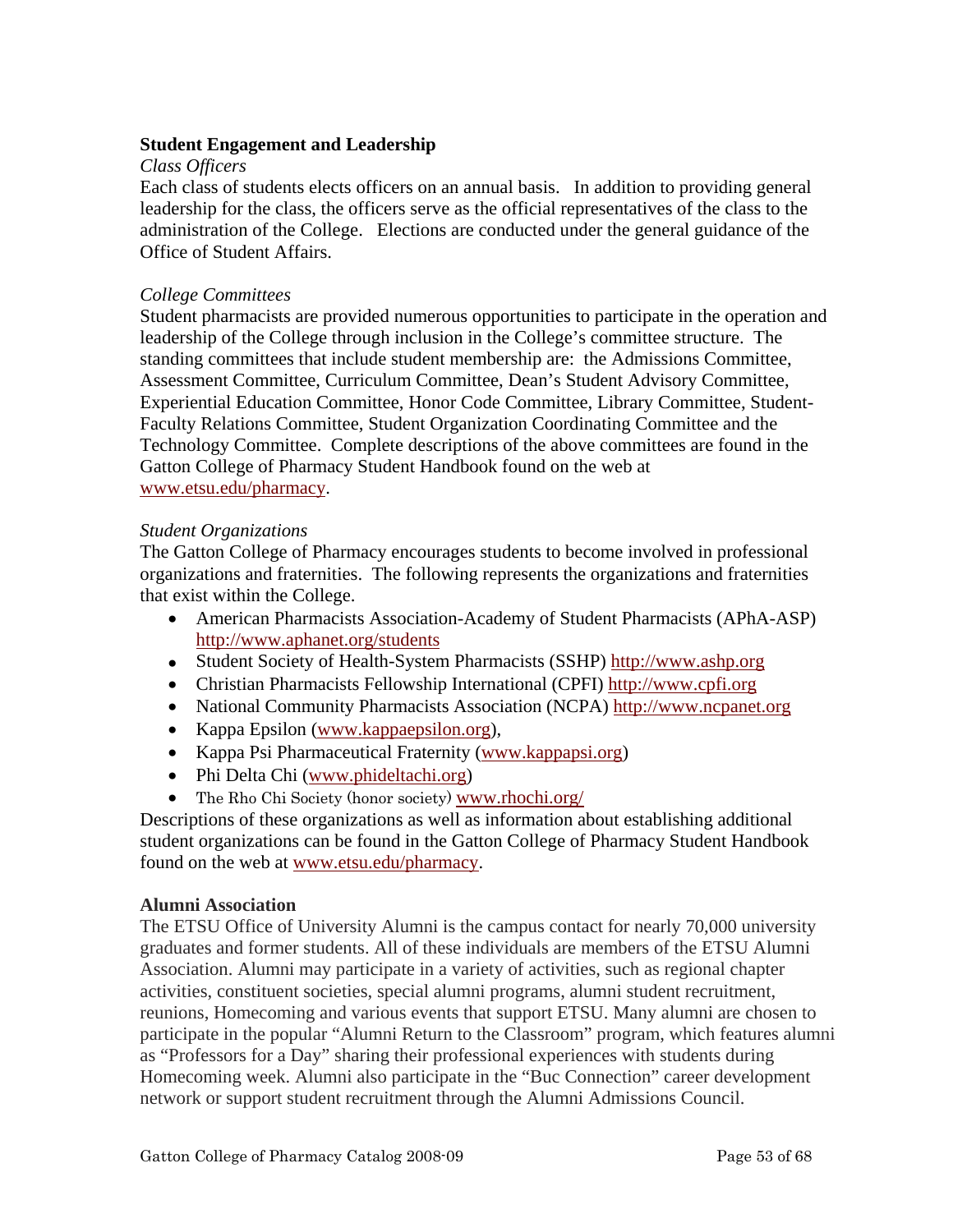# **Student Engagement and Leadership**

## *Class Officers*

Each class of students elects officers on an annual basis. In addition to providing general leadership for the class, the officers serve as the official representatives of the class to the administration of the College. Elections are conducted under the general guidance of the Office of Student Affairs.

#### *College Committees*

Student pharmacists are provided numerous opportunities to participate in the operation and leadership of the College through inclusion in the College's committee structure. The standing committees that include student membership are: the Admissions Committee, Assessment Committee, Curriculum Committee, Dean's Student Advisory Committee, Experiential Education Committee, Honor Code Committee, Library Committee, Student-Faculty Relations Committee, Student Organization Coordinating Committee and the Technology Committee. Complete descriptions of the above committees are found in the Gatton College of Pharmacy Student Handbook found on the web at www.etsu.edu/pharmacy.

#### *Student Organizations*

The Gatton College of Pharmacy encourages students to become involved in professional organizations and fraternities. The following represents the organizations and fraternities that exist within the College.

- American Pharmacists Association-Academy of Student Pharmacists (APhA-ASP) http://www.aphanet.org/students
- Student Society of Health-System Pharmacists (SSHP) http://www.ashp.org
- Christian Pharmacists Fellowship International (CPFI) http://www.cpfi.org
- National Community Pharmacists Association (NCPA) http://www.ncpanet.org
- Kappa Epsilon (www.kappaepsilon.org),
- Kappa Psi Pharmaceutical Fraternity (www.kappapsi.org)
- Phi Delta Chi (www.phideltachi.org)
- The Rho Chi Society (honor society) www.rhochi.org/

Descriptions of these organizations as well as information about establishing additional student organizations can be found in the Gatton College of Pharmacy Student Handbook found on the web at www.etsu.edu/pharmacy.

## **Alumni Association**

The ETSU Office of University Alumni is the campus contact for nearly 70,000 university graduates and former students. All of these individuals are members of the ETSU Alumni Association. Alumni may participate in a variety of activities, such as regional chapter activities, constituent societies, special alumni programs, alumni student recruitment, reunions, Homecoming and various events that support ETSU. Many alumni are chosen to participate in the popular "Alumni Return to the Classroom" program, which features alumni as "Professors for a Day" sharing their professional experiences with students during Homecoming week. Alumni also participate in the "Buc Connection" career development network or support student recruitment through the Alumni Admissions Council.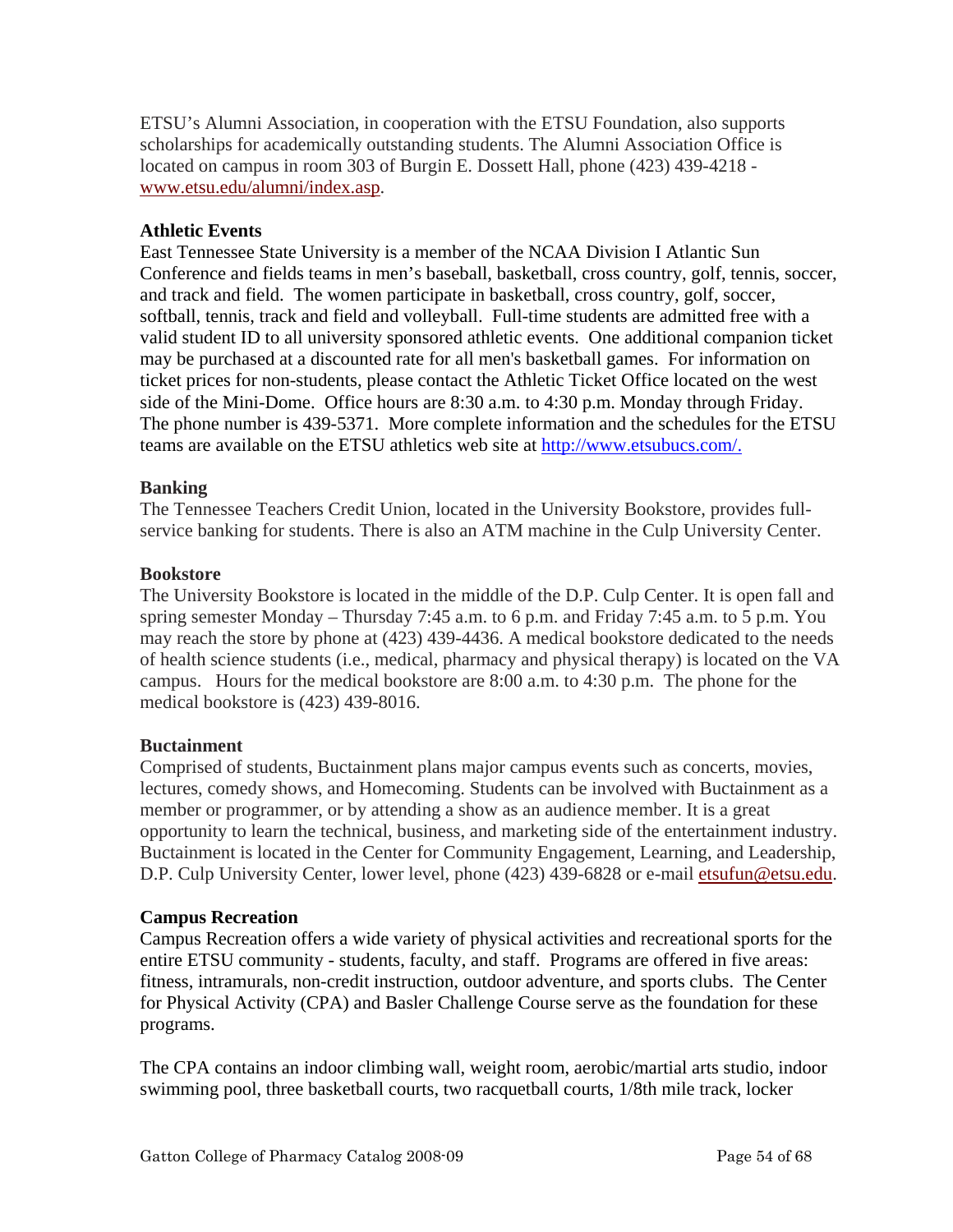ETSU's Alumni Association, in cooperation with the ETSU Foundation, also supports scholarships for academically outstanding students. The Alumni Association Office is located on campus in room 303 of Burgin E. Dossett Hall, phone (423) 439-4218 www.etsu.edu/alumni/index.asp.

# **Athletic Events**

East Tennessee State University is a member of the NCAA Division I Atlantic Sun Conference and fields teams in men's baseball, basketball, cross country, golf, tennis, soccer, and track and field. The women participate in basketball, cross country, golf, soccer, softball, tennis, track and field and volleyball. Full-time students are admitted free with a valid student ID to all university sponsored athletic events. One additional companion ticket may be purchased at a discounted rate for all men's basketball games. For information on ticket prices for non-students, please contact the Athletic Ticket Office located on the west side of the Mini-Dome. Office hours are 8:30 a.m. to 4:30 p.m. Monday through Friday. The phone number is 439-5371. More complete information and the schedules for the ETSU teams are available on the ETSU athletics web site at http://www.etsubucs.com/.

# **Banking**

The Tennessee Teachers Credit Union, located in the University Bookstore, provides fullservice banking for students. There is also an ATM machine in the Culp University Center.

## **Bookstore**

The University Bookstore is located in the middle of the D.P. Culp Center. It is open fall and spring semester Monday – Thursday 7:45 a.m. to 6 p.m. and Friday 7:45 a.m. to 5 p.m. You may reach the store by phone at (423) 439-4436. A medical bookstore dedicated to the needs of health science students (i.e., medical, pharmacy and physical therapy) is located on the VA campus. Hours for the medical bookstore are 8:00 a.m. to 4:30 p.m. The phone for the medical bookstore is (423) 439-8016.

# **Buctainment**

Comprised of students, Buctainment plans major campus events such as concerts, movies, lectures, comedy shows, and Homecoming. Students can be involved with Buctainment as a member or programmer, or by attending a show as an audience member. It is a great opportunity to learn the technical, business, and marketing side of the entertainment industry. Buctainment is located in the Center for Community Engagement, Learning, and Leadership, D.P. Culp University Center, lower level, phone (423) 439-6828 or e-mail etsufun@etsu.edu.

## **Campus Recreation**

Campus Recreation offers a wide variety of physical activities and recreational sports for the entire ETSU community - students, faculty, and staff. Programs are offered in five areas: fitness, intramurals, non-credit instruction, outdoor adventure, and sports clubs. The Center for Physical Activity (CPA) and Basler Challenge Course serve as the foundation for these programs.

The CPA contains an indoor climbing wall, weight room, aerobic/martial arts studio, indoor swimming pool, three basketball courts, two racquetball courts, 1/8th mile track, locker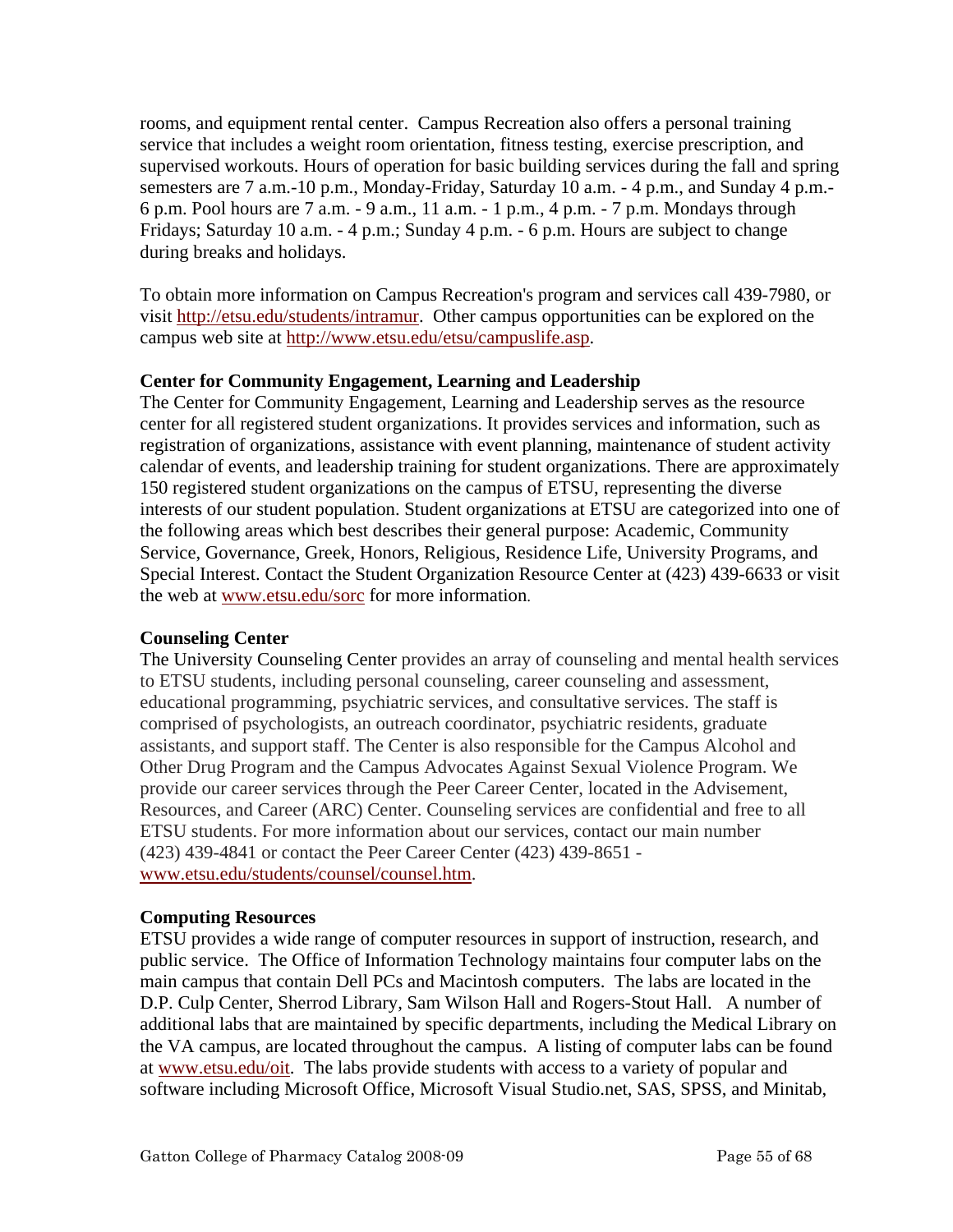rooms, and equipment rental center. Campus Recreation also offers a personal training service that includes a weight room orientation, fitness testing, exercise prescription, and supervised workouts. Hours of operation for basic building services during the fall and spring semesters are 7 a.m.-10 p.m., Monday-Friday, Saturday 10 a.m. - 4 p.m., and Sunday 4 p.m.- 6 p.m. Pool hours are 7 a.m. - 9 a.m., 11 a.m. - 1 p.m., 4 p.m. - 7 p.m. Mondays through Fridays; Saturday 10 a.m. - 4 p.m.; Sunday 4 p.m. - 6 p.m. Hours are subject to change during breaks and holidays.

To obtain more information on Campus Recreation's program and services call 439-7980, or visit http://etsu.edu/students/intramur. Other campus opportunities can be explored on the campus web site at http://www.etsu.edu/etsu/campuslife.asp.

# **Center for Community Engagement, Learning and Leadership**

The Center for Community Engagement, Learning and Leadership serves as the resource center for all registered student organizations. It provides services and information, such as registration of organizations, assistance with event planning, maintenance of student activity calendar of events, and leadership training for student organizations. There are approximately 150 registered student organizations on the campus of ETSU, representing the diverse interests of our student population. Student organizations at ETSU are categorized into one of the following areas which best describes their general purpose: Academic, Community Service, Governance, Greek, Honors, Religious, Residence Life, University Programs, and Special Interest. Contact the Student Organization Resource Center at (423) 439-6633 or visit the web at www.etsu.edu/sorc for more information.

# **Counseling Center**

The University Counseling Center provides an array of counseling and mental health services to ETSU students, including personal counseling, career counseling and assessment, educational programming, psychiatric services, and consultative services. The staff is comprised of psychologists, an outreach coordinator, psychiatric residents, graduate assistants, and support staff. The Center is also responsible for the Campus Alcohol and Other Drug Program and the Campus Advocates Against Sexual Violence Program. We provide our career services through the Peer Career Center, located in the Advisement, Resources, and Career (ARC) Center. Counseling services are confidential and free to all ETSU students. For more information about our services, contact our main number (423) 439-4841 or contact the Peer Career Center (423) 439-8651 www.etsu.edu/students/counsel/counsel.htm.

# **Computing Resources**

ETSU provides a wide range of computer resources in support of instruction, research, and public service. The Office of Information Technology maintains four computer labs on the main campus that contain Dell PCs and Macintosh computers. The labs are located in the D.P. Culp Center, Sherrod Library, Sam Wilson Hall and Rogers-Stout Hall. A number of additional labs that are maintained by specific departments, including the Medical Library on the VA campus, are located throughout the campus. A listing of computer labs can be found at www.etsu.edu/oit. The labs provide students with access to a variety of popular and software including Microsoft Office, Microsoft Visual Studio.net, SAS, SPSS, and Minitab,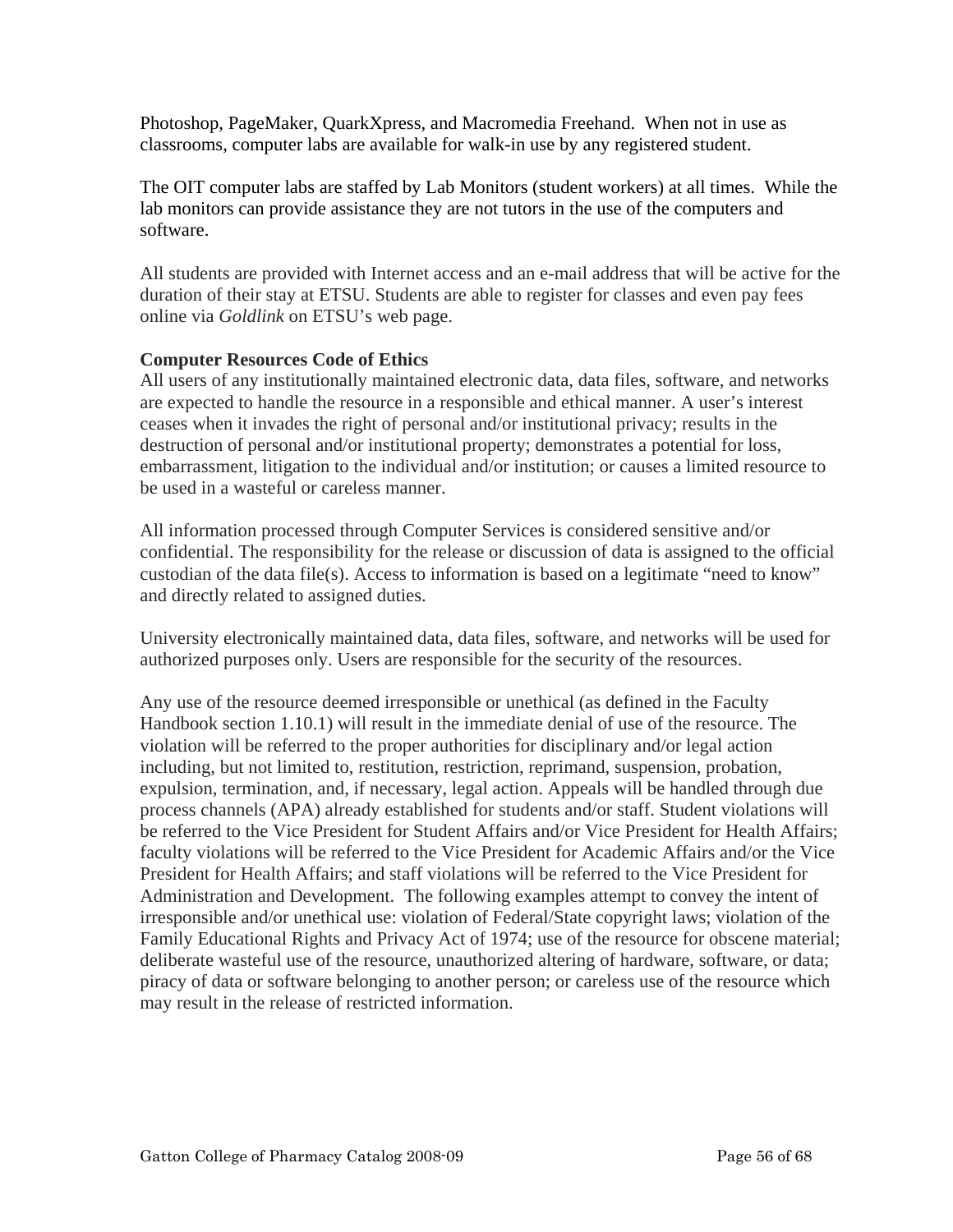Photoshop, PageMaker, QuarkXpress, and Macromedia Freehand. When not in use as classrooms, computer labs are available for walk-in use by any registered student.

The OIT computer labs are staffed by Lab Monitors (student workers) at all times. While the lab monitors can provide assistance they are not tutors in the use of the computers and software.

All students are provided with Internet access and an e-mail address that will be active for the duration of their stay at ETSU. Students are able to register for classes and even pay fees online via *Goldlink* on ETSU's web page.

# **Computer Resources Code of Ethics**

All users of any institutionally maintained electronic data, data files, software, and networks are expected to handle the resource in a responsible and ethical manner. A user's interest ceases when it invades the right of personal and/or institutional privacy; results in the destruction of personal and/or institutional property; demonstrates a potential for loss, embarrassment, litigation to the individual and/or institution; or causes a limited resource to be used in a wasteful or careless manner.

All information processed through Computer Services is considered sensitive and/or confidential. The responsibility for the release or discussion of data is assigned to the official custodian of the data file(s). Access to information is based on a legitimate "need to know" and directly related to assigned duties.

University electronically maintained data, data files, software, and networks will be used for authorized purposes only. Users are responsible for the security of the resources.

Any use of the resource deemed irresponsible or unethical (as defined in the Faculty Handbook section 1.10.1) will result in the immediate denial of use of the resource. The violation will be referred to the proper authorities for disciplinary and/or legal action including, but not limited to, restitution, restriction, reprimand, suspension, probation, expulsion, termination, and, if necessary, legal action. Appeals will be handled through due process channels (APA) already established for students and/or staff. Student violations will be referred to the Vice President for Student Affairs and/or Vice President for Health Affairs; faculty violations will be referred to the Vice President for Academic Affairs and/or the Vice President for Health Affairs; and staff violations will be referred to the Vice President for Administration and Development. The following examples attempt to convey the intent of irresponsible and/or unethical use: violation of Federal/State copyright laws; violation of the Family Educational Rights and Privacy Act of 1974; use of the resource for obscene material; deliberate wasteful use of the resource, unauthorized altering of hardware, software, or data; piracy of data or software belonging to another person; or careless use of the resource which may result in the release of restricted information.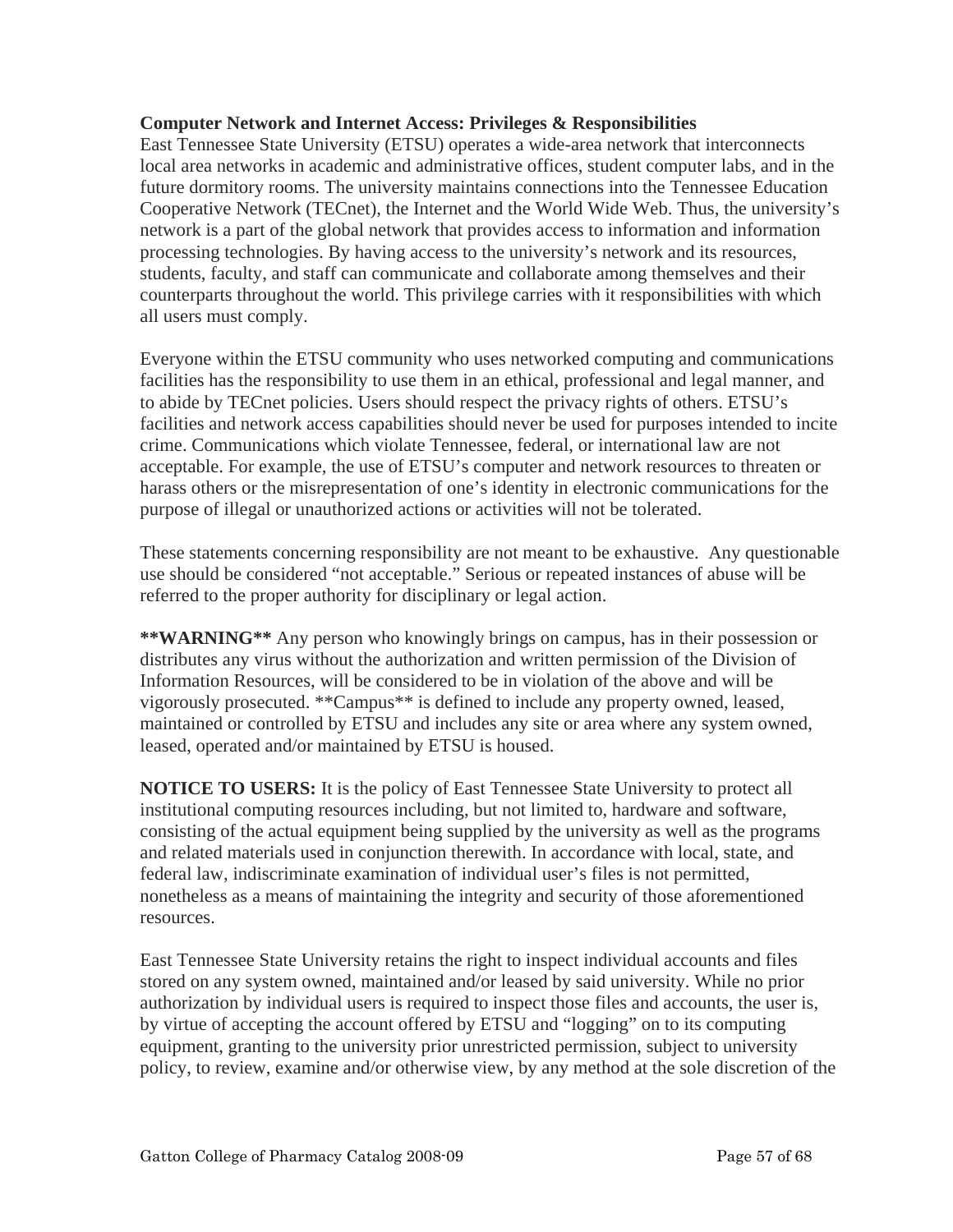# **Computer Network and Internet Access: Privileges & Responsibilities**

East Tennessee State University (ETSU) operates a wide-area network that interconnects local area networks in academic and administrative offices, student computer labs, and in the future dormitory rooms. The university maintains connections into the Tennessee Education Cooperative Network (TECnet), the Internet and the World Wide Web. Thus, the university's network is a part of the global network that provides access to information and information processing technologies. By having access to the university's network and its resources, students, faculty, and staff can communicate and collaborate among themselves and their counterparts throughout the world. This privilege carries with it responsibilities with which all users must comply.

Everyone within the ETSU community who uses networked computing and communications facilities has the responsibility to use them in an ethical, professional and legal manner, and to abide by TECnet policies. Users should respect the privacy rights of others. ETSU's facilities and network access capabilities should never be used for purposes intended to incite crime. Communications which violate Tennessee, federal, or international law are not acceptable. For example, the use of ETSU's computer and network resources to threaten or harass others or the misrepresentation of one's identity in electronic communications for the purpose of illegal or unauthorized actions or activities will not be tolerated.

These statements concerning responsibility are not meant to be exhaustive. Any questionable use should be considered "not acceptable." Serious or repeated instances of abuse will be referred to the proper authority for disciplinary or legal action.

**\*\*WARNING\*\*** Any person who knowingly brings on campus, has in their possession or distributes any virus without the authorization and written permission of the Division of Information Resources, will be considered to be in violation of the above and will be vigorously prosecuted. \*\*Campus\*\* is defined to include any property owned, leased, maintained or controlled by ETSU and includes any site or area where any system owned, leased, operated and/or maintained by ETSU is housed.

**NOTICE TO USERS:** It is the policy of East Tennessee State University to protect all institutional computing resources including, but not limited to, hardware and software, consisting of the actual equipment being supplied by the university as well as the programs and related materials used in conjunction therewith. In accordance with local, state, and federal law, indiscriminate examination of individual user's files is not permitted, nonetheless as a means of maintaining the integrity and security of those aforementioned resources.

East Tennessee State University retains the right to inspect individual accounts and files stored on any system owned, maintained and/or leased by said university. While no prior authorization by individual users is required to inspect those files and accounts, the user is, by virtue of accepting the account offered by ETSU and "logging" on to its computing equipment, granting to the university prior unrestricted permission, subject to university policy, to review, examine and/or otherwise view, by any method at the sole discretion of the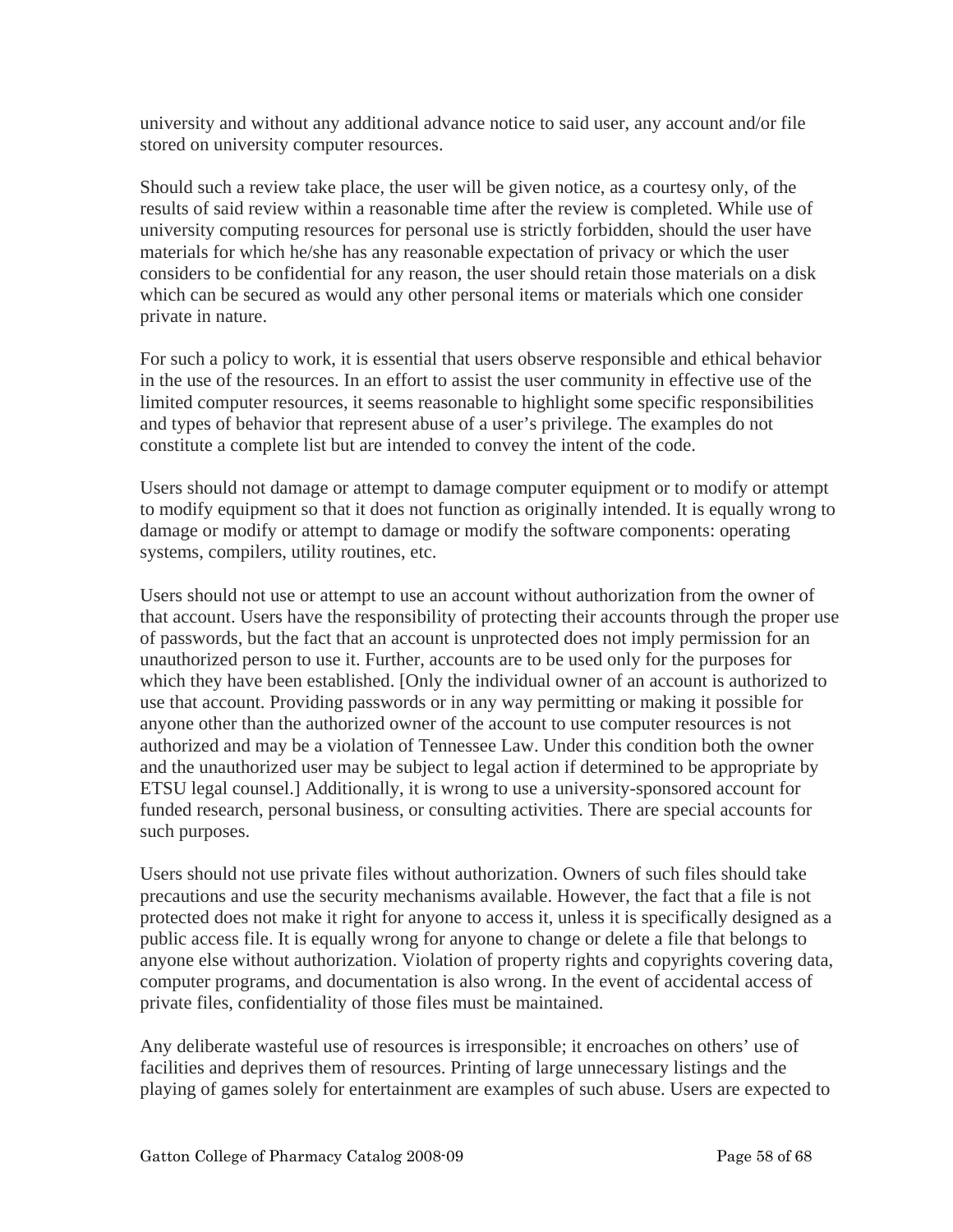university and without any additional advance notice to said user, any account and/or file stored on university computer resources.

Should such a review take place, the user will be given notice, as a courtesy only, of the results of said review within a reasonable time after the review is completed. While use of university computing resources for personal use is strictly forbidden, should the user have materials for which he/she has any reasonable expectation of privacy or which the user considers to be confidential for any reason, the user should retain those materials on a disk which can be secured as would any other personal items or materials which one consider private in nature.

For such a policy to work, it is essential that users observe responsible and ethical behavior in the use of the resources. In an effort to assist the user community in effective use of the limited computer resources, it seems reasonable to highlight some specific responsibilities and types of behavior that represent abuse of a user's privilege. The examples do not constitute a complete list but are intended to convey the intent of the code.

Users should not damage or attempt to damage computer equipment or to modify or attempt to modify equipment so that it does not function as originally intended. It is equally wrong to damage or modify or attempt to damage or modify the software components: operating systems, compilers, utility routines, etc.

Users should not use or attempt to use an account without authorization from the owner of that account. Users have the responsibility of protecting their accounts through the proper use of passwords, but the fact that an account is unprotected does not imply permission for an unauthorized person to use it. Further, accounts are to be used only for the purposes for which they have been established. [Only the individual owner of an account is authorized to use that account. Providing passwords or in any way permitting or making it possible for anyone other than the authorized owner of the account to use computer resources is not authorized and may be a violation of Tennessee Law. Under this condition both the owner and the unauthorized user may be subject to legal action if determined to be appropriate by ETSU legal counsel.] Additionally, it is wrong to use a university-sponsored account for funded research, personal business, or consulting activities. There are special accounts for such purposes.

Users should not use private files without authorization. Owners of such files should take precautions and use the security mechanisms available. However, the fact that a file is not protected does not make it right for anyone to access it, unless it is specifically designed as a public access file. It is equally wrong for anyone to change or delete a file that belongs to anyone else without authorization. Violation of property rights and copyrights covering data, computer programs, and documentation is also wrong. In the event of accidental access of private files, confidentiality of those files must be maintained.

Any deliberate wasteful use of resources is irresponsible; it encroaches on others' use of facilities and deprives them of resources. Printing of large unnecessary listings and the playing of games solely for entertainment are examples of such abuse. Users are expected to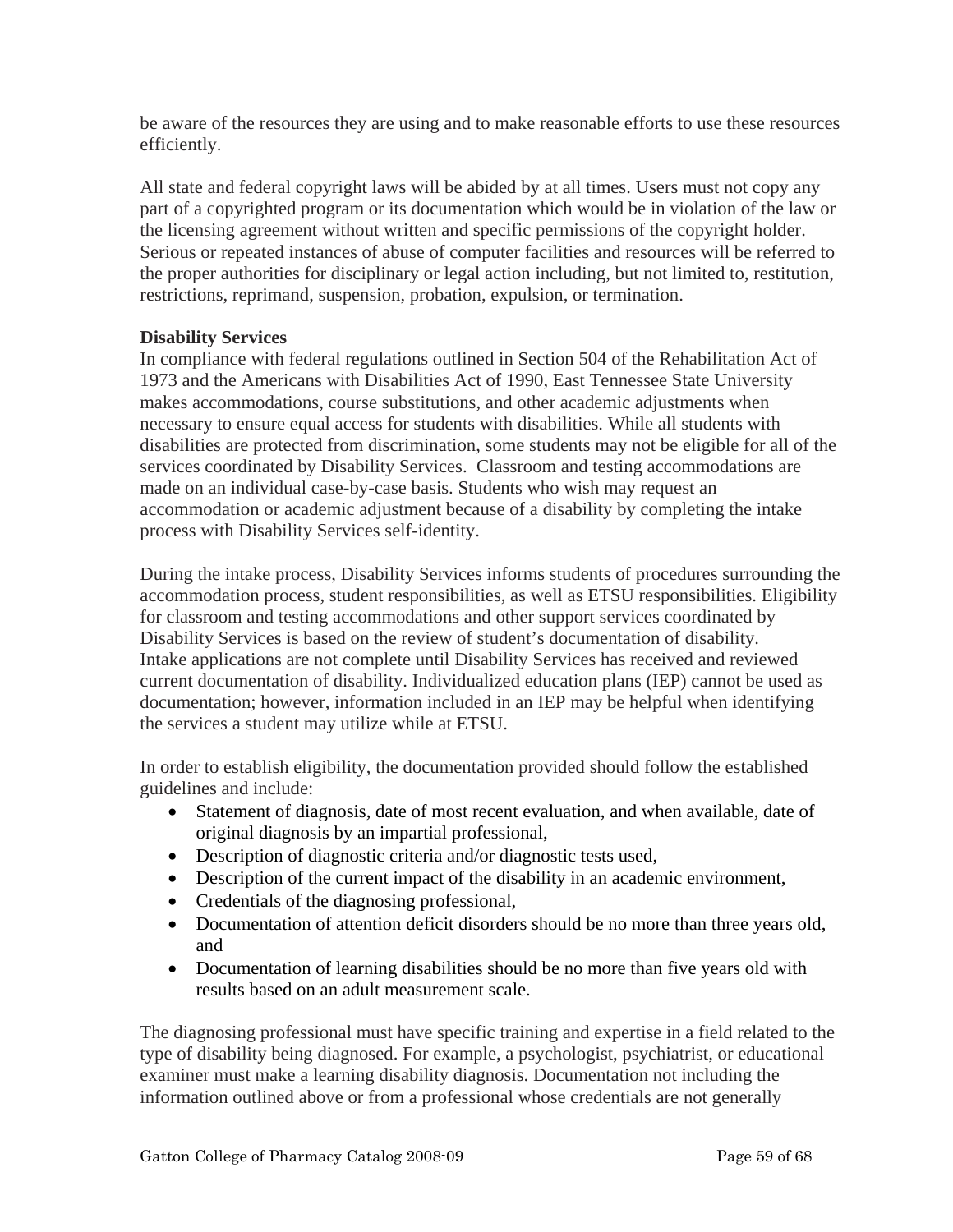be aware of the resources they are using and to make reasonable efforts to use these resources efficiently.

All state and federal copyright laws will be abided by at all times. Users must not copy any part of a copyrighted program or its documentation which would be in violation of the law or the licensing agreement without written and specific permissions of the copyright holder. Serious or repeated instances of abuse of computer facilities and resources will be referred to the proper authorities for disciplinary or legal action including, but not limited to, restitution, restrictions, reprimand, suspension, probation, expulsion, or termination.

# **Disability Services**

In compliance with federal regulations outlined in Section 504 of the Rehabilitation Act of 1973 and the Americans with Disabilities Act of 1990, East Tennessee State University makes accommodations, course substitutions, and other academic adjustments when necessary to ensure equal access for students with disabilities. While all students with disabilities are protected from discrimination, some students may not be eligible for all of the services coordinated by Disability Services. Classroom and testing accommodations are made on an individual case-by-case basis. Students who wish may request an accommodation or academic adjustment because of a disability by completing the intake process with Disability Services self-identity.

During the intake process, Disability Services informs students of procedures surrounding the accommodation process, student responsibilities, as well as ETSU responsibilities. Eligibility for classroom and testing accommodations and other support services coordinated by Disability Services is based on the review of student's documentation of disability. Intake applications are not complete until Disability Services has received and reviewed current documentation of disability. Individualized education plans (IEP) cannot be used as documentation; however, information included in an IEP may be helpful when identifying the services a student may utilize while at ETSU.

In order to establish eligibility, the documentation provided should follow the established guidelines and include:

- Statement of diagnosis, date of most recent evaluation, and when available, date of original diagnosis by an impartial professional,
- Description of diagnostic criteria and/or diagnostic tests used,
- Description of the current impact of the disability in an academic environment,
- Credentials of the diagnosing professional,
- Documentation of attention deficit disorders should be no more than three years old, and
- Documentation of learning disabilities should be no more than five years old with results based on an adult measurement scale.

The diagnosing professional must have specific training and expertise in a field related to the type of disability being diagnosed. For example, a psychologist, psychiatrist, or educational examiner must make a learning disability diagnosis. Documentation not including the information outlined above or from a professional whose credentials are not generally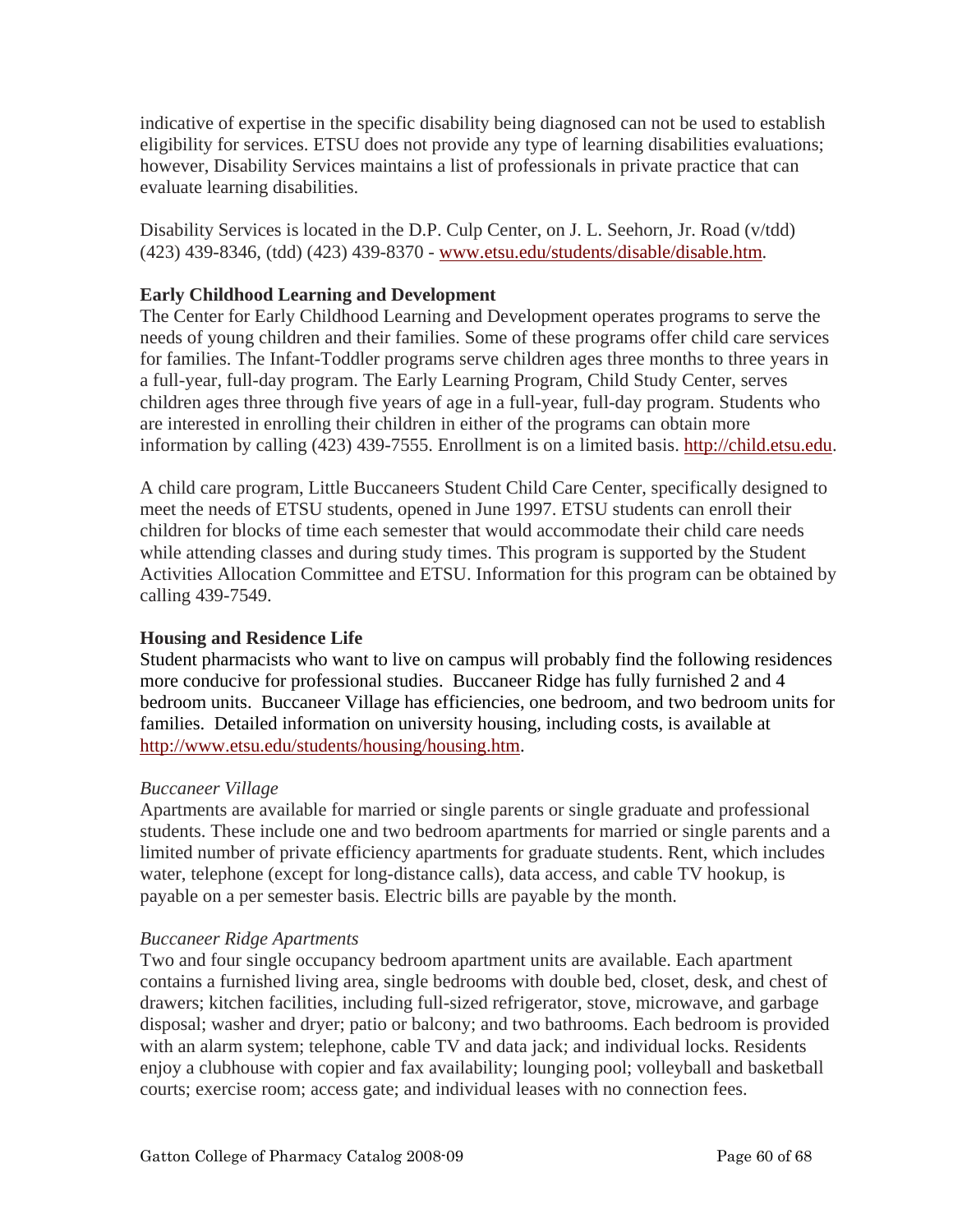indicative of expertise in the specific disability being diagnosed can not be used to establish eligibility for services. ETSU does not provide any type of learning disabilities evaluations; however, Disability Services maintains a list of professionals in private practice that can evaluate learning disabilities.

Disability Services is located in the D.P. Culp Center, on J. L. Seehorn, Jr. Road (v/tdd) (423) 439-8346, (tdd) (423) 439-8370 - www.etsu.edu/students/disable/disable.htm.

# **Early Childhood Learning and Development**

The Center for Early Childhood Learning and Development operates programs to serve the needs of young children and their families. Some of these programs offer child care services for families. The Infant-Toddler programs serve children ages three months to three years in a full-year, full-day program. The Early Learning Program, Child Study Center, serves children ages three through five years of age in a full-year, full-day program. Students who are interested in enrolling their children in either of the programs can obtain more information by calling (423) 439-7555. Enrollment is on a limited basis. http://child.etsu.edu.

A child care program, Little Buccaneers Student Child Care Center, specifically designed to meet the needs of ETSU students, opened in June 1997. ETSU students can enroll their children for blocks of time each semester that would accommodate their child care needs while attending classes and during study times. This program is supported by the Student Activities Allocation Committee and ETSU. Information for this program can be obtained by calling 439-7549.

## **Housing and Residence Life**

Student pharmacists who want to live on campus will probably find the following residences more conducive for professional studies. Buccaneer Ridge has fully furnished 2 and 4 bedroom units. Buccaneer Village has efficiencies, one bedroom, and two bedroom units for families. Detailed information on university housing, including costs, is available at http://www.etsu.edu/students/housing/housing.htm.

## *Buccaneer Village*

Apartments are available for married or single parents or single graduate and professional students. These include one and two bedroom apartments for married or single parents and a limited number of private efficiency apartments for graduate students. Rent, which includes water, telephone (except for long-distance calls), data access, and cable TV hookup, is payable on a per semester basis. Electric bills are payable by the month.

## *Buccaneer Ridge Apartments*

Two and four single occupancy bedroom apartment units are available. Each apartment contains a furnished living area, single bedrooms with double bed, closet, desk, and chest of drawers; kitchen facilities, including full-sized refrigerator, stove, microwave, and garbage disposal; washer and dryer; patio or balcony; and two bathrooms. Each bedroom is provided with an alarm system; telephone, cable TV and data jack; and individual locks. Residents enjoy a clubhouse with copier and fax availability; lounging pool; volleyball and basketball courts; exercise room; access gate; and individual leases with no connection fees.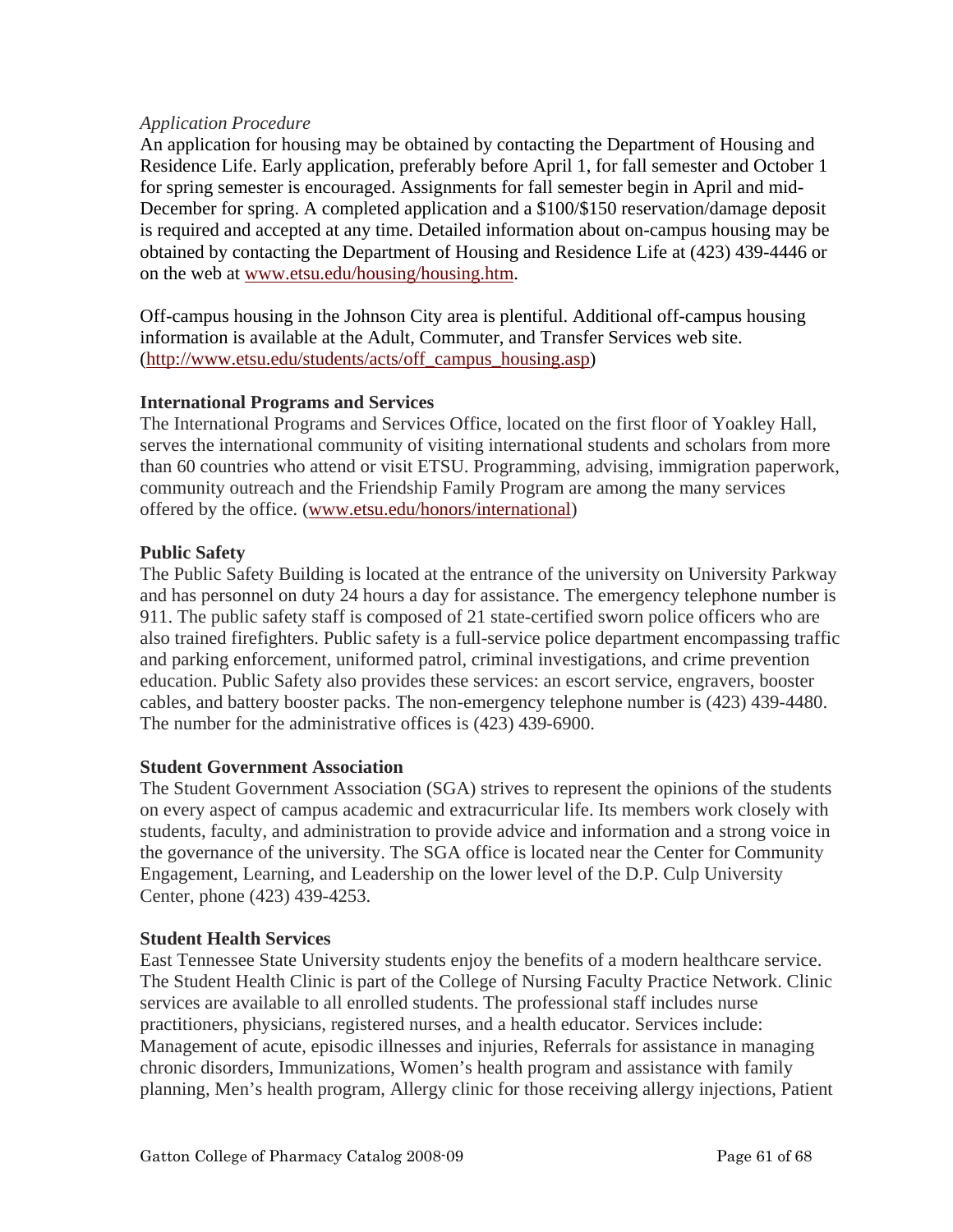# *Application Procedure*

An application for housing may be obtained by contacting the Department of Housing and Residence Life. Early application, preferably before April 1, for fall semester and October 1 for spring semester is encouraged. Assignments for fall semester begin in April and mid-December for spring. A completed application and a \$100/\$150 reservation/damage deposit is required and accepted at any time. Detailed information about on-campus housing may be obtained by contacting the Department of Housing and Residence Life at (423) 439-4446 or on the web at www.etsu.edu/housing/housing.htm.

Off-campus housing in the Johnson City area is plentiful. Additional off-campus housing information is available at the Adult, Commuter, and Transfer Services web site. (http://www.etsu.edu/students/acts/off\_campus\_housing.asp)

# **International Programs and Services**

The International Programs and Services Office, located on the first floor of Yoakley Hall, serves the international community of visiting international students and scholars from more than 60 countries who attend or visit ETSU. Programming, advising, immigration paperwork, community outreach and the Friendship Family Program are among the many services offered by the office. (www.etsu.edu/honors/international)

# **Public Safety**

The Public Safety Building is located at the entrance of the university on University Parkway and has personnel on duty 24 hours a day for assistance. The emergency telephone number is 911. The public safety staff is composed of 21 state-certified sworn police officers who are also trained firefighters. Public safety is a full-service police department encompassing traffic and parking enforcement, uniformed patrol, criminal investigations, and crime prevention education. Public Safety also provides these services: an escort service, engravers, booster cables, and battery booster packs. The non-emergency telephone number is (423) 439-4480. The number for the administrative offices is (423) 439-6900.

## **Student Government Association**

The Student Government Association (SGA) strives to represent the opinions of the students on every aspect of campus academic and extracurricular life. Its members work closely with students, faculty, and administration to provide advice and information and a strong voice in the governance of the university. The SGA office is located near the Center for Community Engagement, Learning, and Leadership on the lower level of the D.P. Culp University Center, phone (423) 439-4253.

## **Student Health Services**

East Tennessee State University students enjoy the benefits of a modern healthcare service. The Student Health Clinic is part of the College of Nursing Faculty Practice Network. Clinic services are available to all enrolled students. The professional staff includes nurse practitioners, physicians, registered nurses, and a health educator. Services include: Management of acute, episodic illnesses and injuries, Referrals for assistance in managing chronic disorders, Immunizations, Women's health program and assistance with family planning, Men's health program, Allergy clinic for those receiving allergy injections, Patient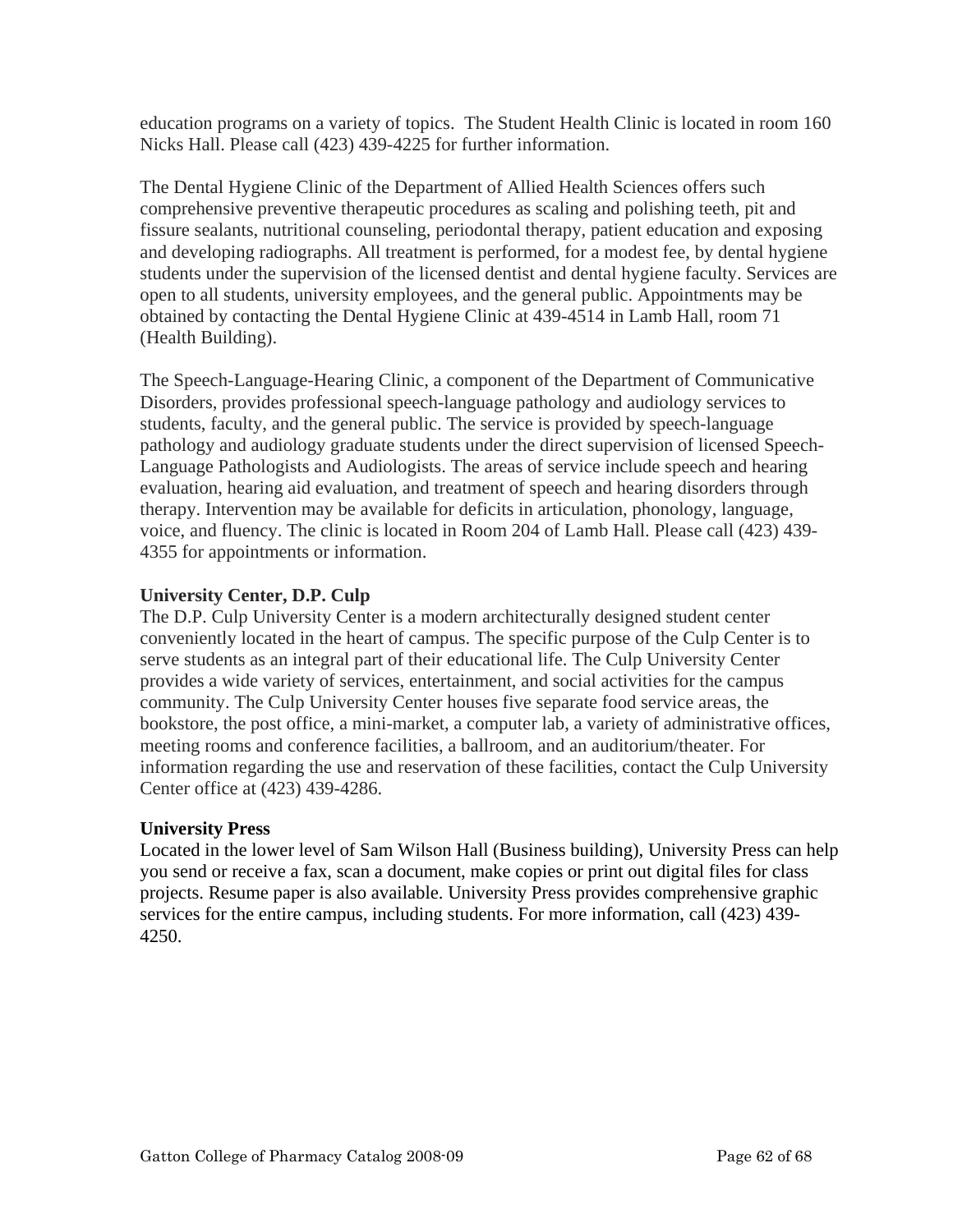education programs on a variety of topics. The Student Health Clinic is located in room 160 Nicks Hall. Please call (423) 439-4225 for further information.

The Dental Hygiene Clinic of the Department of Allied Health Sciences offers such comprehensive preventive therapeutic procedures as scaling and polishing teeth, pit and fissure sealants, nutritional counseling, periodontal therapy, patient education and exposing and developing radiographs. All treatment is performed, for a modest fee, by dental hygiene students under the supervision of the licensed dentist and dental hygiene faculty. Services are open to all students, university employees, and the general public. Appointments may be obtained by contacting the Dental Hygiene Clinic at 439-4514 in Lamb Hall, room 71 (Health Building).

The Speech-Language-Hearing Clinic, a component of the Department of Communicative Disorders, provides professional speech-language pathology and audiology services to students, faculty, and the general public. The service is provided by speech-language pathology and audiology graduate students under the direct supervision of licensed Speech-Language Pathologists and Audiologists. The areas of service include speech and hearing evaluation, hearing aid evaluation, and treatment of speech and hearing disorders through therapy. Intervention may be available for deficits in articulation, phonology, language, voice, and fluency. The clinic is located in Room 204 of Lamb Hall. Please call (423) 439- 4355 for appointments or information.

# **University Center, D.P. Culp**

The D.P. Culp University Center is a modern architecturally designed student center conveniently located in the heart of campus. The specific purpose of the Culp Center is to serve students as an integral part of their educational life. The Culp University Center provides a wide variety of services, entertainment, and social activities for the campus community. The Culp University Center houses five separate food service areas, the bookstore, the post office, a mini-market, a computer lab, a variety of administrative offices, meeting rooms and conference facilities, a ballroom, and an auditorium/theater. For information regarding the use and reservation of these facilities, contact the Culp University Center office at (423) 439-4286.

## **University Press**

Located in the lower level of Sam Wilson Hall (Business building), University Press can help you send or receive a fax, scan a document, make copies or print out digital files for class projects. Resume paper is also available. University Press provides comprehensive graphic services for the entire campus, including students. For more information, call (423) 439- 4250.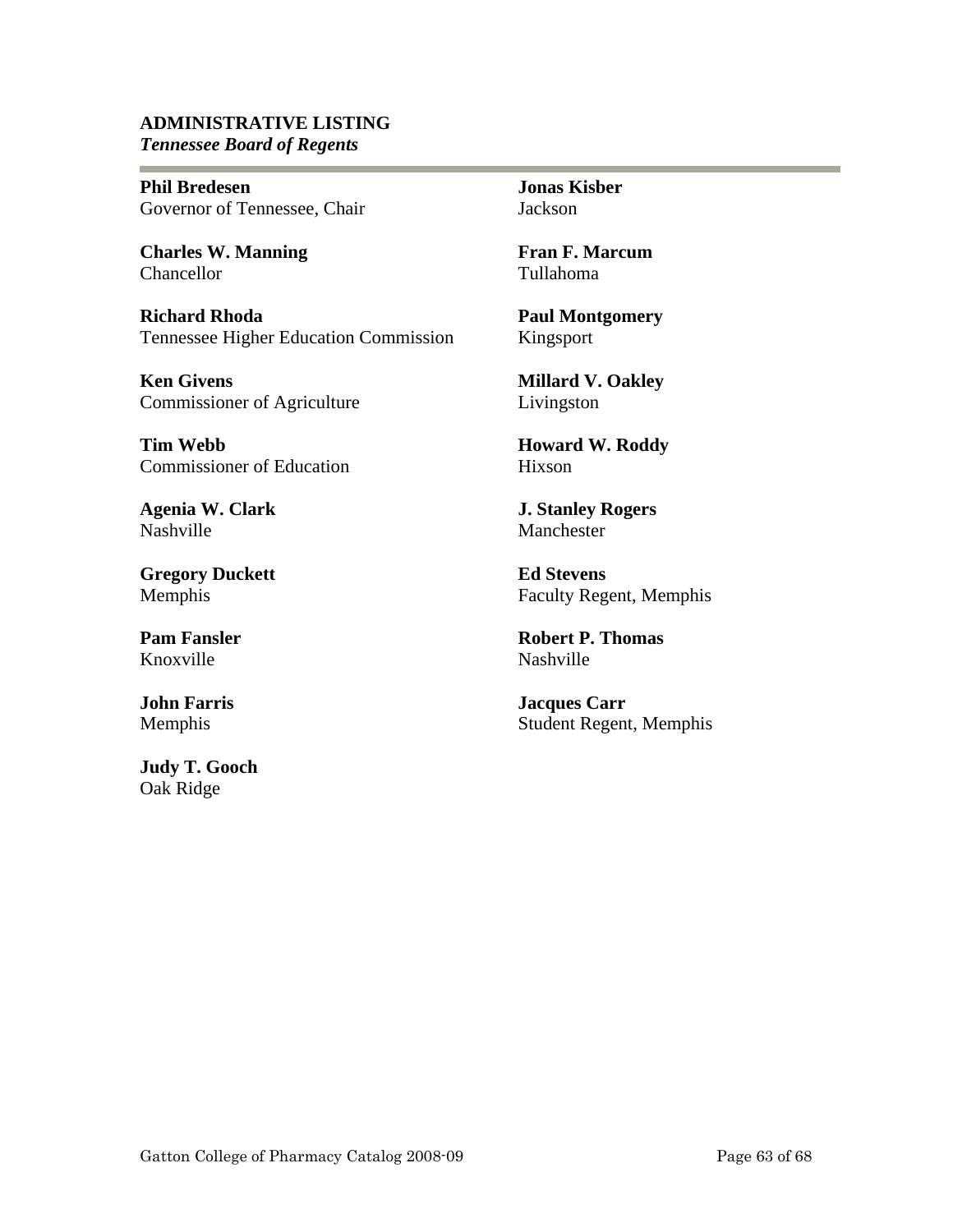#### **ADMINISTRATIVE LISTING** *Tennessee Board of Regents*

**Phil Bredesen**  Governor of Tennessee, Chair

**Charles W. Manning**  Chancellor

e e

**Richard Rhoda**  Tennessee Higher Education Commission

**Ken Givens**  Commissioner of Agriculture

**Tim Webb**  Commissioner of Education

**Agenia W. Clark**  Nashville

**Gregory Duckett**  Memphis

**Pam Fansler**  Knoxville

**John Farris**  Memphis

**Judy T. Gooch**  Oak Ridge

**Jonas Kisber**  Jackson

**Fran F. Marcum**  Tullahoma

**Paul Montgomery**  Kingsport

**Millard V. Oakley**  Livingston

**Howard W. Roddy**  Hixson

**J. Stanley Rogers**  Manchester

**Ed Stevens**  Faculty Regent, Memphis

**Robert P. Thomas**  Nashville

**Jacques Carr**  Student Regent, Memphis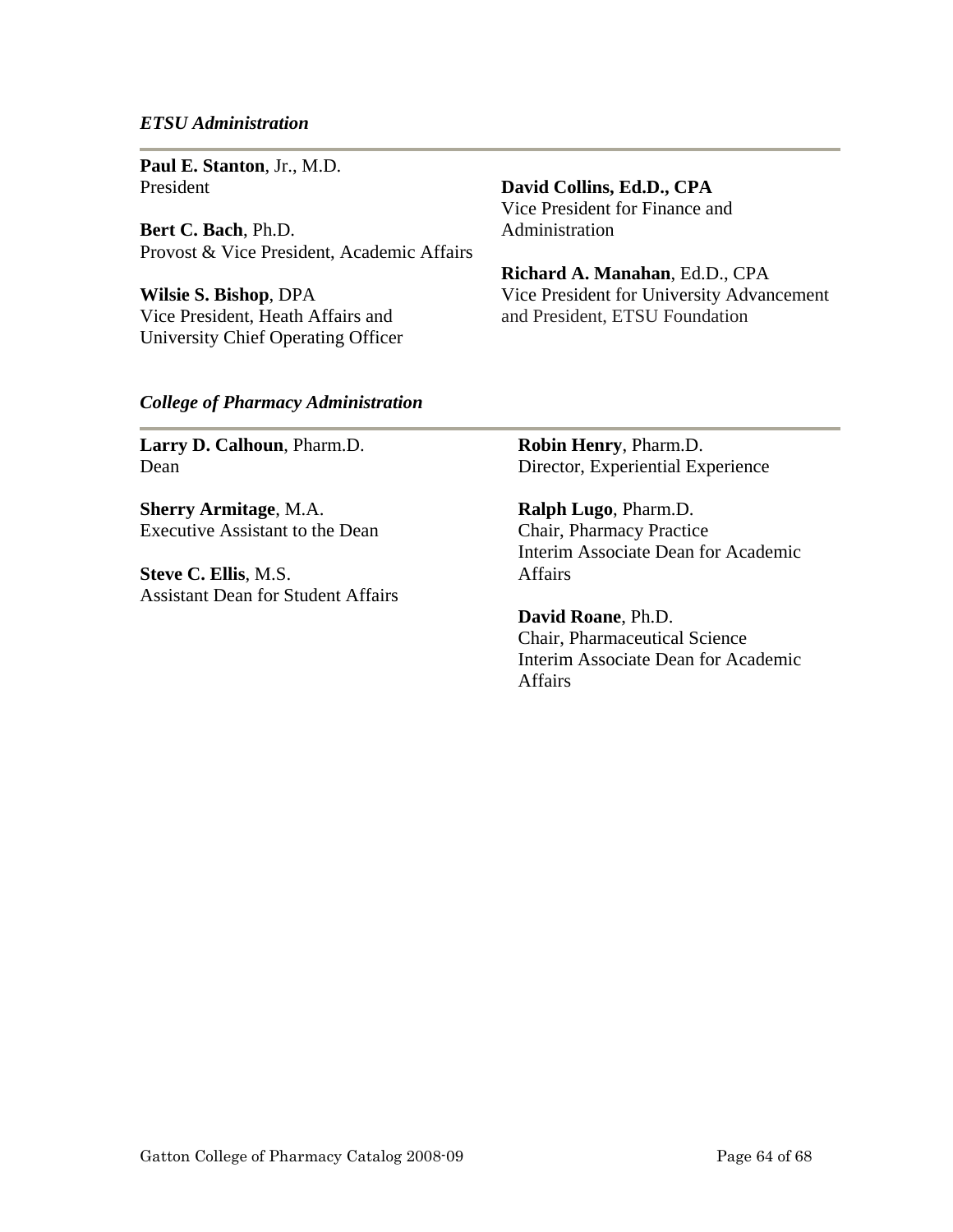#### *ETSU Administration*

**Paul E. Stanton**, Jr., M.D. President

**Bert C. Bach**, Ph.D. Provost & Vice President, Academic Affairs

**Wilsie S. Bishop**, DPA Vice President, Heath Affairs and University Chief Operating Officer **David Collins, Ed.D., CPA** 

Vice President for Finance and Administration

**Richard A. Manahan**, Ed.D., CPA Vice President for University Advancement and President, ETSU Foundation

#### *College of Pharmacy Administration*

**Larry D. Calhoun**, Pharm.D. Dean

**Sherry Armitage**, M.A. Executive Assistant to the Dean

**Steve C. Ellis**, M.S. Assistant Dean for Student Affairs **Robin Henry**, Pharm.D. Director, Experiential Experience

**Ralph Lugo**, Pharm.D. Chair, Pharmacy Practice Interim Associate Dean for Academic Affairs

**David Roane**, Ph.D. Chair, Pharmaceutical Science Interim Associate Dean for Academic **Affairs**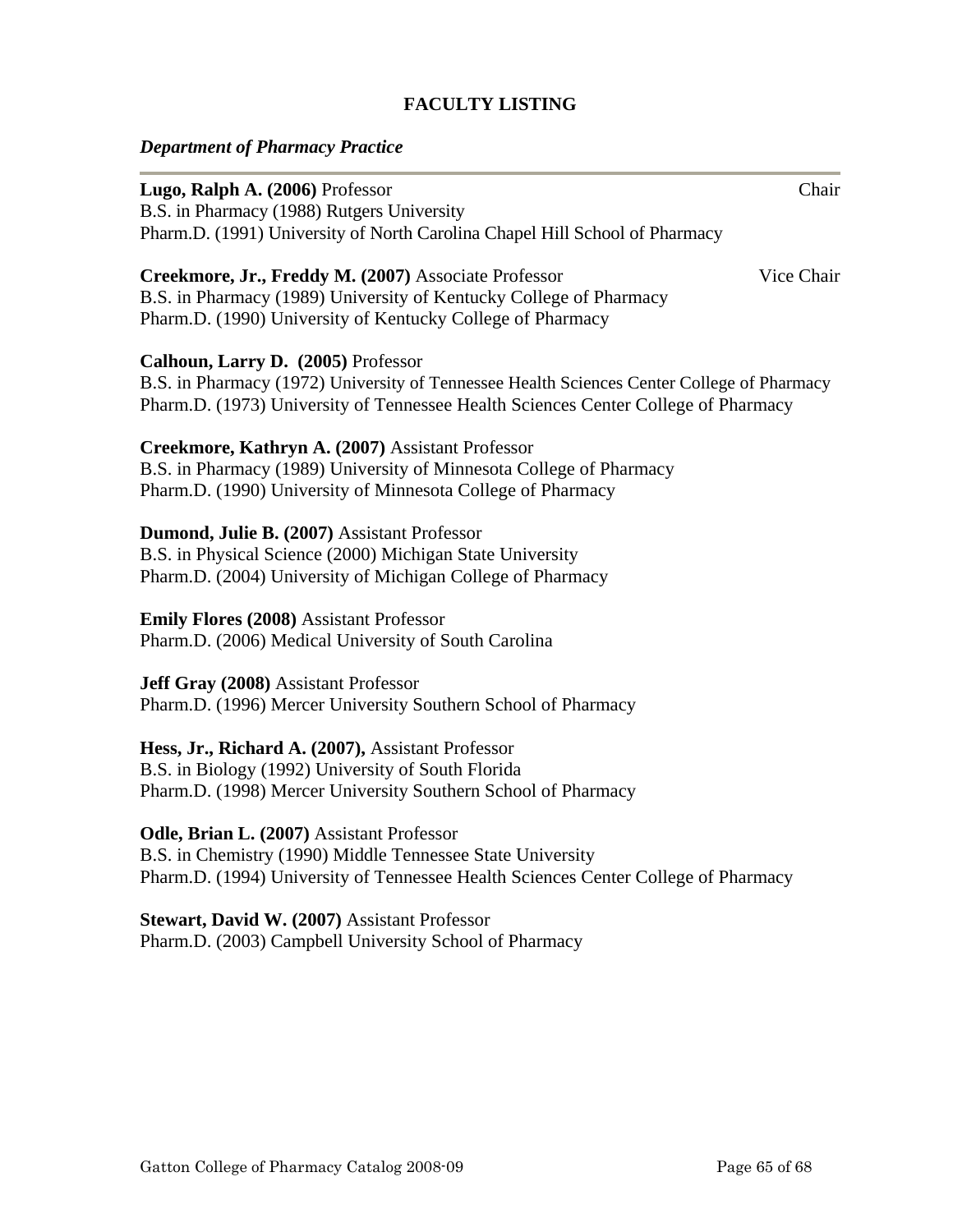# **FACULTY LISTING**

# *Department of Pharmacy Practice*

| Lugo, Ralph A. (2006) Professor<br>B.S. in Pharmacy (1988) Rutgers University<br>Pharm.D. (1991) University of North Carolina Chapel Hill School of Pharmacy                                                           | Chair      |
|------------------------------------------------------------------------------------------------------------------------------------------------------------------------------------------------------------------------|------------|
| Creekmore, Jr., Freddy M. (2007) Associate Professor<br>B.S. in Pharmacy (1989) University of Kentucky College of Pharmacy<br>Pharm.D. (1990) University of Kentucky College of Pharmacy                               | Vice Chair |
| Calhoun, Larry D. (2005) Professor<br>B.S. in Pharmacy (1972) University of Tennessee Health Sciences Center College of Pharmacy<br>Pharm.D. (1973) University of Tennessee Health Sciences Center College of Pharmacy |            |
| Creekmore, Kathryn A. (2007) Assistant Professor<br>B.S. in Pharmacy (1989) University of Minnesota College of Pharmacy<br>Pharm.D. (1990) University of Minnesota College of Pharmacy                                 |            |
| Dumond, Julie B. (2007) Assistant Professor<br>B.S. in Physical Science (2000) Michigan State University<br>Pharm.D. (2004) University of Michigan College of Pharmacy                                                 |            |
| <b>Emily Flores (2008) Assistant Professor</b><br>Pharm.D. (2006) Medical University of South Carolina                                                                                                                 |            |
| <b>Jeff Gray (2008)</b> Assistant Professor<br>Pharm.D. (1996) Mercer University Southern School of Pharmacy                                                                                                           |            |
| Hess, Jr., Richard A. (2007), Assistant Professor<br>B.S. in Biology (1992) University of South Florida<br>Pharm.D. (1998) Mercer University Southern School of Pharmacy                                               |            |
| Odle, Brian L. (2007) Assistant Professor<br>B.S. in Chemistry (1990) Middle Tennessee State University<br>Pharm.D. (1994) University of Tennessee Health Sciences Center College of Pharmacy                          |            |
| Stewart, David W. (2007) Assistant Professor<br>Pharm.D. (2003) Campbell University School of Pharmacy                                                                                                                 |            |
|                                                                                                                                                                                                                        |            |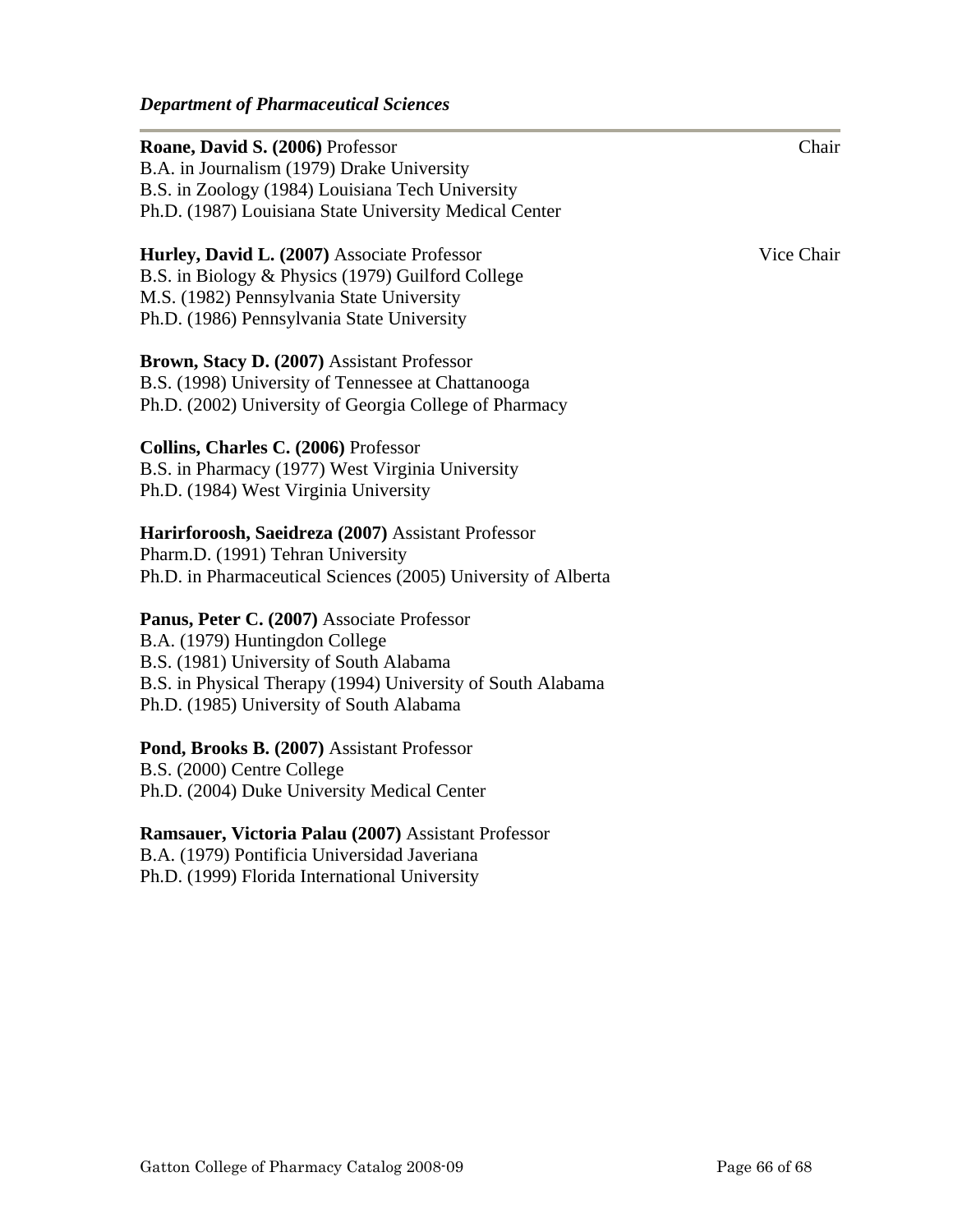| Roane, David S. (2006) Professor<br>B.A. in Journalism (1979) Drake University<br>B.S. in Zoology (1984) Louisiana Tech University                                                                                                 | Chair      |
|------------------------------------------------------------------------------------------------------------------------------------------------------------------------------------------------------------------------------------|------------|
| Ph.D. (1987) Louisiana State University Medical Center                                                                                                                                                                             |            |
| Hurley, David L. (2007) Associate Professor<br>B.S. in Biology & Physics (1979) Guilford College<br>M.S. (1982) Pennsylvania State University<br>Ph.D. (1986) Pennsylvania State University                                        | Vice Chair |
| Brown, Stacy D. (2007) Assistant Professor<br>B.S. (1998) University of Tennessee at Chattanooga<br>Ph.D. (2002) University of Georgia College of Pharmacy                                                                         |            |
| Collins, Charles C. (2006) Professor<br>B.S. in Pharmacy (1977) West Virginia University<br>Ph.D. (1984) West Virginia University                                                                                                  |            |
| Harirforoosh, Saeidreza (2007) Assistant Professor<br>Pharm.D. (1991) Tehran University<br>Ph.D. in Pharmaceutical Sciences (2005) University of Alberta                                                                           |            |
| Panus, Peter C. (2007) Associate Professor<br>B.A. (1979) Huntingdon College<br>B.S. (1981) University of South Alabama<br>B.S. in Physical Therapy (1994) University of South Alabama<br>Ph.D. (1985) University of South Alabama |            |
| Pond, Brooks B. (2007) Assistant Professor<br>B.S. (2000) Centre College<br>Ph.D. (2004) Duke University Medical Center                                                                                                            |            |
| Ramsauer, Victoria Palau (2007) Assistant Professor<br>B.A. (1979) Pontificia Universidad Javeriana<br>Ph.D. (1999) Florida International University                                                                               |            |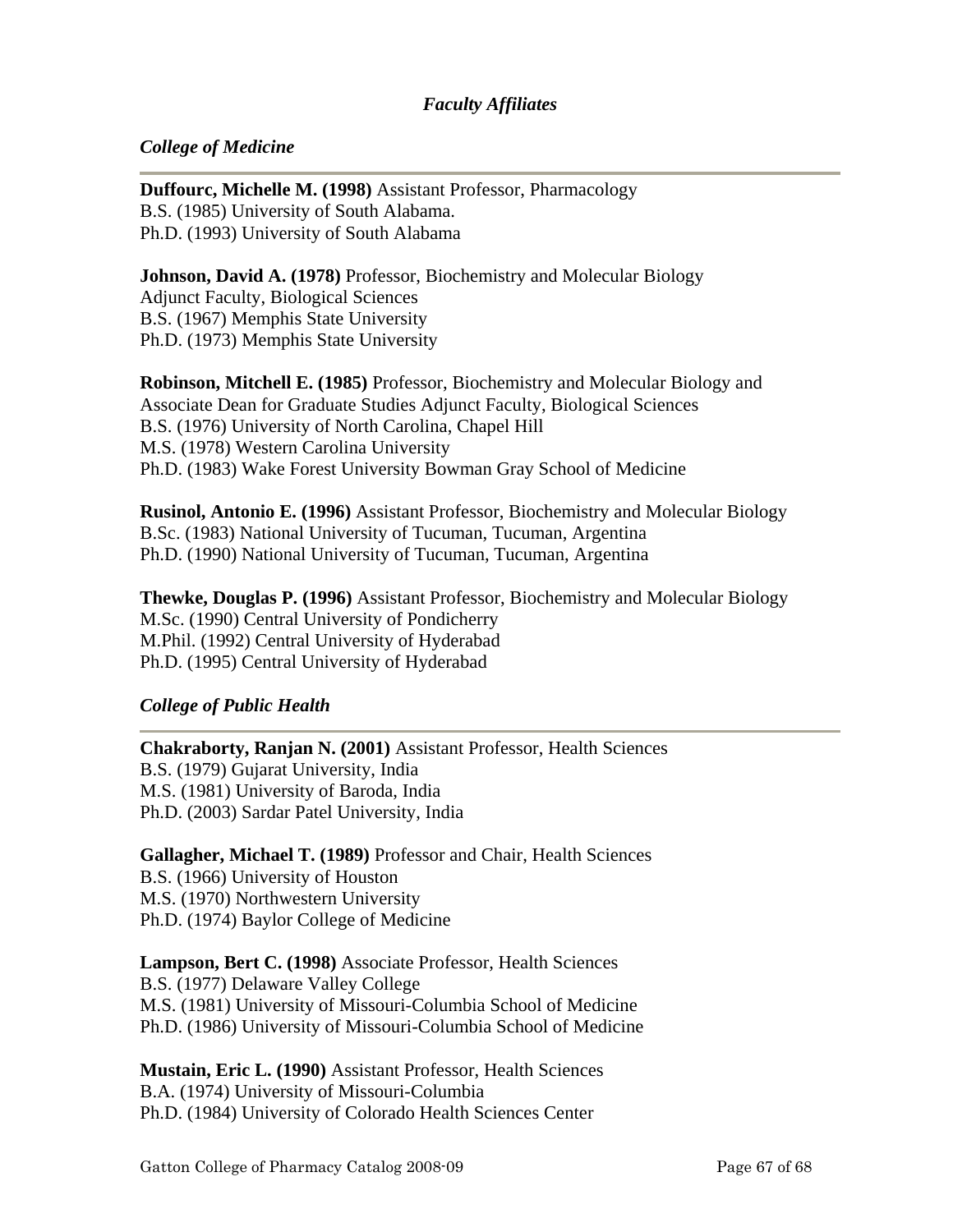# *Faculty Affiliates*

# *College of Medicine*

**Duffourc, Michelle M. (1998)** Assistant Professor, Pharmacology B.S. (1985) University of South Alabama. Ph.D. (1993) University of South Alabama

**Johnson, David A. (1978)** Professor, Biochemistry and Molecular Biology Adjunct Faculty, Biological Sciences B.S. (1967) Memphis State University Ph.D. (1973) Memphis State University

**Robinson, Mitchell E. (1985)** Professor, Biochemistry and Molecular Biology and Associate Dean for Graduate Studies Adjunct Faculty, Biological Sciences B.S. (1976) University of North Carolina, Chapel Hill M.S. (1978) Western Carolina University Ph.D. (1983) Wake Forest University Bowman Gray School of Medicine

**Rusinol, Antonio E. (1996)** Assistant Professor, Biochemistry and Molecular Biology B.Sc. (1983) National University of Tucuman, Tucuman, Argentina Ph.D. (1990) National University of Tucuman, Tucuman, Argentina

**Thewke, Douglas P. (1996)** Assistant Professor, Biochemistry and Molecular Biology M.Sc. (1990) Central University of Pondicherry M.Phil. (1992) Central University of Hyderabad Ph.D. (1995) Central University of Hyderabad

## *College of Public Health*

**Chakraborty, Ranjan N. (2001)** Assistant Professor, Health Sciences B.S. (1979) Gujarat University, India M.S. (1981) University of Baroda, India Ph.D. (2003) Sardar Patel University, India

**Gallagher, Michael T. (1989)** Professor and Chair, Health Sciences B.S. (1966) University of Houston M.S. (1970) Northwestern University Ph.D. (1974) Baylor College of Medicine

**Lampson, Bert C. (1998)** Associate Professor, Health Sciences B.S. (1977) Delaware Valley College M.S. (1981) University of Missouri-Columbia School of Medicine Ph.D. (1986) University of Missouri-Columbia School of Medicine

**Mustain, Eric L. (1990)** Assistant Professor, Health Sciences B.A. (1974) University of Missouri-Columbia Ph.D. (1984) University of Colorado Health Sciences Center